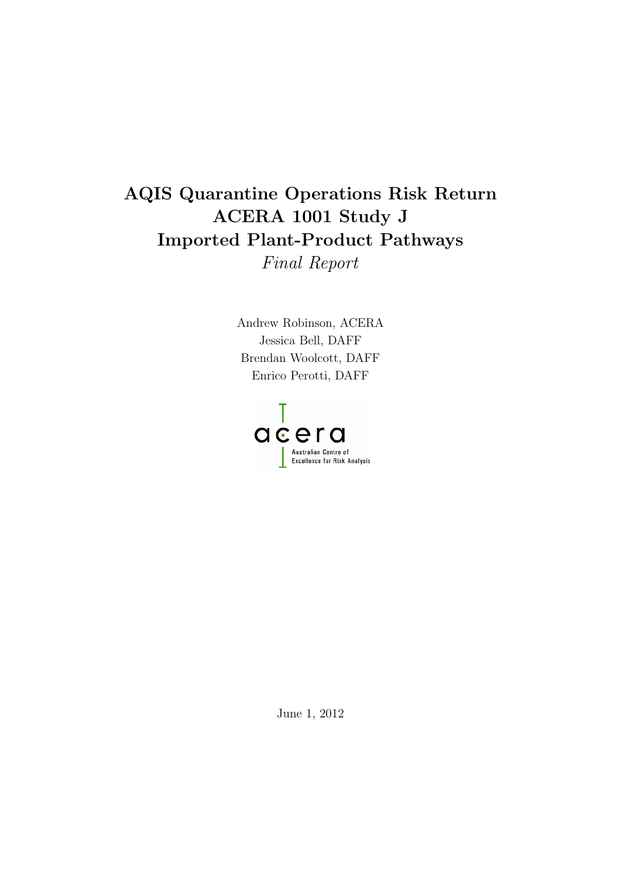## AQIS Quarantine Operations Risk Return ACERA 1001 Study J Imported Plant-Product Pathways Final Report

Andrew Robinson, ACERA Jessica Bell, DAFF Brendan Woolcott, DAFF Enrico Perotti, DAFF



June 1, 2012  $\sigma$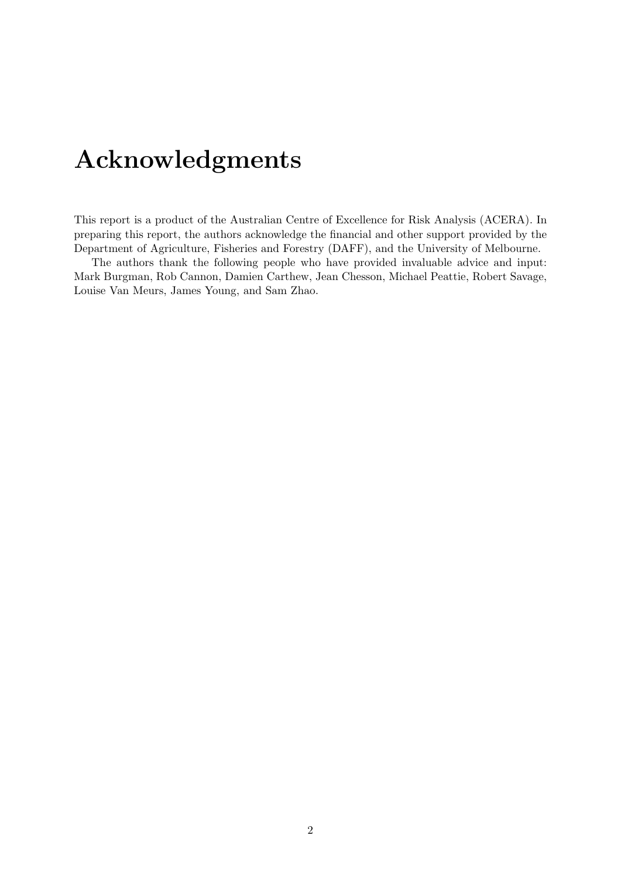# <span id="page-1-0"></span>Acknowledgments

This report is a product of the Australian Centre of Excellence for Risk Analysis (ACERA). In preparing this report, the authors acknowledge the financial and other support provided by the Department of Agriculture, Fisheries and Forestry (DAFF), and the University of Melbourne.

The authors thank the following people who have provided invaluable advice and input: Mark Burgman, Rob Cannon, Damien Carthew, Jean Chesson, Michael Peattie, Robert Savage, Louise Van Meurs, James Young, and Sam Zhao.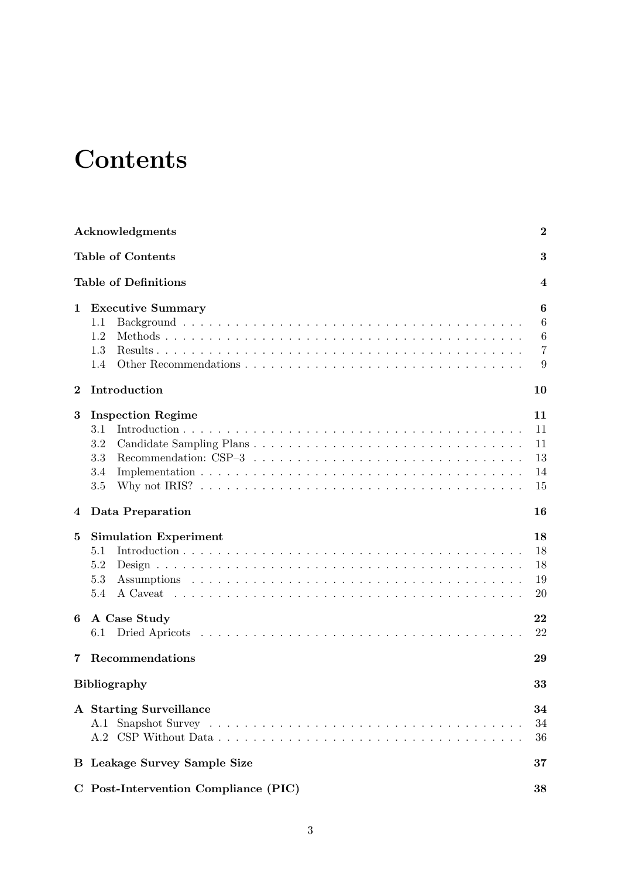# <span id="page-2-0"></span>**Contents**

|          | Acknowledgments                                                     | $\boldsymbol{2}$                                  |
|----------|---------------------------------------------------------------------|---------------------------------------------------|
|          | <b>Table of Contents</b>                                            | 3                                                 |
|          | <b>Table of Definitions</b>                                         | 4                                                 |
| 1        | <b>Executive Summary</b><br>1.1<br>1.2<br>1.3<br>1.4                | 6<br>$\boldsymbol{6}$<br>6<br>$\overline{7}$<br>9 |
| $\bf{2}$ | Introduction                                                        | 10                                                |
| $\bf{3}$ | <b>Inspection Regime</b><br>3.1<br>$3.2\,$<br>$3.3\,$<br>3.4<br>3.5 | 11<br>11<br>11<br>13<br>14<br>15                  |
| 4        | Data Preparation                                                    | 16                                                |
| 5        | <b>Simulation Experiment</b><br>5.1<br>5.2<br>5.3<br>5.4            | 18<br>18<br>18<br>19<br>20                        |
| 6        | A Case Study<br>$6.1\,$                                             | 22<br>22                                          |
| 7        | Recommendations                                                     | 29                                                |
|          | Bibliography                                                        | 33                                                |
|          | A Starting Surveillance                                             | 34<br>34<br>36                                    |
|          | <b>B</b> Leakage Survey Sample Size                                 | 37                                                |
|          | C Post-Intervention Compliance (PIC)                                | 38                                                |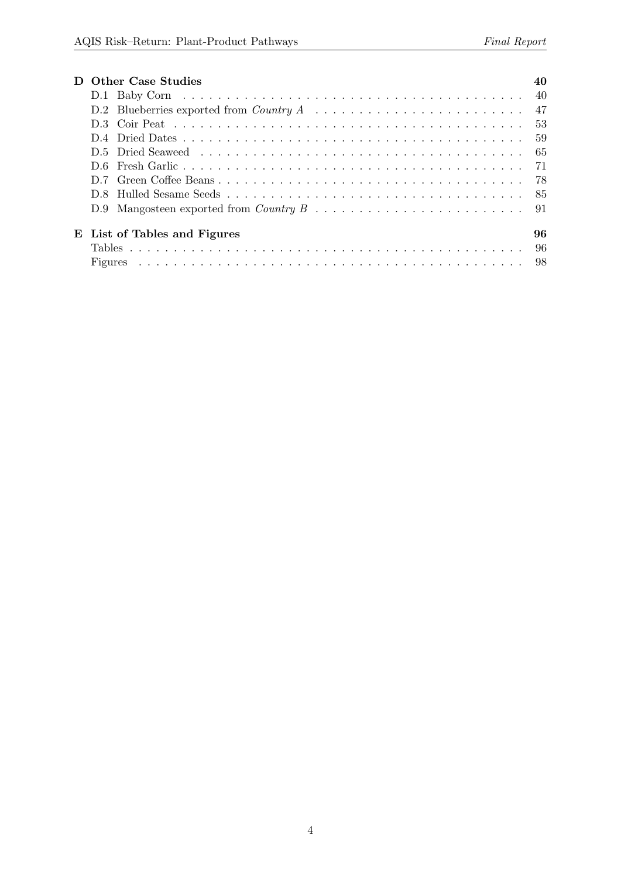| <b>Other Case Studies</b>    | 40  |
|------------------------------|-----|
|                              |     |
|                              |     |
|                              |     |
|                              | 59  |
|                              | -65 |
|                              |     |
|                              |     |
|                              |     |
|                              |     |
| E List of Tables and Figures | 96  |
|                              | -96 |
|                              |     |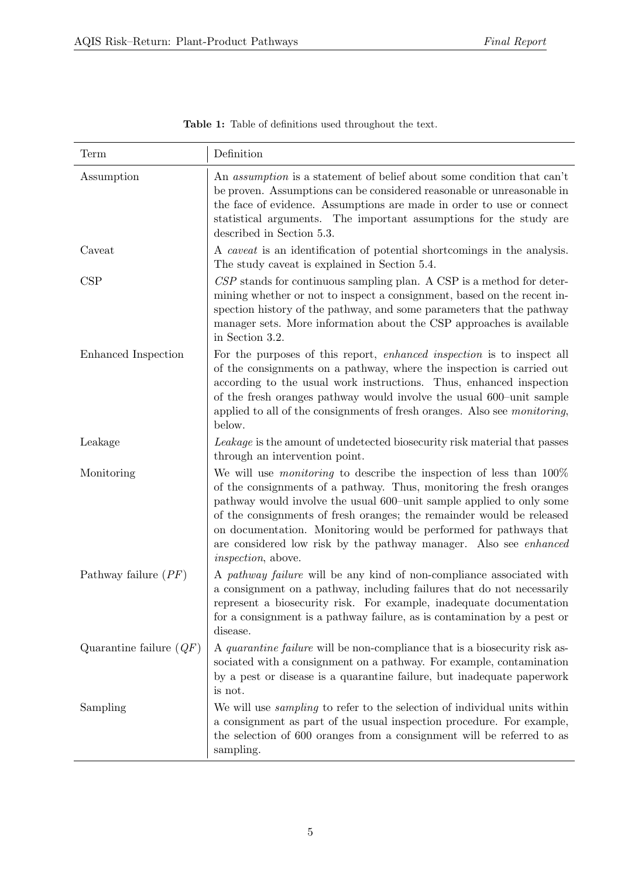| Term                      | Definition                                                                                                                                                                                                                                                                                                                                                                                                                                                                            |
|---------------------------|---------------------------------------------------------------------------------------------------------------------------------------------------------------------------------------------------------------------------------------------------------------------------------------------------------------------------------------------------------------------------------------------------------------------------------------------------------------------------------------|
| Assumption                | An <i>assumption</i> is a statement of belief about some condition that can't<br>be proven. Assumptions can be considered reasonable or unreasonable in<br>the face of evidence. Assumptions are made in order to use or connect<br>statistical arguments. The important assumptions for the study are<br>described in Section 5.3.                                                                                                                                                   |
| Caveat                    | A <i>caveat</i> is an identification of potential shortcomings in the analysis.<br>The study caveat is explained in Section 5.4.                                                                                                                                                                                                                                                                                                                                                      |
| CSP                       | $CSP$ stands for continuous sampling plan. A CSP is a method for deter-<br>mining whether or not to inspect a consignment, based on the recent in-<br>spection history of the pathway, and some parameters that the pathway<br>manager sets. More information about the CSP approaches is available<br>in Section 3.2.                                                                                                                                                                |
| Enhanced Inspection       | For the purposes of this report, <i>enhanced inspection</i> is to inspect all<br>of the consignments on a pathway, where the inspection is carried out<br>according to the usual work instructions. Thus, enhanced inspection<br>of the fresh oranges pathway would involve the usual 600-unit sample<br>applied to all of the consignments of fresh oranges. Also see <i>monitoring</i> ,<br>below.                                                                                  |
| Leakage                   | Leakage is the amount of undetected biosecurity risk material that passes<br>through an intervention point.                                                                                                                                                                                                                                                                                                                                                                           |
| Monitoring                | We will use <i>monitoring</i> to describe the inspection of less than $100\%$<br>of the consignments of a pathway. Thus, monitoring the fresh oranges<br>pathway would involve the usual 600-unit sample applied to only some<br>of the consignments of fresh oranges; the remainder would be released<br>on documentation. Monitoring would be performed for pathways that<br>are considered low risk by the pathway manager. Also see <i>enhanced</i><br><i>inspection</i> , above. |
| Pathway failure $(PF)$    | A pathway failure will be any kind of non-compliance associated with<br>a consignment on a pathway, including failures that do not necessarily<br>represent a biosecurity risk. For example, inadequate documentation<br>for a consignment is a pathway failure, as is contamination by a pest or<br>disease.                                                                                                                                                                         |
| Quarantine failure $(QF)$ | A <i>quarantine failure</i> will be non-compliance that is a biosecurity risk as-<br>sociated with a consignment on a pathway. For example, contamination<br>by a pest or disease is a quarantine failure, but inadequate paperwork<br>is not.                                                                                                                                                                                                                                        |
| Sampling                  | We will use <i>sampling</i> to refer to the selection of individual units within<br>a consignment as part of the usual inspection procedure. For example,<br>the selection of 600 oranges from a consignment will be referred to as<br>sampling.                                                                                                                                                                                                                                      |

Table 1: Table of definitions used throughout the text.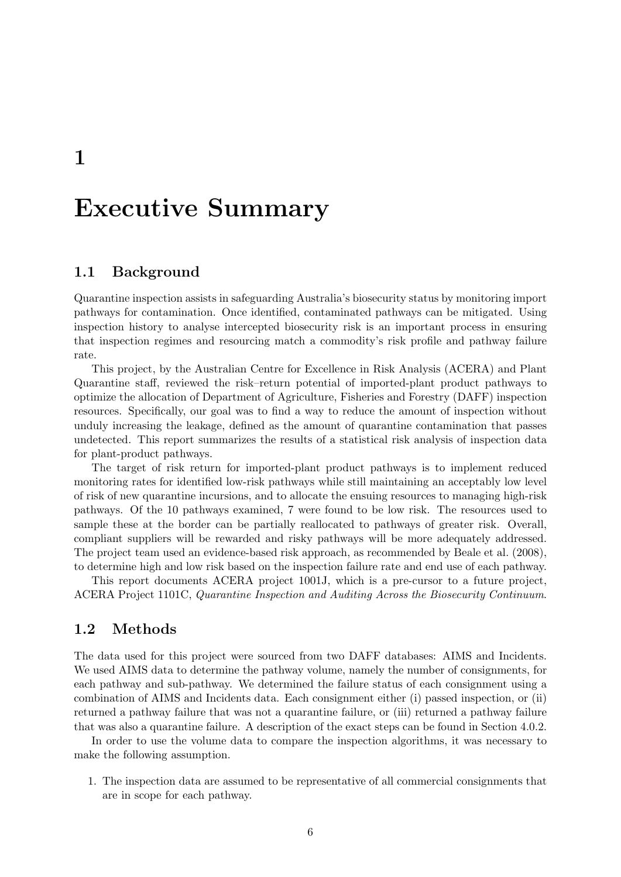<span id="page-5-0"></span>1

## Executive Summary

### <span id="page-5-1"></span>1.1 Background

Quarantine inspection assists in safeguarding Australia's biosecurity status by monitoring import pathways for contamination. Once identified, contaminated pathways can be mitigated. Using inspection history to analyse intercepted biosecurity risk is an important process in ensuring that inspection regimes and resourcing match a commodity's risk profile and pathway failure rate.

This project, by the Australian Centre for Excellence in Risk Analysis (ACERA) and Plant Quarantine staff, reviewed the risk–return potential of imported-plant product pathways to optimize the allocation of Department of Agriculture, Fisheries and Forestry (DAFF) inspection resources. Specifically, our goal was to find a way to reduce the amount of inspection without unduly increasing the leakage, defined as the amount of quarantine contamination that passes undetected. This report summarizes the results of a statistical risk analysis of inspection data for plant-product pathways.

The target of risk return for imported-plant product pathways is to implement reduced monitoring rates for identified low-risk pathways while still maintaining an acceptably low level of risk of new quarantine incursions, and to allocate the ensuing resources to managing high-risk pathways. Of the 10 pathways examined, 7 were found to be low risk. The resources used to sample these at the border can be partially reallocated to pathways of greater risk. Overall, compliant suppliers will be rewarded and risky pathways will be more adequately addressed. The project team used an evidence-based risk approach, as recommended by [Beale et al.](#page-32-1) [\(2008\)](#page-32-1), to determine high and low risk based on the inspection failure rate and end use of each pathway.

This report documents ACERA project 1001J, which is a pre-cursor to a future project, ACERA Project 1101C, Quarantine Inspection and Auditing Across the Biosecurity Continuum.

### <span id="page-5-2"></span>1.2 Methods

The data used for this project were sourced from two DAFF databases: AIMS and Incidents. We used AIMS data to determine the pathway volume, namely the number of consignments, for each pathway and sub-pathway. We determined the failure status of each consignment using a combination of AIMS and Incidents data. Each consignment either (i) passed inspection, or (ii) returned a pathway failure that was not a quarantine failure, or (iii) returned a pathway failure that was also a quarantine failure. A description of the exact steps can be found in Section [4.0.2.](#page-15-1)

In order to use the volume data to compare the inspection algorithms, it was necessary to make the following assumption.

1. The inspection data are assumed to be representative of all commercial consignments that are in scope for each pathway.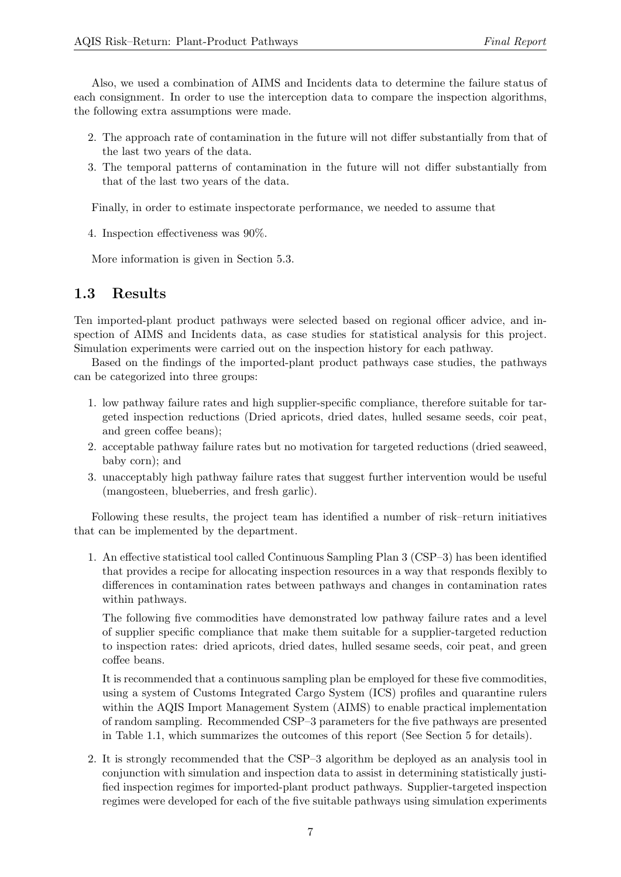Also, we used a combination of AIMS and Incidents data to determine the failure status of each consignment. In order to use the interception data to compare the inspection algorithms, the following extra assumptions were made.

- 2. The approach rate of contamination in the future will not differ substantially from that of the last two years of the data.
- 3. The temporal patterns of contamination in the future will not differ substantially from that of the last two years of the data.

Finally, in order to estimate inspectorate performance, we needed to assume that

4. Inspection effectiveness was 90%.

More information is given in Section [5.3.](#page-18-0)

## <span id="page-6-0"></span>1.3 Results

Ten imported-plant product pathways were selected based on regional officer advice, and inspection of AIMS and Incidents data, as case studies for statistical analysis for this project. Simulation experiments were carried out on the inspection history for each pathway.

Based on the findings of the imported-plant product pathways case studies, the pathways can be categorized into three groups:

- 1. low pathway failure rates and high supplier-specific compliance, therefore suitable for targeted inspection reductions (Dried apricots, dried dates, hulled sesame seeds, coir peat, and green coffee beans);
- 2. acceptable pathway failure rates but no motivation for targeted reductions (dried seaweed, baby corn); and
- 3. unacceptably high pathway failure rates that suggest further intervention would be useful (mangosteen, blueberries, and fresh garlic).

Following these results, the project team has identified a number of risk–return initiatives that can be implemented by the department.

1. An effective statistical tool called Continuous Sampling Plan 3 (CSP–3) has been identified that provides a recipe for allocating inspection resources in a way that responds flexibly to differences in contamination rates between pathways and changes in contamination rates within pathways.

The following five commodities have demonstrated low pathway failure rates and a level of supplier specific compliance that make them suitable for a supplier-targeted reduction to inspection rates: dried apricots, dried dates, hulled sesame seeds, coir peat, and green coffee beans.

It is recommended that a continuous sampling plan be employed for these five commodities, using a system of Customs Integrated Cargo System (ICS) profiles and quarantine rulers within the AQIS Import Management System (AIMS) to enable practical implementation of random sampling. Recommended CSP–3 parameters for the five pathways are presented in Table [1.1,](#page-7-0) which summarizes the outcomes of this report (See Section [5](#page-17-0) for details).

2. It is strongly recommended that the CSP–3 algorithm be deployed as an analysis tool in conjunction with simulation and inspection data to assist in determining statistically justified inspection regimes for imported-plant product pathways. Supplier-targeted inspection regimes were developed for each of the five suitable pathways using simulation experiments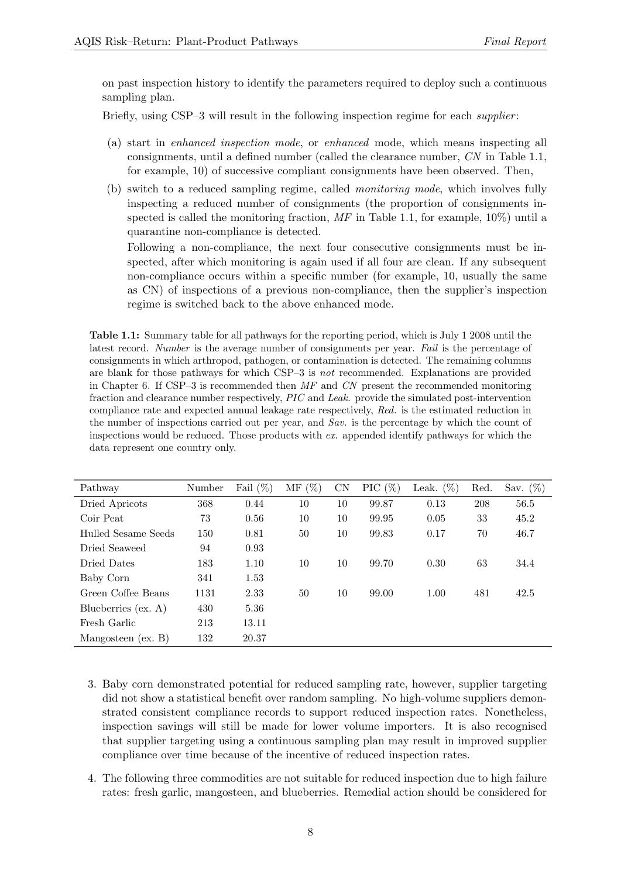on past inspection history to identify the parameters required to deploy such a continuous sampling plan.

Briefly, using CSP–3 will result in the following inspection regime for each *supplier*:

- (a) start in enhanced inspection mode, or enhanced mode, which means inspecting all consignments, until a defined number (called the clearance number, CN in Table [1.1,](#page-7-0) for example, 10) of successive compliant consignments have been observed. Then,
- (b) switch to a reduced sampling regime, called monitoring mode, which involves fully inspecting a reduced number of consignments (the proportion of consignments inspected is called the monitoring fraction,  $MF$  in Table [1.1,](#page-7-0) for example, 10%) until a quarantine non-compliance is detected.

Following a non-compliance, the next four consecutive consignments must be inspected, after which monitoring is again used if all four are clean. If any subsequent non-compliance occurs within a specific number (for example, 10, usually the same as CN) of inspections of a previous non-compliance, then the supplier's inspection regime is switched back to the above enhanced mode.

<span id="page-7-0"></span>Table 1.1: Summary table for all pathways for the reporting period, which is July 1 2008 until the latest record. Number is the average number of consignments per year. Fail is the percentage of consignments in which arthropod, pathogen, or contamination is detected. The remaining columns are blank for those pathways for which CSP–3 is not recommended. Explanations are provided in Chapter [6.](#page-21-0) If CSP–3 is recommended then  $MF$  and CN present the recommended monitoring fraction and clearance number respectively, PIC and Leak. provide the simulated post-intervention compliance rate and expected annual leakage rate respectively, Red. is the estimated reduction in the number of inspections carried out per year, and Sav. is the percentage by which the count of inspections would be reduced. Those products with ex. appended identify pathways for which the data represent one country only.

| Pathway               | Number | Fail $(\%)$ | $(\% )$<br>МF | CN | PIC $(\%)$ | Leak. $(\%)$ | Red. | Sav. $(\%)$ |
|-----------------------|--------|-------------|---------------|----|------------|--------------|------|-------------|
| Dried Apricots        | 368    | 0.44        | 10            | 10 | 99.87      | 0.13         | 208  | 56.5        |
| Coir Peat             | 73     | 0.56        | 10            | 10 | 99.95      | 0.05         | 33   | 45.2        |
| Hulled Sesame Seeds   | 150    | 0.81        | 50            | 10 | 99.83      | 0.17         | 70   | 46.7        |
| Dried Seaweed         | 94     | 0.93        |               |    |            |              |      |             |
| Dried Dates           | 183    | 1.10        | 10            | 10 | 99.70      | 0.30         | 63   | 34.4        |
| Baby Corn             | 341    | 1.53        |               |    |            |              |      |             |
| Green Coffee Beans    | 1131   | 2.33        | 50            | 10 | 99.00      | 1.00         | 481  | 42.5        |
| Blueberries $(ex. A)$ | 430    | 5.36        |               |    |            |              |      |             |
| Fresh Garlic          | 213    | 13.11       |               |    |            |              |      |             |
| Mangosteen $(ex. B)$  | 132    | 20.37       |               |    |            |              |      |             |

- 3. Baby corn demonstrated potential for reduced sampling rate, however, supplier targeting did not show a statistical benefit over random sampling. No high-volume suppliers demonstrated consistent compliance records to support reduced inspection rates. Nonetheless, inspection savings will still be made for lower volume importers. It is also recognised that supplier targeting using a continuous sampling plan may result in improved supplier compliance over time because of the incentive of reduced inspection rates.
- 4. The following three commodities are not suitable for reduced inspection due to high failure rates: fresh garlic, mangosteen, and blueberries. Remedial action should be considered for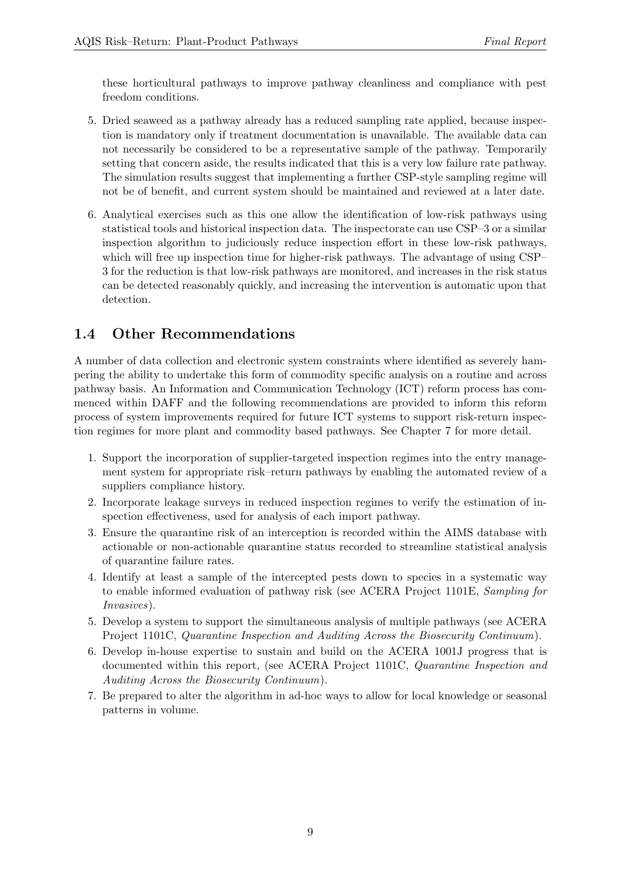these horticultural pathways to improve pathway cleanliness and compliance with pest freedom conditions.

- 5. Dried seaweed as a pathway already has a reduced sampling rate applied, because inspection is mandatory only if treatment documentation is unavailable. The available data can not necessarily be considered to be a representative sample of the pathway. Temporarily setting that concern aside, the results indicated that this is a very low failure rate pathway. The simulation results suggest that implementing a further CSP-style sampling regime will not be of benefit, and current system should be maintained and reviewed at a later date.
- 6. Analytical exercises such as this one allow the identification of low-risk pathways using statistical tools and historical inspection data. The inspectorate can use CSP–3 or a similar inspection algorithm to judiciously reduce inspection effort in these low-risk pathways, which will free up inspection time for higher-risk pathways. The advantage of using CSP– 3 for the reduction is that low-risk pathways are monitored, and increases in the risk status can be detected reasonably quickly, and increasing the intervention is automatic upon that detection.

## <span id="page-8-0"></span>1.4 Other Recommendations

A number of data collection and electronic system constraints where identified as severely hampering the ability to undertake this form of commodity specific analysis on a routine and across pathway basis. An Information and Communication Technology (ICT) reform process has commenced within DAFF and the following recommendations are provided to inform this reform process of system improvements required for future ICT systems to support risk-return inspection regimes for more plant and commodity based pathways. See Chapter [7](#page-28-0) for more detail.

- 1. Support the incorporation of supplier-targeted inspection regimes into the entry management system for appropriate risk–return pathways by enabling the automated review of a suppliers compliance history.
- 2. Incorporate leakage surveys in reduced inspection regimes to verify the estimation of inspection effectiveness, used for analysis of each import pathway.
- 3. Ensure the quarantine risk of an interception is recorded within the AIMS database with actionable or non-actionable quarantine status recorded to streamline statistical analysis of quarantine failure rates.
- 4. Identify at least a sample of the intercepted pests down to species in a systematic way to enable informed evaluation of pathway risk (see ACERA Project 1101E, Sampling for Invasives).
- 5. Develop a system to support the simultaneous analysis of multiple pathways (see ACERA Project 1101C, Quarantine Inspection and Auditing Across the Biosecurity Continuum).
- 6. Develop in-house expertise to sustain and build on the ACERA 1001J progress that is documented within this report, (see ACERA Project 1101C, Quarantine Inspection and Auditing Across the Biosecurity Continuum).
- 7. Be prepared to alter the algorithm in ad-hoc ways to allow for local knowledge or seasonal patterns in volume.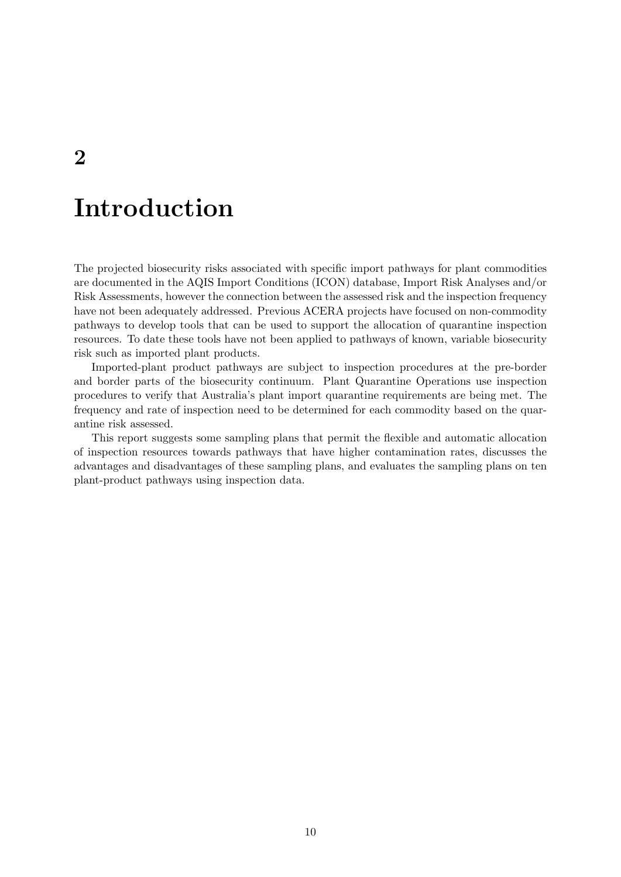# Introduction

The projected biosecurity risks associated with specific import pathways for plant commodities are documented in the AQIS Import Conditions (ICON) database, Import Risk Analyses and/or Risk Assessments, however the connection between the assessed risk and the inspection frequency have not been adequately addressed. Previous ACERA projects have focused on non-commodity pathways to develop tools that can be used to support the allocation of quarantine inspection resources. To date these tools have not been applied to pathways of known, variable biosecurity risk such as imported plant products.

Imported-plant product pathways are subject to inspection procedures at the pre-border and border parts of the biosecurity continuum. Plant Quarantine Operations use inspection procedures to verify that Australia's plant import quarantine requirements are being met. The frequency and rate of inspection need to be determined for each commodity based on the quarantine risk assessed.

This report suggests some sampling plans that permit the flexible and automatic allocation of inspection resources towards pathways that have higher contamination rates, discusses the advantages and disadvantages of these sampling plans, and evaluates the sampling plans on ten plant-product pathways using inspection data.

<span id="page-9-0"></span>2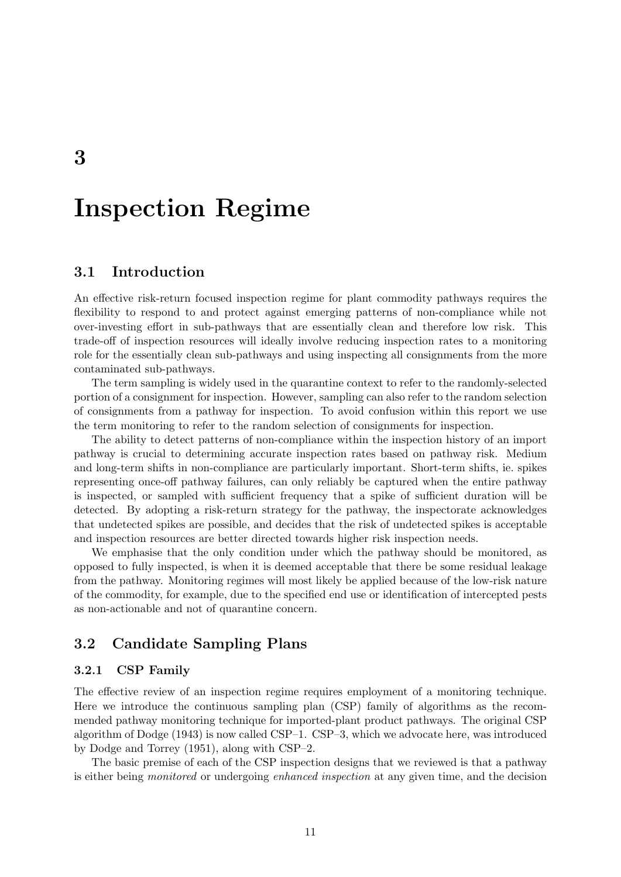# <span id="page-10-0"></span>Inspection Regime

## <span id="page-10-1"></span>3.1 Introduction

An effective risk-return focused inspection regime for plant commodity pathways requires the flexibility to respond to and protect against emerging patterns of non-compliance while not over-investing effort in sub-pathways that are essentially clean and therefore low risk. This trade-off of inspection resources will ideally involve reducing inspection rates to a monitoring role for the essentially clean sub-pathways and using inspecting all consignments from the more contaminated sub-pathways.

The term sampling is widely used in the quarantine context to refer to the randomly-selected portion of a consignment for inspection. However, sampling can also refer to the random selection of consignments from a pathway for inspection. To avoid confusion within this report we use the term monitoring to refer to the random selection of consignments for inspection.

The ability to detect patterns of non-compliance within the inspection history of an import pathway is crucial to determining accurate inspection rates based on pathway risk. Medium and long-term shifts in non-compliance are particularly important. Short-term shifts, ie. spikes representing once-off pathway failures, can only reliably be captured when the entire pathway is inspected, or sampled with sufficient frequency that a spike of sufficient duration will be detected. By adopting a risk-return strategy for the pathway, the inspectorate acknowledges that undetected spikes are possible, and decides that the risk of undetected spikes is acceptable and inspection resources are better directed towards higher risk inspection needs.

We emphasise that the only condition under which the pathway should be monitored, as opposed to fully inspected, is when it is deemed acceptable that there be some residual leakage from the pathway. Monitoring regimes will most likely be applied because of the low-risk nature of the commodity, for example, due to the specified end use or identification of intercepted pests as non-actionable and not of quarantine concern.

## <span id="page-10-2"></span>3.2 Candidate Sampling Plans

#### 3.2.1 CSP Family

The effective review of an inspection regime requires employment of a monitoring technique. Here we introduce the continuous sampling plan (CSP) family of algorithms as the recommended pathway monitoring technique for imported-plant product pathways. The original CSP algorithm of [Dodge](#page-32-2) [\(1943\)](#page-32-2) is now called CSP–1. CSP–3, which we advocate here, was introduced by [Dodge and Torrey](#page-32-3) [\(1951\)](#page-32-3), along with CSP–2.

The basic premise of each of the CSP inspection designs that we reviewed is that a pathway is either being *monitored* or undergoing *enhanced inspection* at any given time, and the decision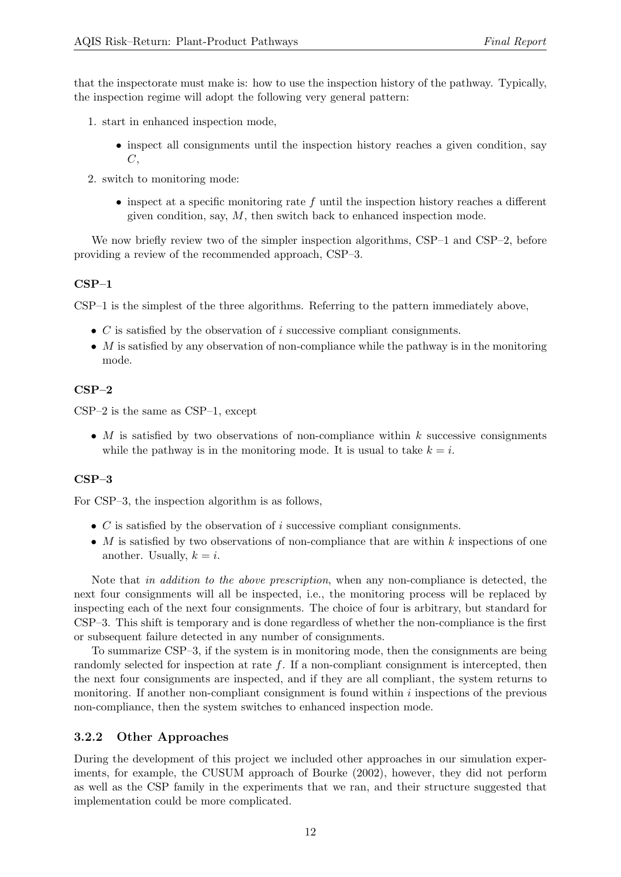that the inspectorate must make is: how to use the inspection history of the pathway. Typically, the inspection regime will adopt the following very general pattern:

- 1. start in enhanced inspection mode,
	- inspect all consignments until the inspection history reaches a given condition, say  $C$ .
- 2. switch to monitoring mode:
	- $\bullet$  inspect at a specific monitoring rate f until the inspection history reaches a different given condition, say,  $M$ , then switch back to enhanced inspection mode.

We now briefly review two of the simpler inspection algorithms, CSP–1 and CSP–2, before providing a review of the recommended approach, CSP–3.

#### CSP–1

CSP–1 is the simplest of the three algorithms. Referring to the pattern immediately above,

- $C$  is satisfied by the observation of i successive compliant consignments.
- $M$  is satisfied by any observation of non-compliance while the pathway is in the monitoring mode.

### CSP–2

CSP–2 is the same as CSP–1, except

• M is satisfied by two observations of non-compliance within  $k$  successive consignments while the pathway is in the monitoring mode. It is usual to take  $k = i$ .

#### CSP–3

For CSP–3, the inspection algorithm is as follows,

- $C$  is satisfied by the observation of i successive compliant consignments.
- M is satisfied by two observations of non-compliance that are within  $k$  inspections of one another. Usually,  $k = i$ .

Note that in addition to the above prescription, when any non-compliance is detected, the next four consignments will all be inspected, i.e., the monitoring process will be replaced by inspecting each of the next four consignments. The choice of four is arbitrary, but standard for CSP–3. This shift is temporary and is done regardless of whether the non-compliance is the first or subsequent failure detected in any number of consignments.

To summarize CSP–3, if the system is in monitoring mode, then the consignments are being randomly selected for inspection at rate f. If a non-compliant consignment is intercepted, then the next four consignments are inspected, and if they are all compliant, the system returns to monitoring. If another non-compliant consignment is found within  $i$  inspections of the previous non-compliance, then the system switches to enhanced inspection mode.

### 3.2.2 Other Approaches

During the development of this project we included other approaches in our simulation experiments, for example, the CUSUM approach of [Bourke](#page-32-4) [\(2002\)](#page-32-4), however, they did not perform as well as the CSP family in the experiments that we ran, and their structure suggested that implementation could be more complicated.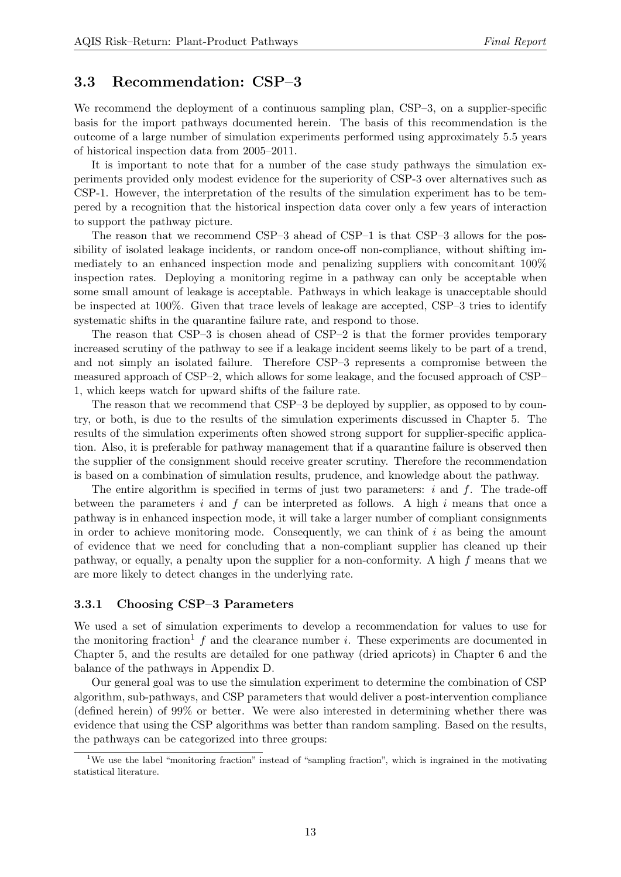### <span id="page-12-0"></span>3.3 Recommendation: CSP–3

We recommend the deployment of a continuous sampling plan, CSP–3, on a supplier-specific basis for the import pathways documented herein. The basis of this recommendation is the outcome of a large number of simulation experiments performed using approximately 5.5 years of historical inspection data from 2005–2011.

It is important to note that for a number of the case study pathways the simulation experiments provided only modest evidence for the superiority of CSP-3 over alternatives such as CSP-1. However, the interpretation of the results of the simulation experiment has to be tempered by a recognition that the historical inspection data cover only a few years of interaction to support the pathway picture.

The reason that we recommend CSP–3 ahead of CSP–1 is that CSP–3 allows for the possibility of isolated leakage incidents, or random once-off non-compliance, without shifting immediately to an enhanced inspection mode and penalizing suppliers with concomitant 100% inspection rates. Deploying a monitoring regime in a pathway can only be acceptable when some small amount of leakage is acceptable. Pathways in which leakage is unacceptable should be inspected at 100%. Given that trace levels of leakage are accepted, CSP–3 tries to identify systematic shifts in the quarantine failure rate, and respond to those.

The reason that CSP–3 is chosen ahead of CSP–2 is that the former provides temporary increased scrutiny of the pathway to see if a leakage incident seems likely to be part of a trend, and not simply an isolated failure. Therefore CSP–3 represents a compromise between the measured approach of CSP–2, which allows for some leakage, and the focused approach of CSP– 1, which keeps watch for upward shifts of the failure rate.

The reason that we recommend that CSP–3 be deployed by supplier, as opposed to by country, or both, is due to the results of the simulation experiments discussed in Chapter [5.](#page-17-0) The results of the simulation experiments often showed strong support for supplier-specific application. Also, it is preferable for pathway management that if a quarantine failure is observed then the supplier of the consignment should receive greater scrutiny. Therefore the recommendation is based on a combination of simulation results, prudence, and knowledge about the pathway.

The entire algorithm is specified in terms of just two parameters:  $i$  and  $f$ . The trade-off between the parameters i and f can be interpreted as follows. A high i means that once a pathway is in enhanced inspection mode, it will take a larger number of compliant consignments in order to achieve monitoring mode. Consequently, we can think of  $i$  as being the amount of evidence that we need for concluding that a non-compliant supplier has cleaned up their pathway, or equally, a penalty upon the supplier for a non-conformity. A high f means that we are more likely to detect changes in the underlying rate.

#### 3.3.1 Choosing CSP–3 Parameters

We used a set of simulation experiments to develop a recommendation for values to use for the monitoring fraction<sup>[1](#page-12-1)</sup> f and the clearance number i. These experiments are documented in Chapter [5,](#page-17-0) and the results are detailed for one pathway (dried apricots) in Chapter [6](#page-21-0) and the balance of the pathways in Appendix [D.](#page-39-0)

Our general goal was to use the simulation experiment to determine the combination of CSP algorithm, sub-pathways, and CSP parameters that would deliver a post-intervention compliance (defined herein) of 99% or better. We were also interested in determining whether there was evidence that using the CSP algorithms was better than random sampling. Based on the results, the pathways can be categorized into three groups:

<span id="page-12-1"></span><sup>1</sup>We use the label "monitoring fraction" instead of "sampling fraction", which is ingrained in the motivating statistical literature.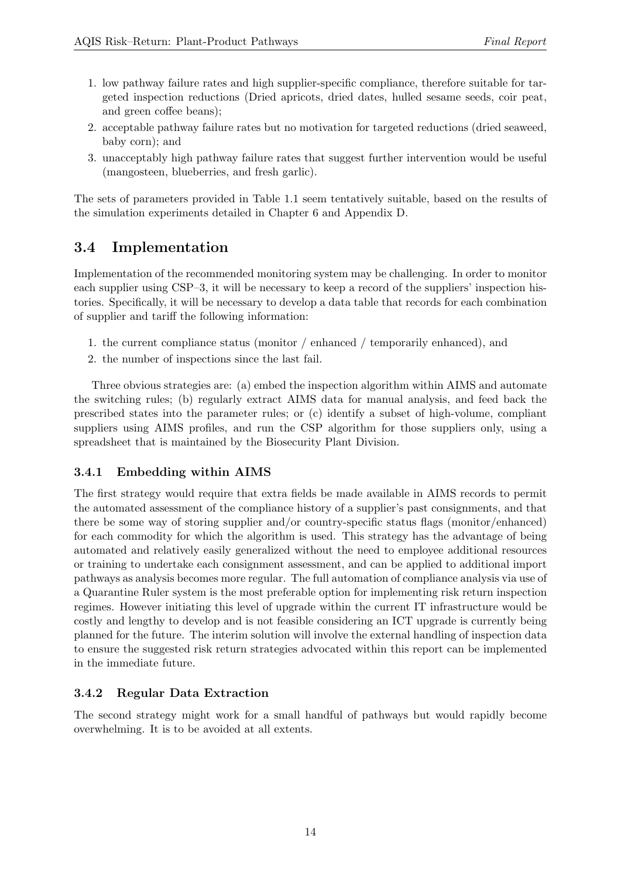- 1. low pathway failure rates and high supplier-specific compliance, therefore suitable for targeted inspection reductions (Dried apricots, dried dates, hulled sesame seeds, coir peat, and green coffee beans);
- 2. acceptable pathway failure rates but no motivation for targeted reductions (dried seaweed, baby corn); and
- 3. unacceptably high pathway failure rates that suggest further intervention would be useful (mangosteen, blueberries, and fresh garlic).

The sets of parameters provided in Table [1.1](#page-7-0) seem tentatively suitable, based on the results of the simulation experiments detailed in Chapter [6](#page-21-0) and Appendix [D.](#page-39-0)

## <span id="page-13-0"></span>3.4 Implementation

Implementation of the recommended monitoring system may be challenging. In order to monitor each supplier using CSP–3, it will be necessary to keep a record of the suppliers' inspection histories. Specifically, it will be necessary to develop a data table that records for each combination of supplier and tariff the following information:

- 1. the current compliance status (monitor / enhanced / temporarily enhanced), and
- 2. the number of inspections since the last fail.

Three obvious strategies are: (a) embed the inspection algorithm within AIMS and automate the switching rules; (b) regularly extract AIMS data for manual analysis, and feed back the prescribed states into the parameter rules; or (c) identify a subset of high-volume, compliant suppliers using AIMS profiles, and run the CSP algorithm for those suppliers only, using a spreadsheet that is maintained by the Biosecurity Plant Division.

### 3.4.1 Embedding within AIMS

The first strategy would require that extra fields be made available in AIMS records to permit the automated assessment of the compliance history of a supplier's past consignments, and that there be some way of storing supplier and/or country-specific status flags (monitor/enhanced) for each commodity for which the algorithm is used. This strategy has the advantage of being automated and relatively easily generalized without the need to employee additional resources or training to undertake each consignment assessment, and can be applied to additional import pathways as analysis becomes more regular. The full automation of compliance analysis via use of a Quarantine Ruler system is the most preferable option for implementing risk return inspection regimes. However initiating this level of upgrade within the current IT infrastructure would be costly and lengthy to develop and is not feasible considering an ICT upgrade is currently being planned for the future. The interim solution will involve the external handling of inspection data to ensure the suggested risk return strategies advocated within this report can be implemented in the immediate future.

### 3.4.2 Regular Data Extraction

The second strategy might work for a small handful of pathways but would rapidly become overwhelming. It is to be avoided at all extents.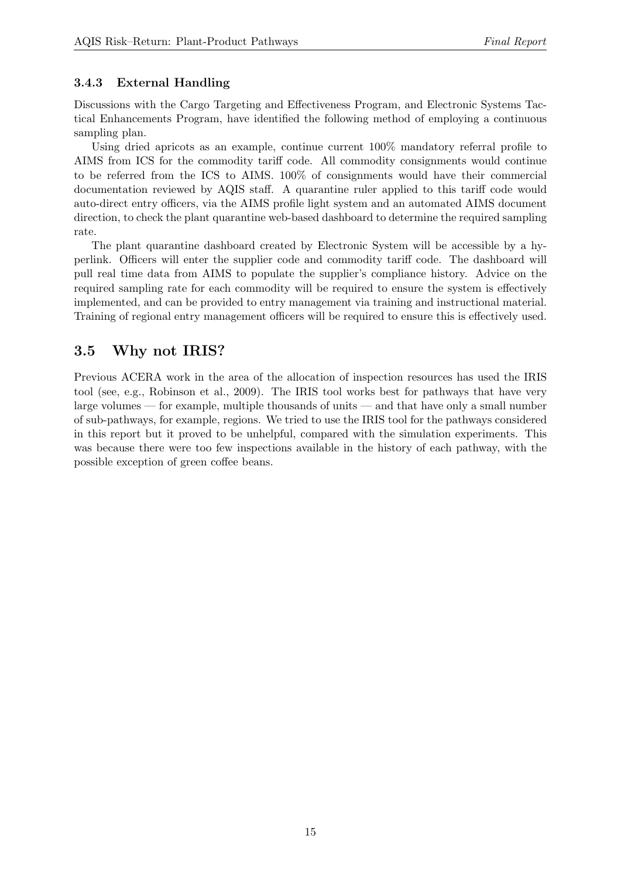## 3.4.3 External Handling

Discussions with the Cargo Targeting and Effectiveness Program, and Electronic Systems Tactical Enhancements Program, have identified the following method of employing a continuous sampling plan.

Using dried apricots as an example, continue current 100% mandatory referral profile to AIMS from ICS for the commodity tariff code. All commodity consignments would continue to be referred from the ICS to AIMS. 100% of consignments would have their commercial documentation reviewed by AQIS staff. A quarantine ruler applied to this tariff code would auto-direct entry officers, via the AIMS profile light system and an automated AIMS document direction, to check the plant quarantine web-based dashboard to determine the required sampling rate.

The plant quarantine dashboard created by Electronic System will be accessible by a hyperlink. Officers will enter the supplier code and commodity tariff code. The dashboard will pull real time data from AIMS to populate the supplier's compliance history. Advice on the required sampling rate for each commodity will be required to ensure the system is effectively implemented, and can be provided to entry management via training and instructional material. Training of regional entry management officers will be required to ensure this is effectively used.

## <span id="page-14-0"></span>3.5 Why not IRIS?

Previous ACERA work in the area of the allocation of inspection resources has used the IRIS tool (see, e.g., [Robinson et al.,](#page-32-5) [2009\)](#page-32-5). The IRIS tool works best for pathways that have very large volumes — for example, multiple thousands of units — and that have only a small number of sub-pathways, for example, regions. We tried to use the IRIS tool for the pathways considered in this report but it proved to be unhelpful, compared with the simulation experiments. This was because there were too few inspections available in the history of each pathway, with the possible exception of green coffee beans.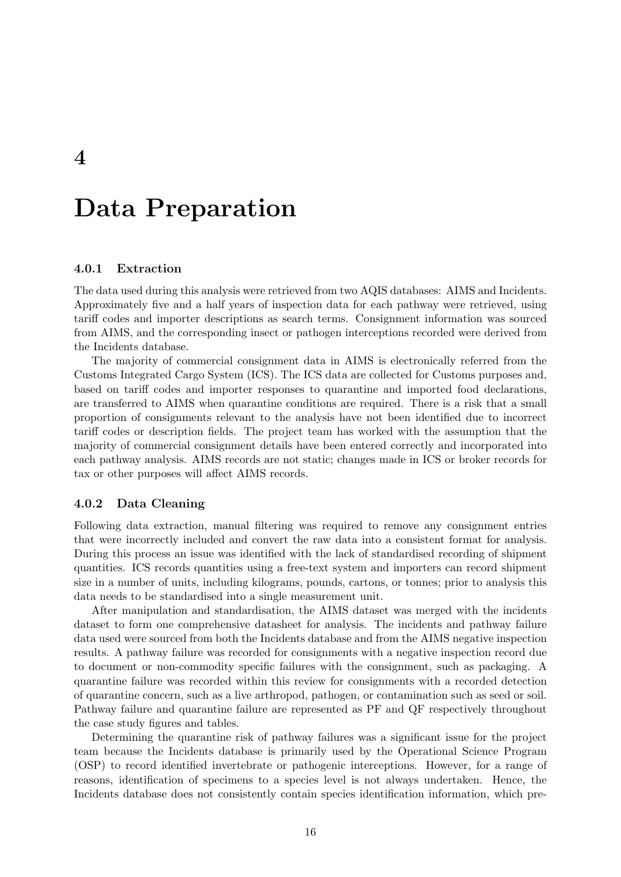## <span id="page-15-0"></span>Data Preparation

#### 4.0.1 Extraction

The data used during this analysis were retrieved from two AQIS databases: AIMS and Incidents. Approximately five and a half years of inspection data for each pathway were retrieved, using tariff codes and importer descriptions as search terms. Consignment information was sourced from AIMS, and the corresponding insect or pathogen interceptions recorded were derived from the Incidents database.

The majority of commercial consignment data in AIMS is electronically referred from the Customs Integrated Cargo System (ICS). The ICS data are collected for Customs purposes and, based on tariff codes and importer responses to quarantine and imported food declarations, are transferred to AIMS when quarantine conditions are required. There is a risk that a small proportion of consignments relevant to the analysis have not been identified due to incorrect tariff codes or description fields. The project team has worked with the assumption that the majority of commercial consignment details have been entered correctly and incorporated into each pathway analysis. AIMS records are not static; changes made in ICS or broker records for tax or other purposes will affect AIMS records.

#### <span id="page-15-1"></span>4.0.2 Data Cleaning

Following data extraction, manual filtering was required to remove any consignment entries that were incorrectly included and convert the raw data into a consistent format for analysis. During this process an issue was identified with the lack of standardised recording of shipment quantities. ICS records quantities using a free-text system and importers can record shipment size in a number of units, including kilograms, pounds, cartons, or tonnes; prior to analysis this data needs to be standardised into a single measurement unit.

After manipulation and standardisation, the AIMS dataset was merged with the incidents dataset to form one comprehensive datasheet for analysis. The incidents and pathway failure data used were sourced from both the Incidents database and from the AIMS negative inspection results. A pathway failure was recorded for consignments with a negative inspection record due to document or non-commodity specific failures with the consignment, such as packaging. A quarantine failure was recorded within this review for consignments with a recorded detection of quarantine concern, such as a live arthropod, pathogen, or contamination such as seed or soil. Pathway failure and quarantine failure are represented as PF and QF respectively throughout the case study figures and tables.

Determining the quarantine risk of pathway failures was a significant issue for the project team because the Incidents database is primarily used by the Operational Science Program (OSP) to record identified invertebrate or pathogenic interceptions. However, for a range of reasons, identification of specimens to a species level is not always undertaken. Hence, the Incidents database does not consistently contain species identification information, which pre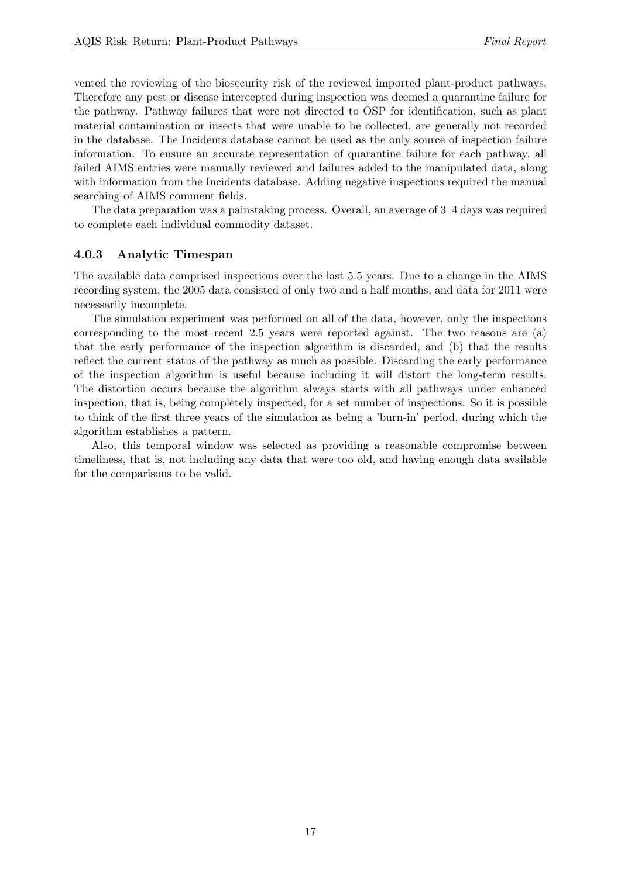vented the reviewing of the biosecurity risk of the reviewed imported plant-product pathways. Therefore any pest or disease intercepted during inspection was deemed a quarantine failure for the pathway. Pathway failures that were not directed to OSP for identification, such as plant material contamination or insects that were unable to be collected, are generally not recorded in the database. The Incidents database cannot be used as the only source of inspection failure information. To ensure an accurate representation of quarantine failure for each pathway, all failed AIMS entries were manually reviewed and failures added to the manipulated data, along with information from the Incidents database. Adding negative inspections required the manual searching of AIMS comment fields.

The data preparation was a painstaking process. Overall, an average of 3–4 days was required to complete each individual commodity dataset.

#### <span id="page-16-0"></span>4.0.3 Analytic Timespan

The available data comprised inspections over the last 5.5 years. Due to a change in the AIMS recording system, the 2005 data consisted of only two and a half months, and data for 2011 were necessarily incomplete.

The simulation experiment was performed on all of the data, however, only the inspections corresponding to the most recent 2.5 years were reported against. The two reasons are (a) that the early performance of the inspection algorithm is discarded, and (b) that the results reflect the current status of the pathway as much as possible. Discarding the early performance of the inspection algorithm is useful because including it will distort the long-term results. The distortion occurs because the algorithm always starts with all pathways under enhanced inspection, that is, being completely inspected, for a set number of inspections. So it is possible to think of the first three years of the simulation as being a 'burn-in' period, during which the algorithm establishes a pattern.

Also, this temporal window was selected as providing a reasonable compromise between timeliness, that is, not including any data that were too old, and having enough data available for the comparisons to be valid.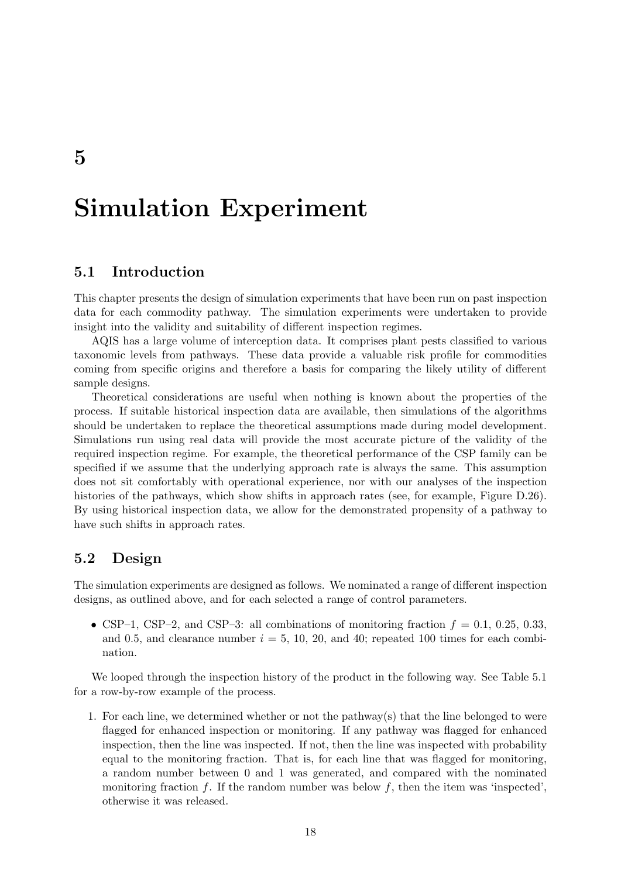## <span id="page-17-0"></span>Simulation Experiment

### <span id="page-17-1"></span>5.1 Introduction

This chapter presents the design of simulation experiments that have been run on past inspection data for each commodity pathway. The simulation experiments were undertaken to provide insight into the validity and suitability of different inspection regimes.

AQIS has a large volume of interception data. It comprises plant pests classified to various taxonomic levels from pathways. These data provide a valuable risk profile for commodities coming from specific origins and therefore a basis for comparing the likely utility of different sample designs.

Theoretical considerations are useful when nothing is known about the properties of the process. If suitable historical inspection data are available, then simulations of the algorithms should be undertaken to replace the theoretical assumptions made during model development. Simulations run using real data will provide the most accurate picture of the validity of the required inspection regime. For example, the theoretical performance of the CSP family can be specified if we assume that the underlying approach rate is always the same. This assumption does not sit comfortably with operational experience, nor with our analyses of the inspection histories of the pathways, which show shifts in approach rates (see, for example, Figure [D.26\)](#page-79-0). By using historical inspection data, we allow for the demonstrated propensity of a pathway to have such shifts in approach rates.

### <span id="page-17-2"></span>5.2 Design

The simulation experiments are designed as follows. We nominated a range of different inspection designs, as outlined above, and for each selected a range of control parameters.

• CSP–1, CSP–2, and CSP–3: all combinations of monitoring fraction  $f = 0.1, 0.25, 0.33$ , and 0.5, and clearance number  $i = 5, 10, 20,$  and 40; repeated 100 times for each combination.

We looped through the inspection history of the product in the following way. See Table [5.1](#page-18-1) for a row-by-row example of the process.

1. For each line, we determined whether or not the pathway(s) that the line belonged to were flagged for enhanced inspection or monitoring. If any pathway was flagged for enhanced inspection, then the line was inspected. If not, then the line was inspected with probability equal to the monitoring fraction. That is, for each line that was flagged for monitoring, a random number between 0 and 1 was generated, and compared with the nominated monitoring fraction f. If the random number was below f, then the item was 'inspected', otherwise it was released.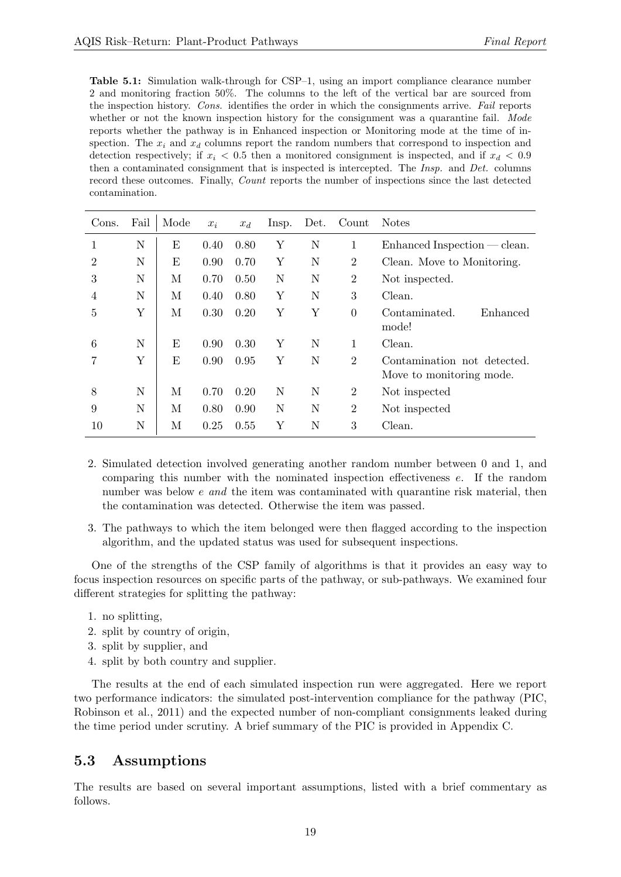<span id="page-18-1"></span>Table 5.1: Simulation walk-through for CSP–1, using an import compliance clearance number 2 and monitoring fraction 50%. The columns to the left of the vertical bar are sourced from the inspection history. Cons. identifies the order in which the consignments arrive. Fail reports whether or not the known inspection history for the consignment was a quarantine fail. Mode reports whether the pathway is in Enhanced inspection or Monitoring mode at the time of inspection. The  $x_i$  and  $x_d$  columns report the random numbers that correspond to inspection and detection respectively; if  $x_i < 0.5$  then a monitored consignment is inspected, and if  $x_d < 0.9$ then a contaminated consignment that is inspected is intercepted. The Insp. and Det. columns record these outcomes. Finally, Count reports the number of inspections since the last detected contamination.

| Cons.          | Fail | Mode | $x_i$ | $x_d$ | lnsp. | Det. | Count          | <b>Notes</b>                                            |
|----------------|------|------|-------|-------|-------|------|----------------|---------------------------------------------------------|
|                | N    | E    | 0.40  | 0.80  | Y     | N    | 1              | $Enhanced Inspection - clean.$                          |
| $\overline{2}$ | N    | E    | 0.90  | 0.70  | Υ     | N    | $\overline{2}$ | Clean. Move to Monitoring.                              |
| 3              | N    | М    | 0.70  | 0.50  | N     | N    | $\overline{2}$ | Not inspected.                                          |
| 4              | N    | М    | 0.40  | 0.80  | Υ     | N    | 3              | Clean.                                                  |
| 5              | Υ    | М    | 0.30  | 0.20  | Υ     | Υ    | $\theta$       | Contaminated.<br>Enhanced<br>mode!                      |
| 6              | N    | E    | 0.90  | 0.30  | Y     | N    | 1              | Clean.                                                  |
|                | Υ    | Ε    | 0.90  | 0.95  | Υ     | N    | $\overline{2}$ | Contamination not detected.<br>Move to monitoring mode. |
| 8              | N    | М    | 0.70  | 0.20  | N     | N    | 2              | Not inspected                                           |
| 9              | N    | М    | 0.80  | 0.90  | N     | N    | $\overline{2}$ | Not inspected                                           |
| 10             | N    | М    | 0.25  | 0.55  | Υ     | N    | 3              | Clean.                                                  |

- 2. Simulated detection involved generating another random number between 0 and 1, and comparing this number with the nominated inspection effectiveness e. If the random number was below e and the item was contaminated with quarantine risk material, then the contamination was detected. Otherwise the item was passed.
- 3. The pathways to which the item belonged were then flagged according to the inspection algorithm, and the updated status was used for subsequent inspections.

One of the strengths of the CSP family of algorithms is that it provides an easy way to focus inspection resources on specific parts of the pathway, or sub-pathways. We examined four different strategies for splitting the pathway:

- 1. no splitting,
- 2. split by country of origin,
- 3. split by supplier, and
- 4. split by both country and supplier.

The results at the end of each simulated inspection run were aggregated. Here we report two performance indicators: the simulated post-intervention compliance for the pathway (PIC, [Robinson et al.,](#page-32-6) [2011\)](#page-32-6) and the expected number of non-compliant consignments leaked during the time period under scrutiny. A brief summary of the PIC is provided in Appendix [C.](#page-37-0)

### <span id="page-18-0"></span>5.3 Assumptions

The results are based on several important assumptions, listed with a brief commentary as follows.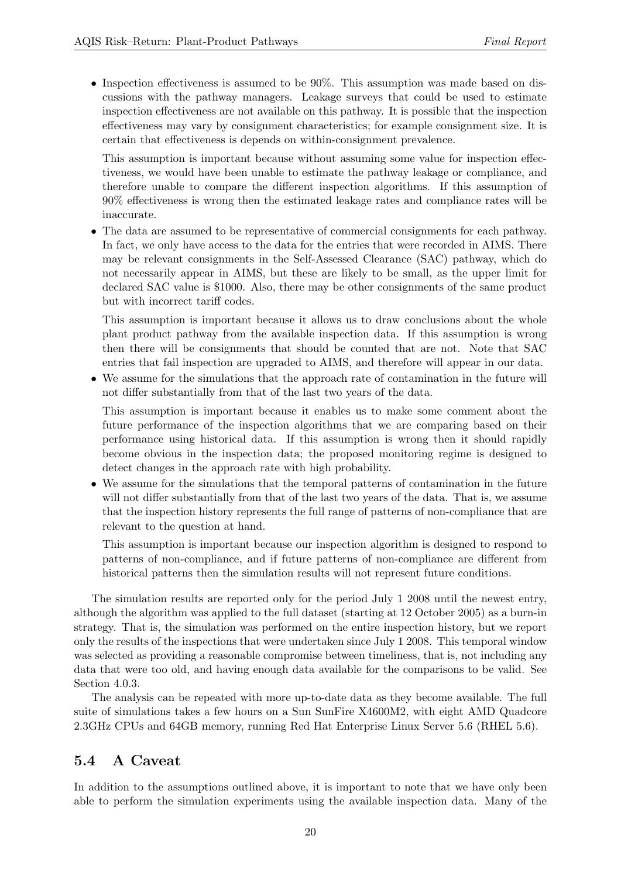• Inspection effectiveness is assumed to be 90%. This assumption was made based on discussions with the pathway managers. Leakage surveys that could be used to estimate inspection effectiveness are not available on this pathway. It is possible that the inspection effectiveness may vary by consignment characteristics; for example consignment size. It is certain that effectiveness is depends on within-consignment prevalence.

This assumption is important because without assuming some value for inspection effectiveness, we would have been unable to estimate the pathway leakage or compliance, and therefore unable to compare the different inspection algorithms. If this assumption of 90% effectiveness is wrong then the estimated leakage rates and compliance rates will be inaccurate.

• The data are assumed to be representative of commercial consignments for each pathway. In fact, we only have access to the data for the entries that were recorded in AIMS. There may be relevant consignments in the Self-Assessed Clearance (SAC) pathway, which do not necessarily appear in AIMS, but these are likely to be small, as the upper limit for declared SAC value is \$1000. Also, there may be other consignments of the same product but with incorrect tariff codes.

This assumption is important because it allows us to draw conclusions about the whole plant product pathway from the available inspection data. If this assumption is wrong then there will be consignments that should be counted that are not. Note that SAC entries that fail inspection are upgraded to AIMS, and therefore will appear in our data.

• We assume for the simulations that the approach rate of contamination in the future will not differ substantially from that of the last two years of the data.

This assumption is important because it enables us to make some comment about the future performance of the inspection algorithms that we are comparing based on their performance using historical data. If this assumption is wrong then it should rapidly become obvious in the inspection data; the proposed monitoring regime is designed to detect changes in the approach rate with high probability.

• We assume for the simulations that the temporal patterns of contamination in the future will not differ substantially from that of the last two years of the data. That is, we assume that the inspection history represents the full range of patterns of non-compliance that are relevant to the question at hand.

This assumption is important because our inspection algorithm is designed to respond to patterns of non-compliance, and if future patterns of non-compliance are different from historical patterns then the simulation results will not represent future conditions.

The simulation results are reported only for the period July 1 2008 until the newest entry, although the algorithm was applied to the full dataset (starting at 12 October 2005) as a burn-in strategy. That is, the simulation was performed on the entire inspection history, but we report only the results of the inspections that were undertaken since July 1 2008. This temporal window was selected as providing a reasonable compromise between timeliness, that is, not including any data that were too old, and having enough data available for the comparisons to be valid. See Section [4.0.3.](#page-16-0)

The analysis can be repeated with more up-to-date data as they become available. The full suite of simulations takes a few hours on a Sun SunFire X4600M2, with eight AMD Quadcore 2.3GHz CPUs and 64GB memory, running Red Hat Enterprise Linux Server 5.6 (RHEL 5.6).

## <span id="page-19-0"></span>5.4 A Caveat

In addition to the assumptions outlined above, it is important to note that we have only been able to perform the simulation experiments using the available inspection data. Many of the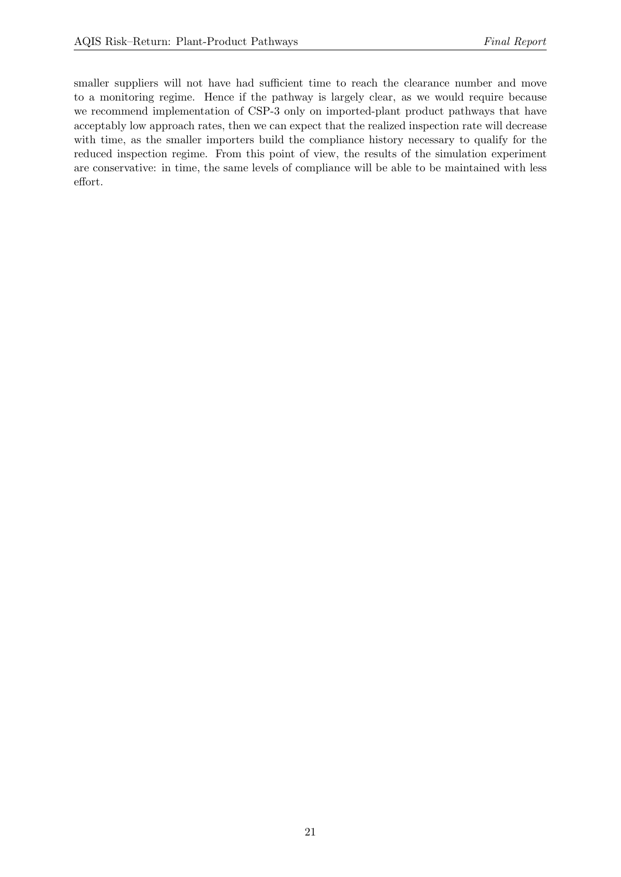smaller suppliers will not have had sufficient time to reach the clearance number and move to a monitoring regime. Hence if the pathway is largely clear, as we would require because we recommend implementation of CSP-3 only on imported-plant product pathways that have acceptably low approach rates, then we can expect that the realized inspection rate will decrease with time, as the smaller importers build the compliance history necessary to qualify for the reduced inspection regime. From this point of view, the results of the simulation experiment are conservative: in time, the same levels of compliance will be able to be maintained with less effort.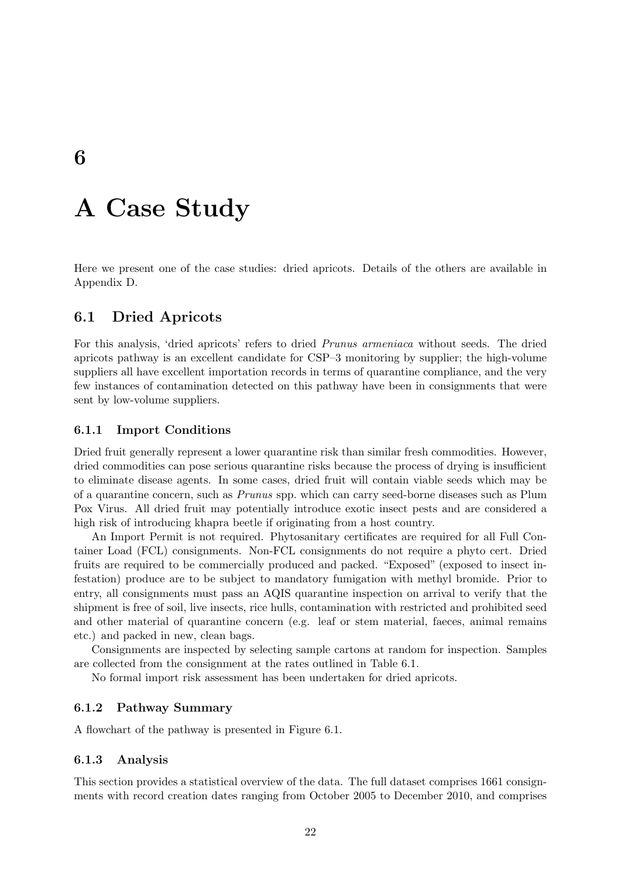## <span id="page-21-0"></span>A Case Study

Here we present one of the case studies: dried apricots. Details of the others are available in Appendix [D.](#page-39-0)

## <span id="page-21-1"></span>6.1 Dried Apricots

For this analysis, 'dried apricots' refers to dried Prunus armeniaca without seeds. The dried apricots pathway is an excellent candidate for CSP–3 monitoring by supplier; the high-volume suppliers all have excellent importation records in terms of quarantine compliance, and the very few instances of contamination detected on this pathway have been in consignments that were sent by low-volume suppliers.

#### 6.1.1 Import Conditions

Dried fruit generally represent a lower quarantine risk than similar fresh commodities. However, dried commodities can pose serious quarantine risks because the process of drying is insufficient to eliminate disease agents. In some cases, dried fruit will contain viable seeds which may be of a quarantine concern, such as Prunus spp. which can carry seed-borne diseases such as Plum Pox Virus. All dried fruit may potentially introduce exotic insect pests and are considered a high risk of introducing khapra beetle if originating from a host country.

An Import Permit is not required. Phytosanitary certificates are required for all Full Container Load (FCL) consignments. Non-FCL consignments do not require a phyto cert. Dried fruits are required to be commercially produced and packed. "Exposed" (exposed to insect infestation) produce are to be subject to mandatory fumigation with methyl bromide. Prior to entry, all consignments must pass an AQIS quarantine inspection on arrival to verify that the shipment is free of soil, live insects, rice hulls, contamination with restricted and prohibited seed and other material of quarantine concern (e.g. leaf or stem material, faeces, animal remains etc.) and packed in new, clean bags.

Consignments are inspected by selecting sample cartons at random for inspection. Samples are collected from the consignment at the rates outlined in Table [6.1.](#page-22-0)

No formal import risk assessment has been undertaken for dried apricots.

#### 6.1.2 Pathway Summary

A flowchart of the pathway is presented in Figure [6.1.](#page-22-1)

#### 6.1.3 Analysis

This section provides a statistical overview of the data. The full dataset comprises 1661 consignments with record creation dates ranging from October 2005 to December 2010, and comprises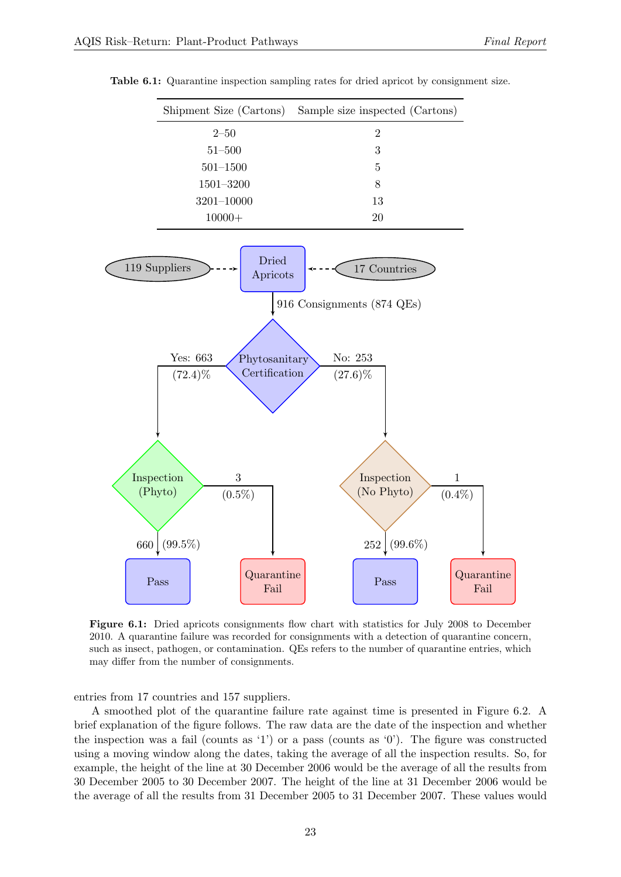|               | Shipment Size (Cartons) Sample size inspected (Cartons) |
|---------------|---------------------------------------------------------|
| $2 - 50$      | $\overline{2}$                                          |
| $51 - 500$    | 3                                                       |
| $501 - 1500$  | 5                                                       |
| $1501 - 3200$ | 8                                                       |
| 3201-10000    | 13                                                      |
| $10000+$      | 20                                                      |

<span id="page-22-0"></span>Table 6.1: Quarantine inspection sampling rates for dried apricot by consignment size.

<span id="page-22-1"></span>

Figure 6.1: Dried apricots consignments flow chart with statistics for July 2008 to December 2010. A quarantine failure was recorded for consignments with a detection of quarantine concern, such as insect, pathogen, or contamination. QEs refers to the number of quarantine entries, which may differ from the number of consignments.

entries from 17 countries and 157 suppliers.

A smoothed plot of the quarantine failure rate against time is presented in Figure [6.2.](#page-23-0) A brief explanation of the figure follows. The raw data are the date of the inspection and whether the inspection was a fail (counts as '1') or a pass (counts as '0'). The figure was constructed using a moving window along the dates, taking the average of all the inspection results. So, for example, the height of the line at 30 December 2006 would be the average of all the results from 30 December 2005 to 30 December 2007. The height of the line at 31 December 2006 would be the average of all the results from 31 December 2005 to 31 December 2007. These values would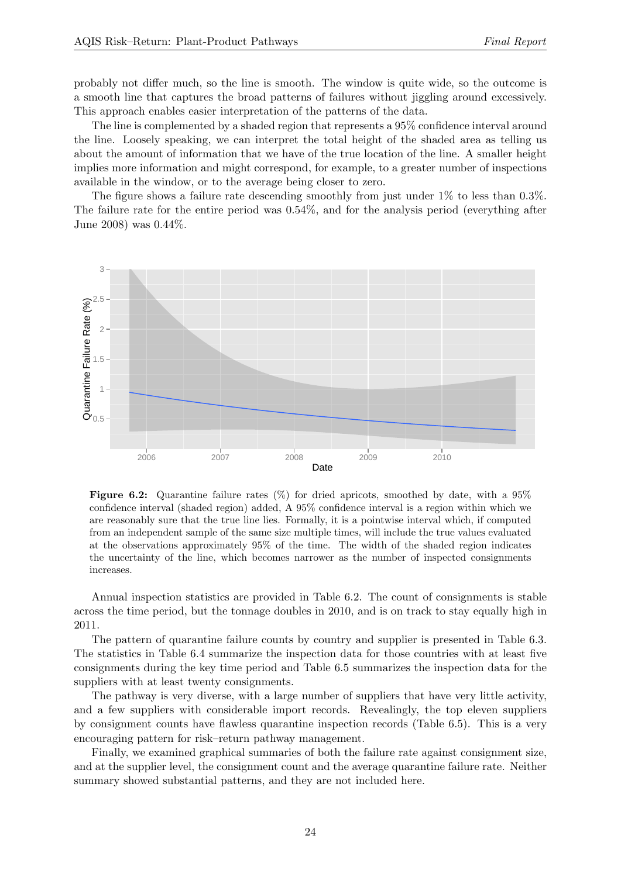probably not differ much, so the line is smooth. The window is quite wide, so the outcome is a smooth line that captures the broad patterns of failures without jiggling around excessively. This approach enables easier interpretation of the patterns of the data.

The line is complemented by a shaded region that represents a 95% confidence interval around the line. Loosely speaking, we can interpret the total height of the shaded area as telling us about the amount of information that we have of the true location of the line. A smaller height implies more information and might correspond, for example, to a greater number of inspections available in the window, or to the average being closer to zero.

The figure shows a failure rate descending smoothly from just under 1% to less than 0.3%. The failure rate for the entire period was 0.54%, and for the analysis period (everything after June 2008) was 0.44%.

<span id="page-23-0"></span>

**Figure 6.2:** Quarantine failure rates  $(\%)$  for dried apricots, smoothed by date, with a 95% confidence interval (shaded region) added, A 95% confidence interval is a region within which we are reasonably sure that the true line lies. Formally, it is a pointwise interval which, if computed from an independent sample of the same size multiple times, will include the true values evaluated at the observations approximately 95% of the time. The width of the shaded region indicates the uncertainty of the line, which becomes narrower as the number of inspected consignments increases.

Annual inspection statistics are provided in Table [6.2.](#page-24-0) The count of consignments is stable across the time period, but the tonnage doubles in 2010, and is on track to stay equally high in 2011.

The pattern of quarantine failure counts by country and supplier is presented in Table [6.3.](#page-24-1) The statistics in Table [6.4](#page-24-2) summarize the inspection data for those countries with at least five consignments during the key time period and Table [6.5](#page-25-0) summarizes the inspection data for the suppliers with at least twenty consignments.

The pathway is very diverse, with a large number of suppliers that have very little activity, and a few suppliers with considerable import records. Revealingly, the top eleven suppliers by consignment counts have flawless quarantine inspection records (Table [6.5\)](#page-25-0). This is a very encouraging pattern for risk–return pathway management.

Finally, we examined graphical summaries of both the failure rate against consignment size, and at the supplier level, the consignment count and the average quarantine failure rate. Neither summary showed substantial patterns, and they are not included here.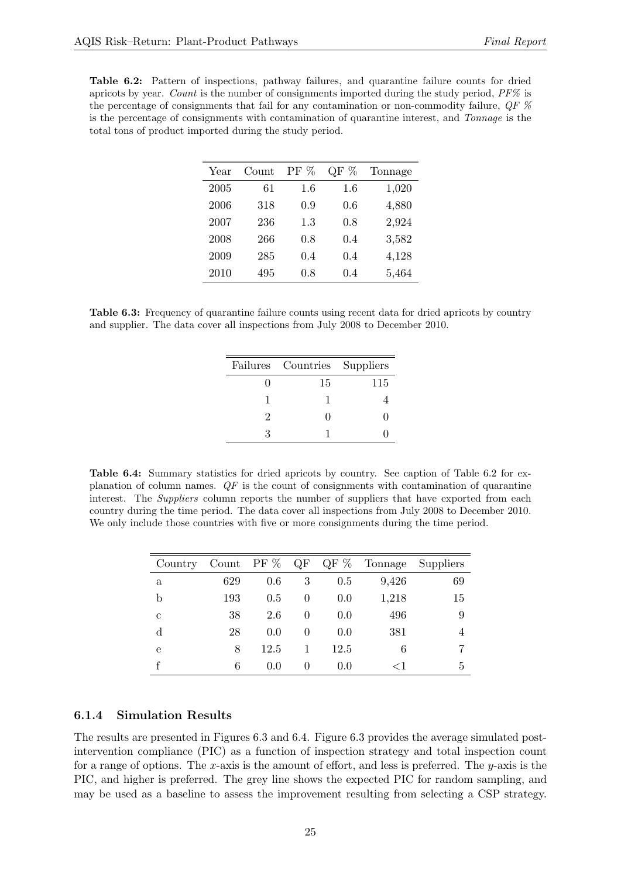<span id="page-24-0"></span>Table 6.2: Pattern of inspections, pathway failures, and quarantine failure counts for dried apricots by year. Count is the number of consignments imported during the study period, PF% is the percentage of consignments that fail for any contamination or non-commodity failure,  $QF$  % is the percentage of consignments with contamination of quarantine interest, and Tonnage is the total tons of product imported during the study period.

| Year | Count | $PF\%$ | %<br>QF | Tonnage |
|------|-------|--------|---------|---------|
| 2005 | 61    | 1.6    | 1.6     | 1,020   |
| 2006 | 318   | 0.9    | 0.6     | 4,880   |
| 2007 | 236   | 1.3    | 0.8     | 2,924   |
| 2008 | 266   | 0.8    | 0.4     | 3,582   |
| 2009 | 285   | 0.4    | 0.4     | 4,128   |
| 2010 | 495   | 0.8    | 0.4     | 5,464   |

<span id="page-24-1"></span>Table 6.3: Frequency of quarantine failure counts using recent data for dried apricots by country and supplier. The data cover all inspections from July 2008 to December 2010.

|   | Failures Countries Suppliers |     |
|---|------------------------------|-----|
|   | 15                           | 115 |
|   |                              |     |
| 2 | $\mathbf{\Omega}$            |     |
| 3 |                              |     |

<span id="page-24-2"></span>Table 6.4: Summary statistics for dried apricots by country. See caption of Table [6.2](#page-24-0) for explanation of column names.  $QF$  is the count of consignments with contamination of quarantine interest. The Suppliers column reports the number of suppliers that have exported from each country during the time period. The data cover all inspections from July 2008 to December 2010. We only include those countries with five or more consignments during the time period.

| Country     |     | Count PF $%$ QF |          | QF $%$ | Tonnage | Suppliers |
|-------------|-----|-----------------|----------|--------|---------|-----------|
| a           | 629 | 0.6             | 3        | 0.5    | 9,426   | 69        |
| b           | 193 | 0.5             | 0        | 0.0    | 1,218   | 15        |
| С           | 38  | 2.6             | $\theta$ | 0.0    | 496     | 9         |
| $\mathbf d$ | 28  | 0.0             | $\theta$ | 0.0    | 381     | 4         |
| e           | 8   | 12.5            |          | 12.5   | 6       |           |
|             | 6   | 0.0             | $\theta$ | 0.0    | $<$ 1   | 5         |

#### 6.1.4 Simulation Results

The results are presented in Figures [6.3](#page-26-0) and [6.4.](#page-27-0) Figure [6.3](#page-26-0) provides the average simulated postintervention compliance (PIC) as a function of inspection strategy and total inspection count for a range of options. The x-axis is the amount of effort, and less is preferred. The y-axis is the PIC, and higher is preferred. The grey line shows the expected PIC for random sampling, and may be used as a baseline to assess the improvement resulting from selecting a CSP strategy.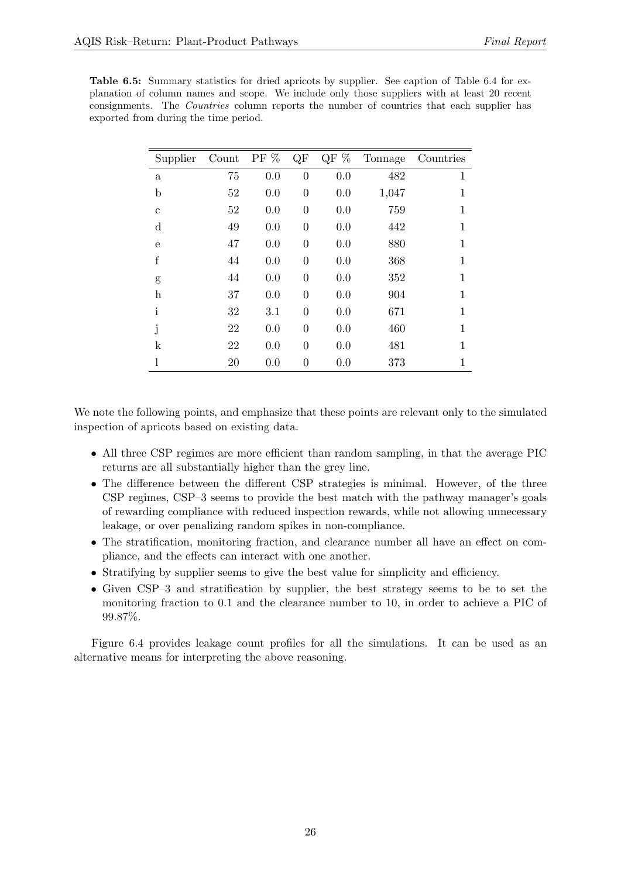<span id="page-25-0"></span>

| <b>Table 6.5:</b> Summary statistics for dried apricots by supplier. See caption of Table 6.4 for ex- |
|-------------------------------------------------------------------------------------------------------|
| planation of column names and scope. We include only those suppliers with at least 20 recent          |
| consignments. The <i>Countries</i> column reports the number of countries that each supplier has      |
| exported from during the time period.                                                                 |

| Supplier     | Count | PF $%$ | QF             | QF $\%$ | Tonnage | Countries |
|--------------|-------|--------|----------------|---------|---------|-----------|
| $\mathbf{a}$ | 75    | 0.0    | $\overline{0}$ | 0.0     | 482     | 1         |
| $\mathbf b$  | 52    | 0.0    | $\overline{0}$ | 0.0     | 1,047   | 1         |
| $\mathbf c$  | 52    | 0.0    | $\overline{0}$ | 0.0     | 759     | 1         |
| d            | 49    | 0.0    | $\overline{0}$ | 0.0     | 442     | 1         |
| $\mathbf e$  | 47    | 0.0    | $\overline{0}$ | 0.0     | 880     | 1         |
| f            | 44    | 0.0    | $\overline{0}$ | 0.0     | 368     | 1         |
| g            | 44    | 0.0    | $\overline{0}$ | 0.0     | 352     | 1         |
| $\bold{h}$   | 37    | 0.0    | $\overline{0}$ | 0.0     | 904     | 1         |
| i            | 32    | 3.1    | $\overline{0}$ | 0.0     | 671     | 1         |
| j            | 22    | 0.0    | $\overline{0}$ | 0.0     | 460     | 1         |
| k            | 22    | 0.0    | $\overline{0}$ | 0.0     | 481     | 1         |
| l            | 20    | 0.0    | $\overline{0}$ | 0.0     | 373     | 1         |

We note the following points, and emphasize that these points are relevant only to the simulated inspection of apricots based on existing data.

- All three CSP regimes are more efficient than random sampling, in that the average PIC returns are all substantially higher than the grey line.
- The difference between the different CSP strategies is minimal. However, of the three CSP regimes, CSP–3 seems to provide the best match with the pathway manager's goals of rewarding compliance with reduced inspection rewards, while not allowing unnecessary leakage, or over penalizing random spikes in non-compliance.
- The stratification, monitoring fraction, and clearance number all have an effect on compliance, and the effects can interact with one another.
- Stratifying by supplier seems to give the best value for simplicity and efficiency.
- Given CSP–3 and stratification by supplier, the best strategy seems to be to set the monitoring fraction to 0.1 and the clearance number to 10, in order to achieve a PIC of 99.87%.

Figure [6.4](#page-27-0) provides leakage count profiles for all the simulations. It can be used as an alternative means for interpreting the above reasoning.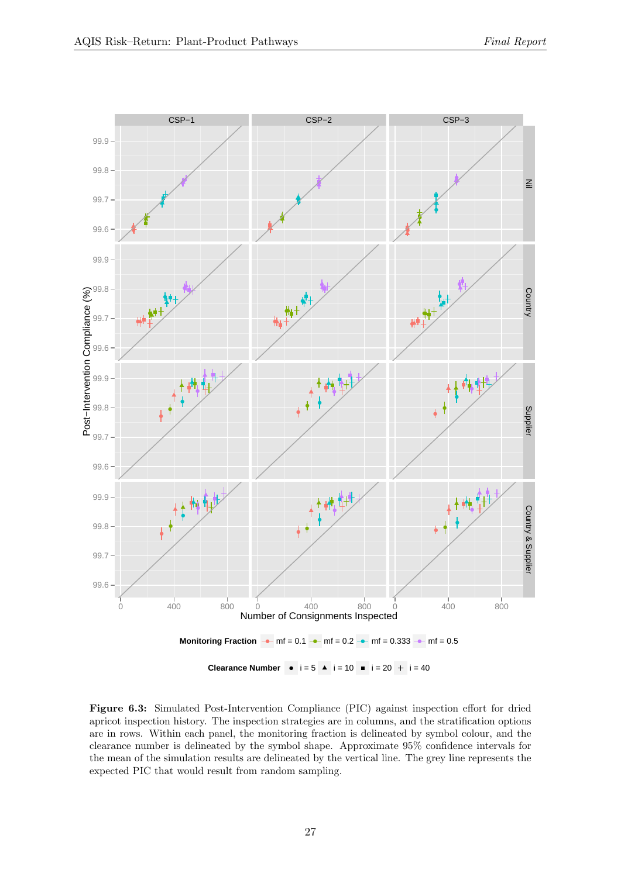<span id="page-26-0"></span>

Figure 6.3: Simulated Post-Intervention Compliance (PIC) against inspection effort for dried apricot inspection history. The inspection strategies are in columns, and the stratification options are in rows. Within each panel, the monitoring fraction is delineated by symbol colour, and the clearance number is delineated by the symbol shape. Approximate 95% confidence intervals for the mean of the simulation results are delineated by the vertical line. The grey line represents the expected PIC that would result from random sampling.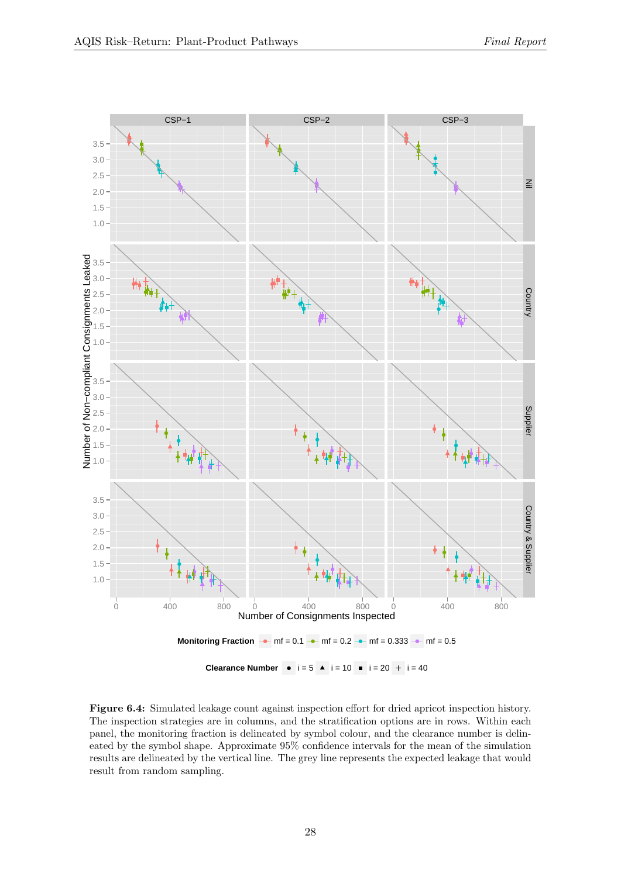<span id="page-27-0"></span>

Figure 6.4: Simulated leakage count against inspection effort for dried apricot inspection history. The inspection strategies are in columns, and the stratification options are in rows. Within each panel, the monitoring fraction is delineated by symbol colour, and the clearance number is delineated by the symbol shape. Approximate 95% confidence intervals for the mean of the simulation results are delineated by the vertical line. The grey line represents the expected leakage that would result from random sampling.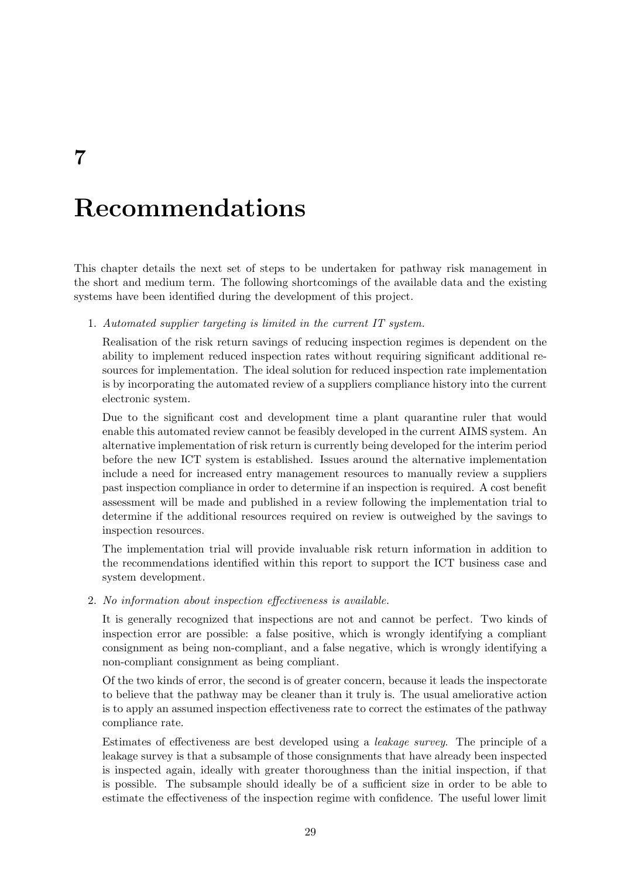<span id="page-28-0"></span>7

# Recommendations

This chapter details the next set of steps to be undertaken for pathway risk management in the short and medium term. The following shortcomings of the available data and the existing systems have been identified during the development of this project.

1. Automated supplier targeting is limited in the current IT system.

Realisation of the risk return savings of reducing inspection regimes is dependent on the ability to implement reduced inspection rates without requiring significant additional resources for implementation. The ideal solution for reduced inspection rate implementation is by incorporating the automated review of a suppliers compliance history into the current electronic system.

Due to the significant cost and development time a plant quarantine ruler that would enable this automated review cannot be feasibly developed in the current AIMS system. An alternative implementation of risk return is currently being developed for the interim period before the new ICT system is established. Issues around the alternative implementation include a need for increased entry management resources to manually review a suppliers past inspection compliance in order to determine if an inspection is required. A cost benefit assessment will be made and published in a review following the implementation trial to determine if the additional resources required on review is outweighed by the savings to inspection resources.

The implementation trial will provide invaluable risk return information in addition to the recommendations identified within this report to support the ICT business case and system development.

2. No information about inspection effectiveness is available.

It is generally recognized that inspections are not and cannot be perfect. Two kinds of inspection error are possible: a false positive, which is wrongly identifying a compliant consignment as being non-compliant, and a false negative, which is wrongly identifying a non-compliant consignment as being compliant.

Of the two kinds of error, the second is of greater concern, because it leads the inspectorate to believe that the pathway may be cleaner than it truly is. The usual ameliorative action is to apply an assumed inspection effectiveness rate to correct the estimates of the pathway compliance rate.

Estimates of effectiveness are best developed using a leakage survey. The principle of a leakage survey is that a subsample of those consignments that have already been inspected is inspected again, ideally with greater thoroughness than the initial inspection, if that is possible. The subsample should ideally be of a sufficient size in order to be able to estimate the effectiveness of the inspection regime with confidence. The useful lower limit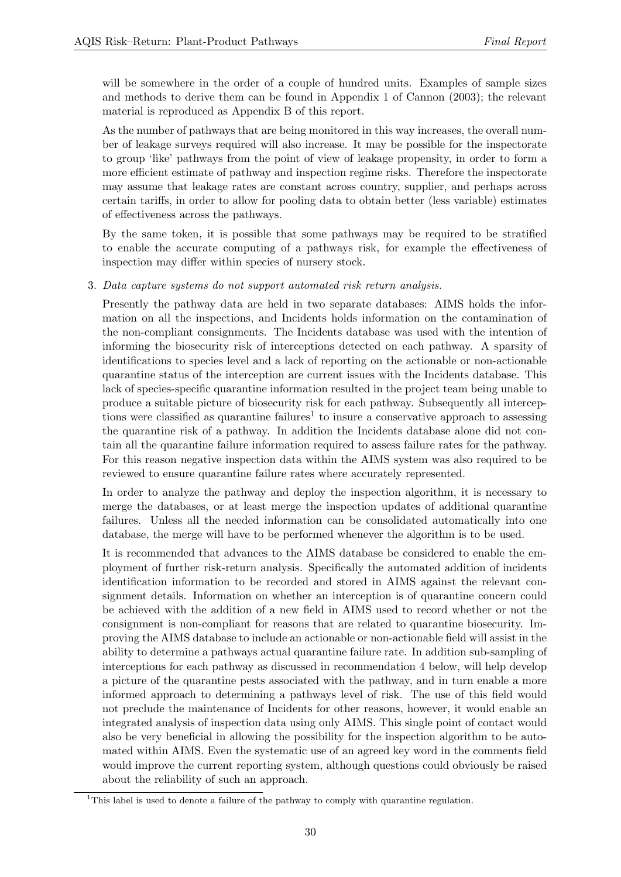will be somewhere in the order of a couple of hundred units. Examples of sample sizes and methods to derive them can be found in Appendix 1 of [Cannon](#page-32-7) [\(2003\)](#page-32-7); the relevant material is reproduced as Appendix [B](#page-36-0) of this report.

As the number of pathways that are being monitored in this way increases, the overall number of leakage surveys required will also increase. It may be possible for the inspectorate to group 'like' pathways from the point of view of leakage propensity, in order to form a more efficient estimate of pathway and inspection regime risks. Therefore the inspectorate may assume that leakage rates are constant across country, supplier, and perhaps across certain tariffs, in order to allow for pooling data to obtain better (less variable) estimates of effectiveness across the pathways.

By the same token, it is possible that some pathways may be required to be stratified to enable the accurate computing of a pathways risk, for example the effectiveness of inspection may differ within species of nursery stock.

3. Data capture systems do not support automated risk return analysis.

Presently the pathway data are held in two separate databases: AIMS holds the information on all the inspections, and Incidents holds information on the contamination of the non-compliant consignments. The Incidents database was used with the intention of informing the biosecurity risk of interceptions detected on each pathway. A sparsity of identifications to species level and a lack of reporting on the actionable or non-actionable quarantine status of the interception are current issues with the Incidents database. This lack of species-specific quarantine information resulted in the project team being unable to produce a suitable picture of biosecurity risk for each pathway. Subsequently all intercep-tions were classified as quarantine failures<sup>[1](#page-29-0)</sup> to insure a conservative approach to assessing the quarantine risk of a pathway. In addition the Incidents database alone did not contain all the quarantine failure information required to assess failure rates for the pathway. For this reason negative inspection data within the AIMS system was also required to be reviewed to ensure quarantine failure rates where accurately represented.

In order to analyze the pathway and deploy the inspection algorithm, it is necessary to merge the databases, or at least merge the inspection updates of additional quarantine failures. Unless all the needed information can be consolidated automatically into one database, the merge will have to be performed whenever the algorithm is to be used.

It is recommended that advances to the AIMS database be considered to enable the employment of further risk-return analysis. Specifically the automated addition of incidents identification information to be recorded and stored in AIMS against the relevant consignment details. Information on whether an interception is of quarantine concern could be achieved with the addition of a new field in AIMS used to record whether or not the consignment is non-compliant for reasons that are related to quarantine biosecurity. Improving the AIMS database to include an actionable or non-actionable field will assist in the ability to determine a pathways actual quarantine failure rate. In addition sub-sampling of interceptions for each pathway as discussed in recommendation [4](#page-30-0) below, will help develop a picture of the quarantine pests associated with the pathway, and in turn enable a more informed approach to determining a pathways level of risk. The use of this field would not preclude the maintenance of Incidents for other reasons, however, it would enable an integrated analysis of inspection data using only AIMS. This single point of contact would also be very beneficial in allowing the possibility for the inspection algorithm to be automated within AIMS. Even the systematic use of an agreed key word in the comments field would improve the current reporting system, although questions could obviously be raised about the reliability of such an approach.

<span id="page-29-0"></span><sup>&</sup>lt;sup>1</sup>This label is used to denote a failure of the pathway to comply with quarantine regulation.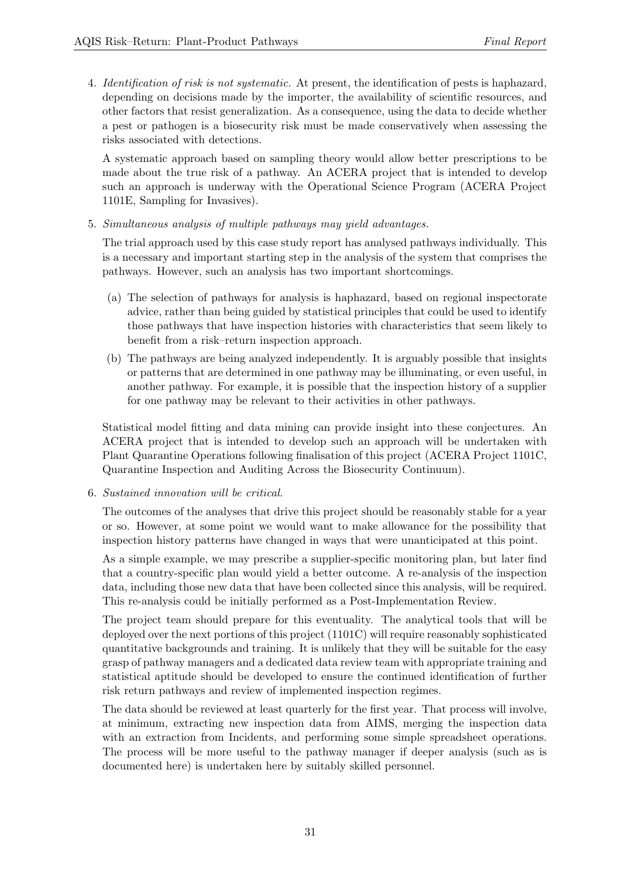<span id="page-30-0"></span>4. Identification of risk is not systematic. At present, the identification of pests is haphazard, depending on decisions made by the importer, the availability of scientific resources, and other factors that resist generalization. As a consequence, using the data to decide whether a pest or pathogen is a biosecurity risk must be made conservatively when assessing the risks associated with detections.

A systematic approach based on sampling theory would allow better prescriptions to be made about the true risk of a pathway. An ACERA project that is intended to develop such an approach is underway with the Operational Science Program (ACERA Project 1101E, Sampling for Invasives).

5. Simultaneous analysis of multiple pathways may yield advantages.

The trial approach used by this case study report has analysed pathways individually. This is a necessary and important starting step in the analysis of the system that comprises the pathways. However, such an analysis has two important shortcomings.

- (a) The selection of pathways for analysis is haphazard, based on regional inspectorate advice, rather than being guided by statistical principles that could be used to identify those pathways that have inspection histories with characteristics that seem likely to benefit from a risk–return inspection approach.
- (b) The pathways are being analyzed independently. It is arguably possible that insights or patterns that are determined in one pathway may be illuminating, or even useful, in another pathway. For example, it is possible that the inspection history of a supplier for one pathway may be relevant to their activities in other pathways.

Statistical model fitting and data mining can provide insight into these conjectures. An ACERA project that is intended to develop such an approach will be undertaken with Plant Quarantine Operations following finalisation of this project (ACERA Project 1101C, Quarantine Inspection and Auditing Across the Biosecurity Continuum).

6. Sustained innovation will be critical.

The outcomes of the analyses that drive this project should be reasonably stable for a year or so. However, at some point we would want to make allowance for the possibility that inspection history patterns have changed in ways that were unanticipated at this point.

As a simple example, we may prescribe a supplier-specific monitoring plan, but later find that a country-specific plan would yield a better outcome. A re-analysis of the inspection data, including those new data that have been collected since this analysis, will be required. This re-analysis could be initially performed as a Post-Implementation Review.

The project team should prepare for this eventuality. The analytical tools that will be deployed over the next portions of this project (1101C) will require reasonably sophisticated quantitative backgrounds and training. It is unlikely that they will be suitable for the easy grasp of pathway managers and a dedicated data review team with appropriate training and statistical aptitude should be developed to ensure the continued identification of further risk return pathways and review of implemented inspection regimes.

The data should be reviewed at least quarterly for the first year. That process will involve, at minimum, extracting new inspection data from AIMS, merging the inspection data with an extraction from Incidents, and performing some simple spreadsheet operations. The process will be more useful to the pathway manager if deeper analysis (such as is documented here) is undertaken here by suitably skilled personnel.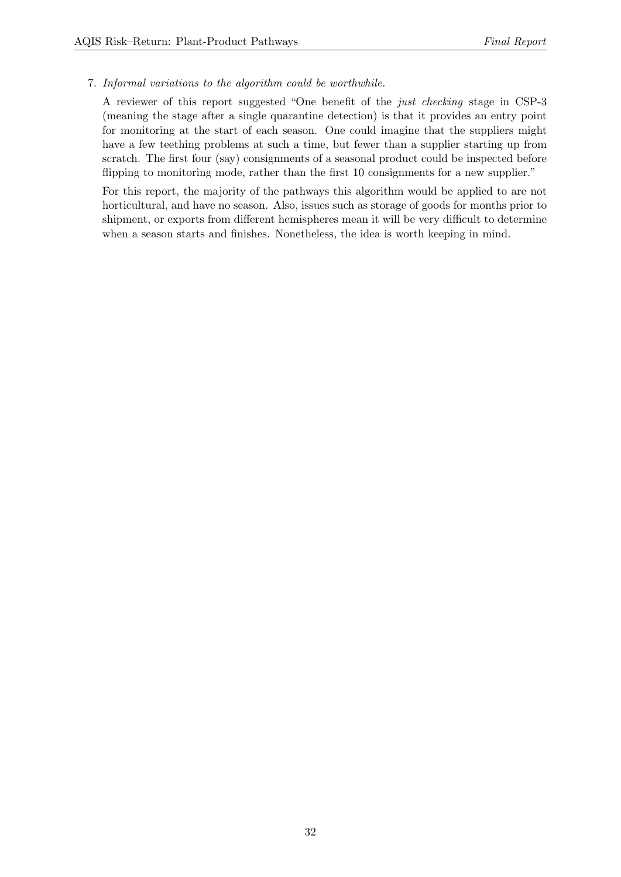### 7. Informal variations to the algorithm could be worthwhile.

A reviewer of this report suggested "One benefit of the just checking stage in CSP-3 (meaning the stage after a single quarantine detection) is that it provides an entry point for monitoring at the start of each season. One could imagine that the suppliers might have a few teething problems at such a time, but fewer than a supplier starting up from scratch. The first four (say) consignments of a seasonal product could be inspected before flipping to monitoring mode, rather than the first 10 consignments for a new supplier."

For this report, the majority of the pathways this algorithm would be applied to are not horticultural, and have no season. Also, issues such as storage of goods for months prior to shipment, or exports from different hemispheres mean it will be very difficult to determine when a season starts and finishes. Nonetheless, the idea is worth keeping in mind.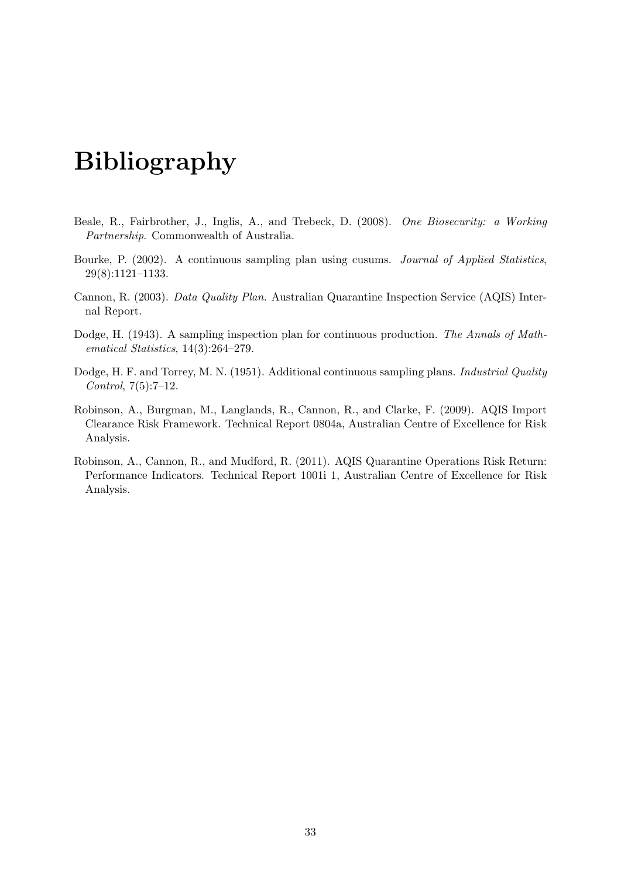# <span id="page-32-0"></span>Bibliography

- <span id="page-32-1"></span>Beale, R., Fairbrother, J., Inglis, A., and Trebeck, D. (2008). One Biosecurity: a Working Partnership. Commonwealth of Australia.
- <span id="page-32-4"></span>Bourke, P. (2002). A continuous sampling plan using cusums. Journal of Applied Statistics, 29(8):1121–1133.
- <span id="page-32-7"></span>Cannon, R. (2003). Data Quality Plan. Australian Quarantine Inspection Service (AQIS) Internal Report.
- <span id="page-32-2"></span>Dodge, H. (1943). A sampling inspection plan for continuous production. The Annals of Mathematical Statistics, 14(3):264–279.
- <span id="page-32-3"></span>Dodge, H. F. and Torrey, M. N. (1951). Additional continuous sampling plans. *Industrial Quality* Control,  $7(5):7-12$ .
- <span id="page-32-5"></span>Robinson, A., Burgman, M., Langlands, R., Cannon, R., and Clarke, F. (2009). AQIS Import Clearance Risk Framework. Technical Report 0804a, Australian Centre of Excellence for Risk Analysis.
- <span id="page-32-6"></span>Robinson, A., Cannon, R., and Mudford, R. (2011). AQIS Quarantine Operations Risk Return: Performance Indicators. Technical Report 1001i 1, Australian Centre of Excellence for Risk Analysis.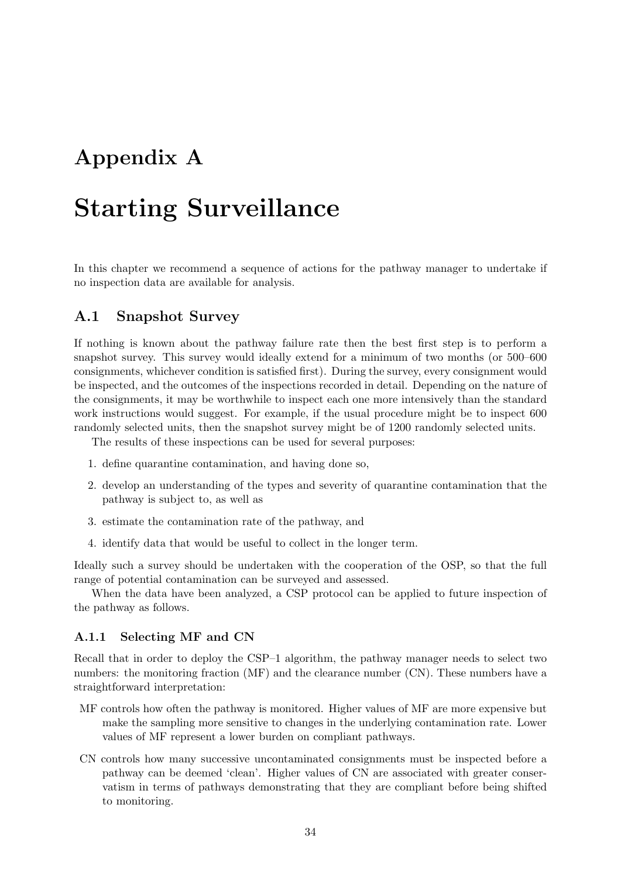## <span id="page-33-0"></span>Appendix A

## Starting Surveillance

In this chapter we recommend a sequence of actions for the pathway manager to undertake if no inspection data are available for analysis.

## <span id="page-33-1"></span>A.1 Snapshot Survey

If nothing is known about the pathway failure rate then the best first step is to perform a snapshot survey. This survey would ideally extend for a minimum of two months (or 500–600 consignments, whichever condition is satisfied first). During the survey, every consignment would be inspected, and the outcomes of the inspections recorded in detail. Depending on the nature of the consignments, it may be worthwhile to inspect each one more intensively than the standard work instructions would suggest. For example, if the usual procedure might be to inspect 600 randomly selected units, then the snapshot survey might be of 1200 randomly selected units.

The results of these inspections can be used for several purposes:

- 1. define quarantine contamination, and having done so,
- 2. develop an understanding of the types and severity of quarantine contamination that the pathway is subject to, as well as
- 3. estimate the contamination rate of the pathway, and
- 4. identify data that would be useful to collect in the longer term.

Ideally such a survey should be undertaken with the cooperation of the OSP, so that the full range of potential contamination can be surveyed and assessed.

When the data have been analyzed, a CSP protocol can be applied to future inspection of the pathway as follows.

#### A.1.1 Selecting MF and CN

Recall that in order to deploy the CSP–1 algorithm, the pathway manager needs to select two numbers: the monitoring fraction (MF) and the clearance number (CN). These numbers have a straightforward interpretation:

- MF controls how often the pathway is monitored. Higher values of MF are more expensive but make the sampling more sensitive to changes in the underlying contamination rate. Lower values of MF represent a lower burden on compliant pathways.
- CN controls how many successive uncontaminated consignments must be inspected before a pathway can be deemed 'clean'. Higher values of CN are associated with greater conservatism in terms of pathways demonstrating that they are compliant before being shifted to monitoring.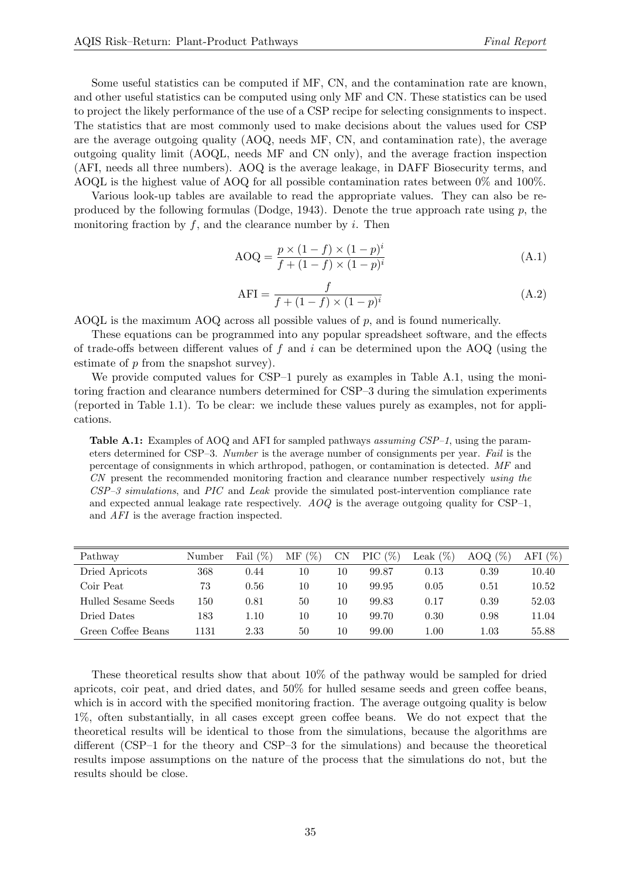Some useful statistics can be computed if MF, CN, and the contamination rate are known, and other useful statistics can be computed using only MF and CN. These statistics can be used to project the likely performance of the use of a CSP recipe for selecting consignments to inspect. The statistics that are most commonly used to make decisions about the values used for CSP are the average outgoing quality (AOQ, needs MF, CN, and contamination rate), the average outgoing quality limit (AOQL, needs MF and CN only), and the average fraction inspection (AFI, needs all three numbers). AOQ is the average leakage, in DAFF Biosecurity terms, and AOQL is the highest value of AOQ for all possible contamination rates between 0% and 100%.

Various look-up tables are available to read the appropriate values. They can also be re-produced by the following formulas [\(Dodge,](#page-32-2) [1943\)](#page-32-2). Denote the true approach rate using  $p$ , the monitoring fraction by  $f$ , and the clearance number by  $i$ . Then

$$
AOQ = \frac{p \times (1 - f) \times (1 - p)^i}{f + (1 - f) \times (1 - p)^i}
$$
\n(A.1)

$$
\text{AFI} = \frac{f}{f + (1 - f) \times (1 - p)^i} \tag{A.2}
$$

AOQL is the maximum AOQ across all possible values of  $p$ , and is found numerically.

These equations can be programmed into any popular spreadsheet software, and the effects of trade-offs between different values of f and i can be determined upon the AOQ (using the estimate of p from the snapshot survey).

We provide computed values for CSP–1 purely as examples in Table [A.1,](#page-34-0) using the monitoring fraction and clearance numbers determined for CSP–3 during the simulation experiments (reported in Table [1.1\)](#page-7-0). To be clear: we include these values purely as examples, not for applications.

<span id="page-34-0"></span>Table A.1: Examples of AOQ and AFI for sampled pathways assuming CSP-1, using the parameters determined for CSP–3. Number is the average number of consignments per year. Fail is the percentage of consignments in which arthropod, pathogen, or contamination is detected. MF and CN present the recommended monitoring fraction and clearance number respectively using the  $CSP-3$  simulations, and PIC and Leak provide the simulated post-intervention compliance rate and expected annual leakage rate respectively.  $AOQ$  is the average outgoing quality for CSP-1, and AFI is the average fraction inspected.

| Pathway             | Number | Fail $(\%)$ | $(\% )$<br>МF | CN | PIC $(\%)$ | Leak $(\%)$ | AOQ $(\%)$ | AFI $(\%)$ |
|---------------------|--------|-------------|---------------|----|------------|-------------|------------|------------|
| Dried Apricots      | 368    | 0.44        | 10            | 10 | 99.87      | 0.13        | 0.39       | 10.40      |
| Coir Peat           | 73     | 0.56        | 10            | 10 | 99.95      | 0.05        | 0.51       | 10.52      |
| Hulled Sesame Seeds | 150    | 0.81        | 50            | 10 | 99.83      | 0.17        | 0.39       | 52.03      |
| Dried Dates         | 183    | $1.10\,$    | 10            | 10 | 99.70      | 0.30        | 0.98       | 11.04      |
| Green Coffee Beans  | 1131   | 2.33        | 50            | 10 | 99.00      | $1.00\,$    | $1.03\,$   | 55.88      |

These theoretical results show that about 10% of the pathway would be sampled for dried apricots, coir peat, and dried dates, and 50% for hulled sesame seeds and green coffee beans, which is in accord with the specified monitoring fraction. The average outgoing quality is below 1%, often substantially, in all cases except green coffee beans. We do not expect that the theoretical results will be identical to those from the simulations, because the algorithms are different (CSP–1 for the theory and CSP–3 for the simulations) and because the theoretical results impose assumptions on the nature of the process that the simulations do not, but the results should be close.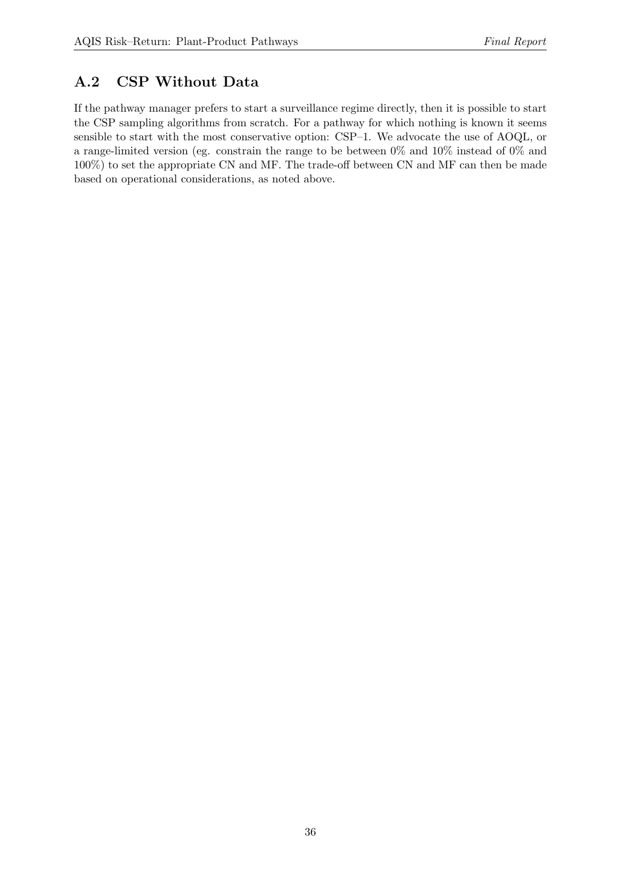## <span id="page-35-0"></span>A.2 CSP Without Data

If the pathway manager prefers to start a surveillance regime directly, then it is possible to start the CSP sampling algorithms from scratch. For a pathway for which nothing is known it seems sensible to start with the most conservative option: CSP–1. We advocate the use of AOQL, or a range-limited version (eg. constrain the range to be between 0% and 10% instead of 0% and 100%) to set the appropriate CN and MF. The trade-off between CN and MF can then be made based on operational considerations, as noted above.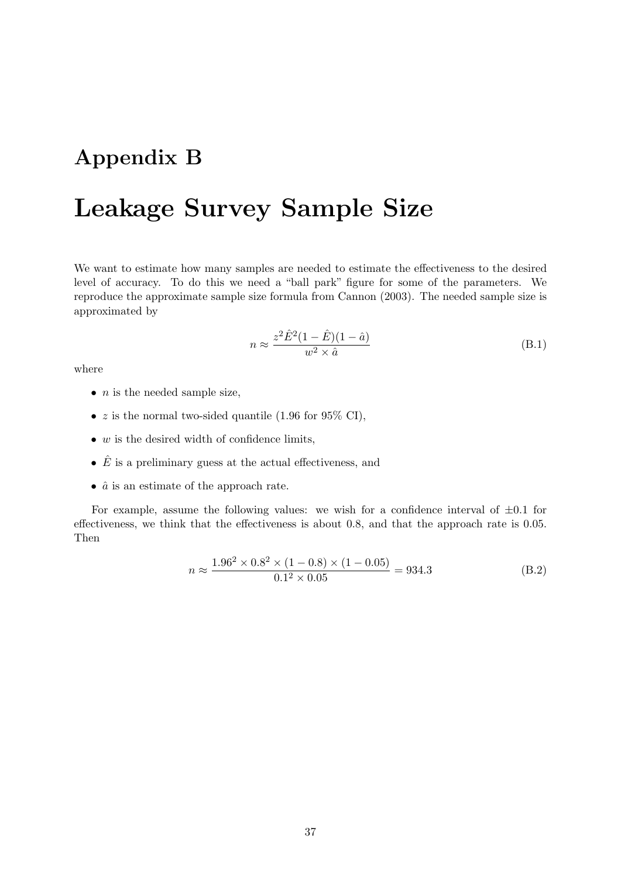## Appendix B

# Leakage Survey Sample Size

We want to estimate how many samples are needed to estimate the effectiveness to the desired level of accuracy. To do this we need a "ball park" figure for some of the parameters. We reproduce the approximate sample size formula from [Cannon](#page-32-0) [\(2003\)](#page-32-0). The needed sample size is approximated by

$$
n \approx \frac{z^2 \hat{E}^2 (1 - \hat{E})(1 - \hat{a})}{w^2 \times \hat{a}} \tag{B.1}
$$

where

- $n$  is the needed sample size,
- $z$  is the normal two-sided quantile (1.96 for 95% CI),
- $\bullet$  w is the desired width of confidence limits,
- $\hat{E}$  is a preliminary guess at the actual effectiveness, and
- $\hat{a}$  is an estimate of the approach rate.

For example, assume the following values: we wish for a confidence interval of  $\pm 0.1$  for effectiveness, we think that the effectiveness is about 0.8, and that the approach rate is 0.05. Then

$$
n \approx \frac{1.96^2 \times 0.8^2 \times (1 - 0.8) \times (1 - 0.05)}{0.1^2 \times 0.05} = 934.3
$$
 (B.2)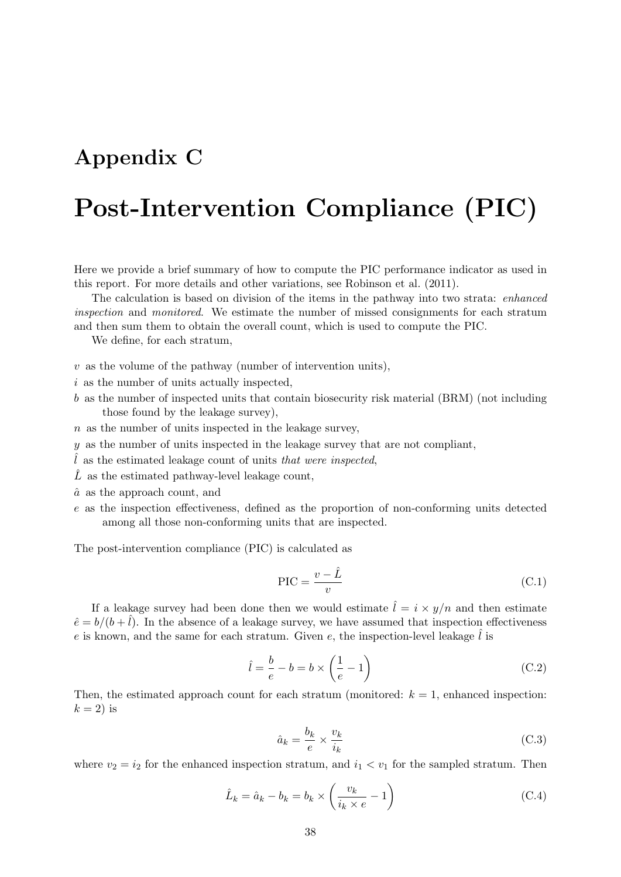## Appendix C

# Post-Intervention Compliance (PIC)

Here we provide a brief summary of how to compute the PIC performance indicator as used in this report. For more details and other variations, see [Robinson et al.](#page-32-1) [\(2011\)](#page-32-1).

The calculation is based on division of the items in the pathway into two strata: enhanced inspection and monitored. We estimate the number of missed consignments for each stratum and then sum them to obtain the overall count, which is used to compute the PIC.

We define, for each stratum,

 $v$  as the volume of the pathway (number of intervention units),

 $i$  as the number of units actually inspected.

b as the number of inspected units that contain biosecurity risk material (BRM) (not including those found by the leakage survey),

 $n$  as the number of units inspected in the leakage survey,

y as the number of units inspected in the leakage survey that are not compliant,

 $\hat{l}$  as the estimated leakage count of units that were inspected,

- $\hat{L}$  as the estimated pathway-level leakage count,
- $\hat{a}$  as the approach count, and
- e as the inspection effectiveness, defined as the proportion of non-conforming units detected among all those non-conforming units that are inspected.

<span id="page-37-0"></span>The post-intervention compliance (PIC) is calculated as

$$
PIC = \frac{v - \hat{L}}{v}
$$
 (C.1)

If a leakage survey had been done then we would estimate  $\hat{l} = i \times y/n$  and then estimate  $\hat{e} = b/(b + \hat{l})$ . In the absence of a leakage survey, we have assumed that inspection effectiveness e is known, and the same for each stratum. Given e, the inspection-level leakage  $\hat{l}$  is

$$
\hat{l} = \frac{b}{e} - b = b \times \left(\frac{1}{e} - 1\right)
$$
\n(C.2)

Then, the estimated approach count for each stratum (monitored:  $k = 1$ , enhanced inspection:  $k = 2$ ) is

$$
\hat{a}_k = \frac{b_k}{e} \times \frac{v_k}{i_k} \tag{C.3}
$$

where  $v_2 = i_2$  for the enhanced inspection stratum, and  $i_1 < v_1$  for the sampled stratum. Then

$$
\hat{L}_k = \hat{a}_k - b_k = b_k \times \left(\frac{v_k}{i_k \times e} - 1\right)
$$
\n(C.4)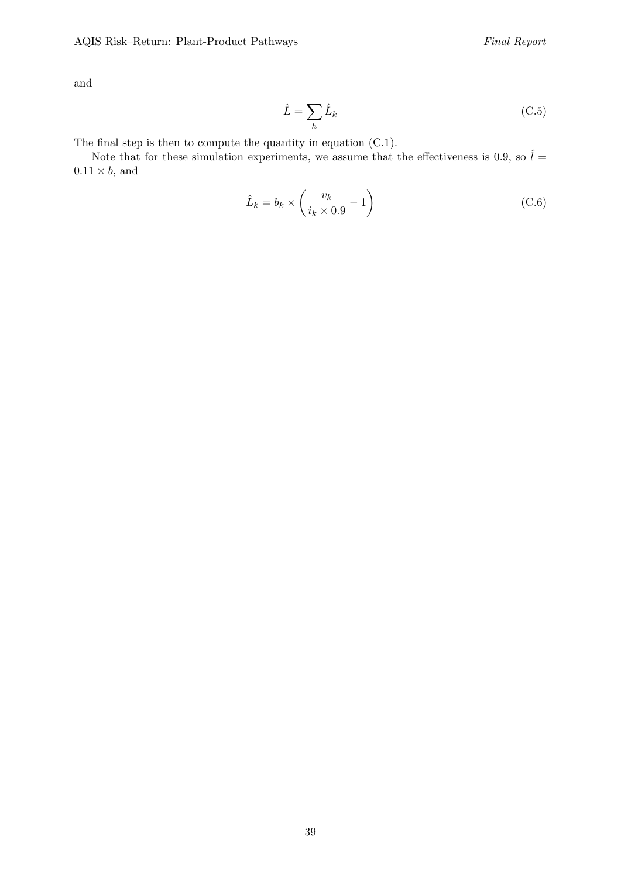$$
\hat{L} = \sum_{h} \hat{L}_k \tag{C.5}
$$

The final step is then to compute the quantity in equation [\(C.1\)](#page-37-0).

Note that for these simulation experiments, we assume that the effectiveness is 0.9, so  $\hat{l} =$  $0.11 \times b$ , and

$$
\hat{L}_k = b_k \times \left(\frac{v_k}{i_k \times 0.9} - 1\right) \tag{C.6}
$$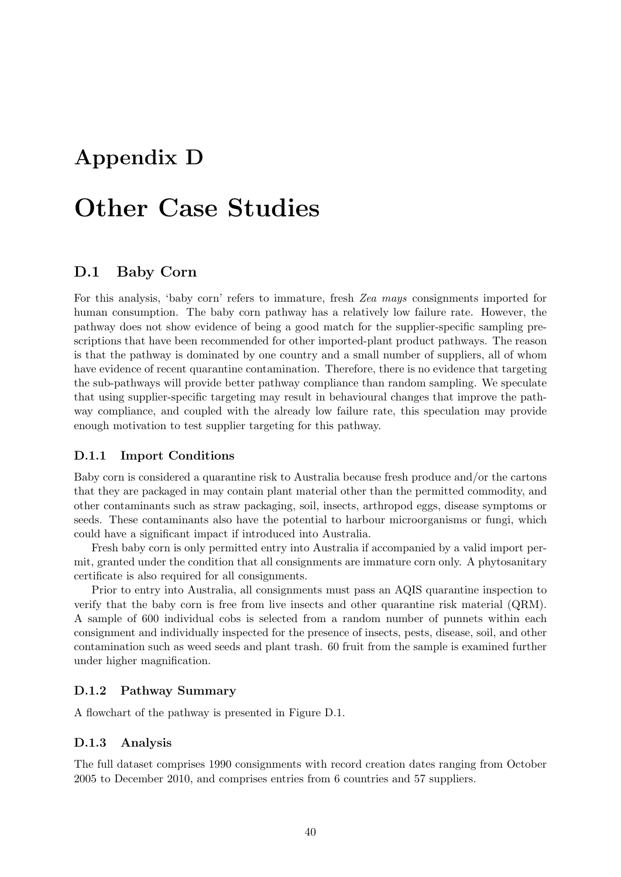## Appendix D

# Other Case Studies

### D.1 Baby Corn

For this analysis, 'baby corn' refers to immature, fresh Zea mays consignments imported for human consumption. The baby corn pathway has a relatively low failure rate. However, the pathway does not show evidence of being a good match for the supplier-specific sampling prescriptions that have been recommended for other imported-plant product pathways. The reason is that the pathway is dominated by one country and a small number of suppliers, all of whom have evidence of recent quarantine contamination. Therefore, there is no evidence that targeting the sub-pathways will provide better pathway compliance than random sampling. We speculate that using supplier-specific targeting may result in behavioural changes that improve the pathway compliance, and coupled with the already low failure rate, this speculation may provide enough motivation to test supplier targeting for this pathway.

#### D.1.1 Import Conditions

Baby corn is considered a quarantine risk to Australia because fresh produce and/or the cartons that they are packaged in may contain plant material other than the permitted commodity, and other contaminants such as straw packaging, soil, insects, arthropod eggs, disease symptoms or seeds. These contaminants also have the potential to harbour microorganisms or fungi, which could have a significant impact if introduced into Australia.

Fresh baby corn is only permitted entry into Australia if accompanied by a valid import permit, granted under the condition that all consignments are immature corn only. A phytosanitary certificate is also required for all consignments.

Prior to entry into Australia, all consignments must pass an AQIS quarantine inspection to verify that the baby corn is free from live insects and other quarantine risk material (QRM). A sample of 600 individual cobs is selected from a random number of punnets within each consignment and individually inspected for the presence of insects, pests, disease, soil, and other contamination such as weed seeds and plant trash. 60 fruit from the sample is examined further under higher magnification.

#### D.1.2 Pathway Summary

A flowchart of the pathway is presented in Figure [D.1.](#page-40-0)

#### D.1.3 Analysis

The full dataset comprises 1990 consignments with record creation dates ranging from October 2005 to December 2010, and comprises entries from 6 countries and 57 suppliers.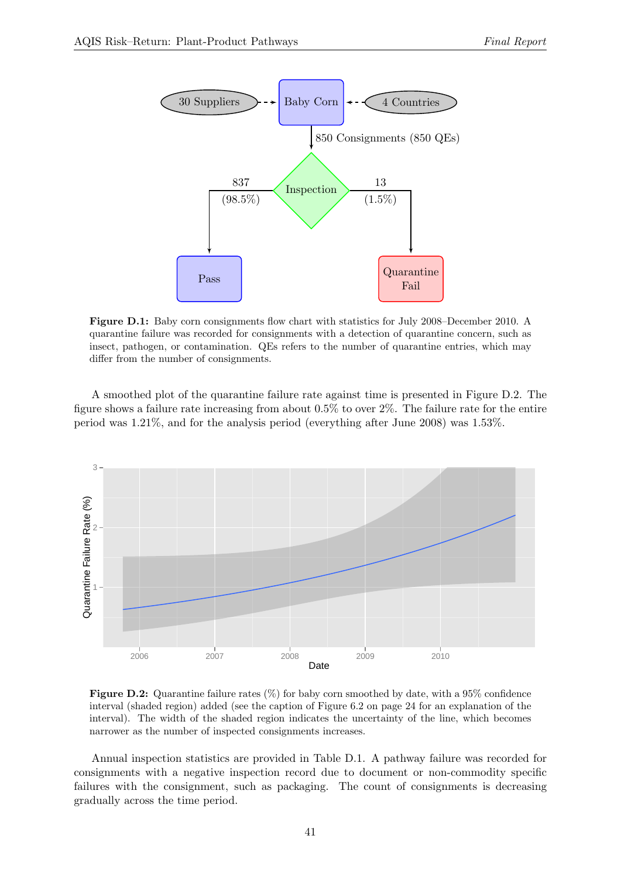<span id="page-40-0"></span>

Figure D.1: Baby corn consignments flow chart with statistics for July 2008–December 2010. A quarantine failure was recorded for consignments with a detection of quarantine concern, such as insect, pathogen, or contamination. QEs refers to the number of quarantine entries, which may differ from the number of consignments.

A smoothed plot of the quarantine failure rate against time is presented in Figure [D.2.](#page-40-1) The figure shows a failure rate increasing from about 0.5% to over 2%. The failure rate for the entire period was 1.21%, and for the analysis period (everything after June 2008) was 1.53%.

<span id="page-40-1"></span>

**Figure D.2:** Quarantine failure rates  $(\%)$  for baby corn smoothed by date, with a 95% confidence interval (shaded region) added (see the caption of Figure [6.2](#page-23-0) on page [24](#page-23-0) for an explanation of the interval). The width of the shaded region indicates the uncertainty of the line, which becomes narrower as the number of inspected consignments increases.

Annual inspection statistics are provided in Table [D.1.](#page-41-0) A pathway failure was recorded for consignments with a negative inspection record due to document or non-commodity specific failures with the consignment, such as packaging. The count of consignments is decreasing gradually across the time period.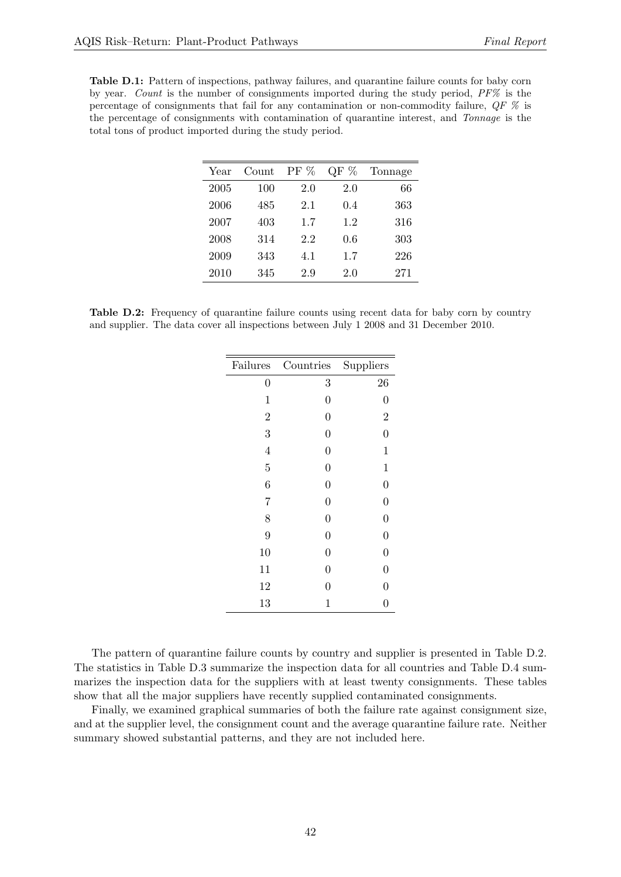<span id="page-41-0"></span>Table D.1: Pattern of inspections, pathway failures, and quarantine failure counts for baby corn by year. Count is the number of consignments imported during the study period,  $PF\%$  is the percentage of consignments that fail for any contamination or non-commodity failure, QF % is the percentage of consignments with contamination of quarantine interest, and Tonnage is the total tons of product imported during the study period.

| Year | Count | $PF\%$ | %<br>QF | Tonnage |
|------|-------|--------|---------|---------|
| 2005 | 100   | 2.0    | 2.0     | 66      |
| 2006 | 485   | 2.1    | 0.4     | 363     |
| 2007 | 403   | 1.7    | 1.2     | 316     |
| 2008 | 314   | 2.2    | 0.6     | 303     |
| 2009 | 343   | 4.1    | 1.7     | 226     |
| 2010 | 345   | 2.9    | $2.0\,$ | 271     |

<span id="page-41-1"></span>Table D.2: Frequency of quarantine failure counts using recent data for baby corn by country and supplier. The data cover all inspections between July 1 2008 and 31 December 2010.

| Failures         | Countries        | Suppliers        |
|------------------|------------------|------------------|
| $\boldsymbol{0}$ | 3                | 26               |
| $\mathbf{1}$     | $\overline{0}$   | $\overline{0}$   |
| $\overline{2}$   | $\overline{0}$   | $\overline{2}$   |
| 3                | $\overline{0}$   | $\overline{0}$   |
| $\overline{4}$   | $\overline{0}$   | $\mathbf{1}$     |
| $\overline{5}$   | $\overline{0}$   | $\mathbf{1}$     |
| 6                | $\overline{0}$   | $\boldsymbol{0}$ |
| $\overline{7}$   | $\overline{0}$   | $\overline{0}$   |
| 8                | $\boldsymbol{0}$ | $\boldsymbol{0}$ |
| 9                | $\overline{0}$   | $\overline{0}$   |
| 10               | $\boldsymbol{0}$ | $\overline{0}$   |
| 11               | $\overline{0}$   | $\boldsymbol{0}$ |
| 12               | $\overline{0}$   | $\overline{0}$   |
| 13               | $\mathbf 1$      | $\overline{0}$   |
|                  |                  |                  |

The pattern of quarantine failure counts by country and supplier is presented in Table [D.2.](#page-41-1) The statistics in Table [D.3](#page-42-0) summarize the inspection data for all countries and Table [D.4](#page-42-1) summarizes the inspection data for the suppliers with at least twenty consignments. These tables show that all the major suppliers have recently supplied contaminated consignments.

Finally, we examined graphical summaries of both the failure rate against consignment size, and at the supplier level, the consignment count and the average quarantine failure rate. Neither summary showed substantial patterns, and they are not included here.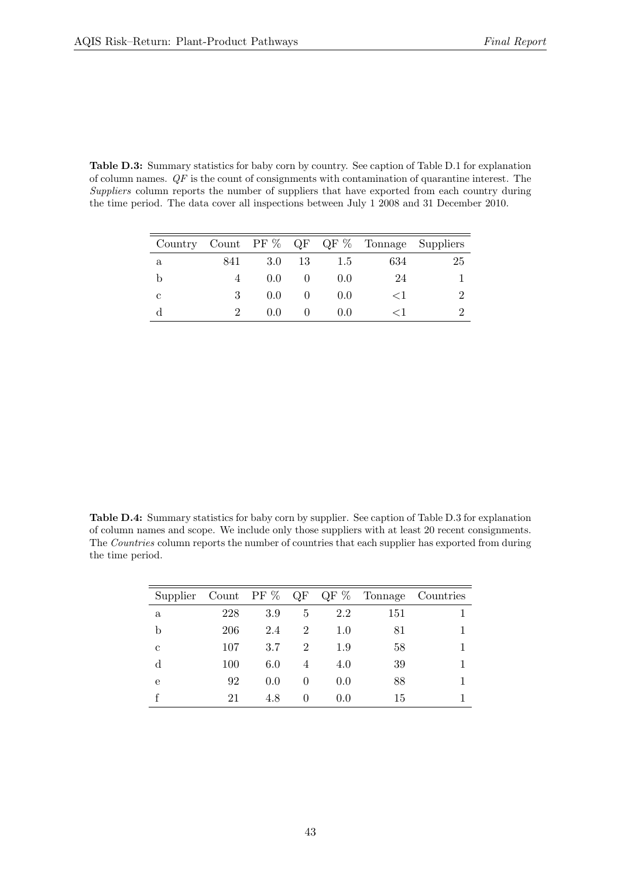<span id="page-42-0"></span>Table D.3: Summary statistics for baby corn by country. See caption of Table [D.1](#page-41-0) for explanation of column names.  $QF$  is the count of consignments with contamination of quarantine interest. The Suppliers column reports the number of suppliers that have exported from each country during the time period. The data cover all inspections between July 1 2008 and 31 December 2010.

|   |     |               |    |       |       | Country Count PF $\%$ QF QF $\%$ Tonnage Suppliers |
|---|-----|---------------|----|-------|-------|----------------------------------------------------|
| a | 841 | 3.0           | 13 | 1.5   | 634   | 25                                                 |
|   |     | $0.0^{\circ}$ |    | (0.0) | 24    |                                                    |
| С | З   | 0.0           |    | (0.0) | $<$ 1 |                                                    |
|   |     | (1.0)         |    | (0.0) |       |                                                    |

<span id="page-42-1"></span>Table D.4: Summary statistics for baby corn by supplier. See caption of Table [D.3](#page-42-0) for explanation of column names and scope. We include only those suppliers with at least 20 recent consignments. The Countries column reports the number of countries that each supplier has exported from during the time period.

| Supplier | Count PF $\%$ |     | QF       | $\mathrm{QF} \ \%$ | Tonnage | Countries |
|----------|---------------|-----|----------|--------------------|---------|-----------|
| a        | 228           | 3.9 | 5        | 2.2                | 151     |           |
| b        | 206           | 2.4 | 2        | 1.0                | 81      |           |
| c        | 107           | 3.7 | 2        | 1.9                | 58      |           |
| d        | 100           | 6.0 | 4        | 4.0                | 39      |           |
| e        | 92            | 0.0 | 0        | 0.0                | 88      |           |
|          | 21            | 4.8 | $\theta$ | 0.0                | 15      |           |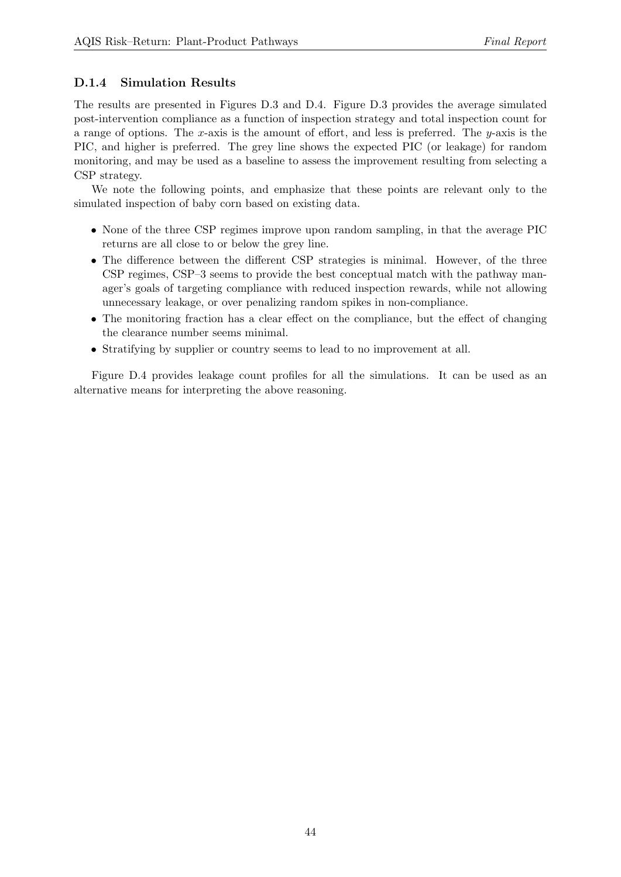## D.1.4 Simulation Results

The results are presented in Figures [D.3](#page-44-0) and [D.4.](#page-45-0) Figure [D.3](#page-44-0) provides the average simulated post-intervention compliance as a function of inspection strategy and total inspection count for a range of options. The x-axis is the amount of effort, and less is preferred. The  $y$ -axis is the PIC, and higher is preferred. The grey line shows the expected PIC (or leakage) for random monitoring, and may be used as a baseline to assess the improvement resulting from selecting a CSP strategy.

We note the following points, and emphasize that these points are relevant only to the simulated inspection of baby corn based on existing data.

- None of the three CSP regimes improve upon random sampling, in that the average PIC returns are all close to or below the grey line.
- The difference between the different CSP strategies is minimal. However, of the three CSP regimes, CSP–3 seems to provide the best conceptual match with the pathway manager's goals of targeting compliance with reduced inspection rewards, while not allowing unnecessary leakage, or over penalizing random spikes in non-compliance.
- The monitoring fraction has a clear effect on the compliance, but the effect of changing the clearance number seems minimal.
- Stratifying by supplier or country seems to lead to no improvement at all.

Figure [D.4](#page-45-0) provides leakage count profiles for all the simulations. It can be used as an alternative means for interpreting the above reasoning.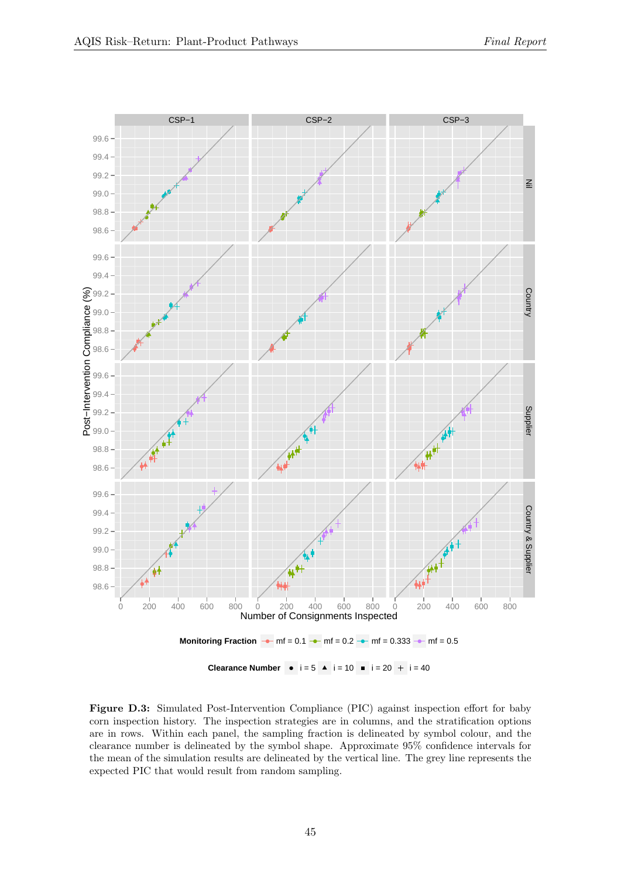<span id="page-44-0"></span>

Figure D.3: Simulated Post-Intervention Compliance (PIC) against inspection effort for baby corn inspection history. The inspection strategies are in columns, and the stratification options are in rows. Within each panel, the sampling fraction is delineated by symbol colour, and the clearance number is delineated by the symbol shape. Approximate 95% confidence intervals for the mean of the simulation results are delineated by the vertical line. The grey line represents the expected PIC that would result from random sampling.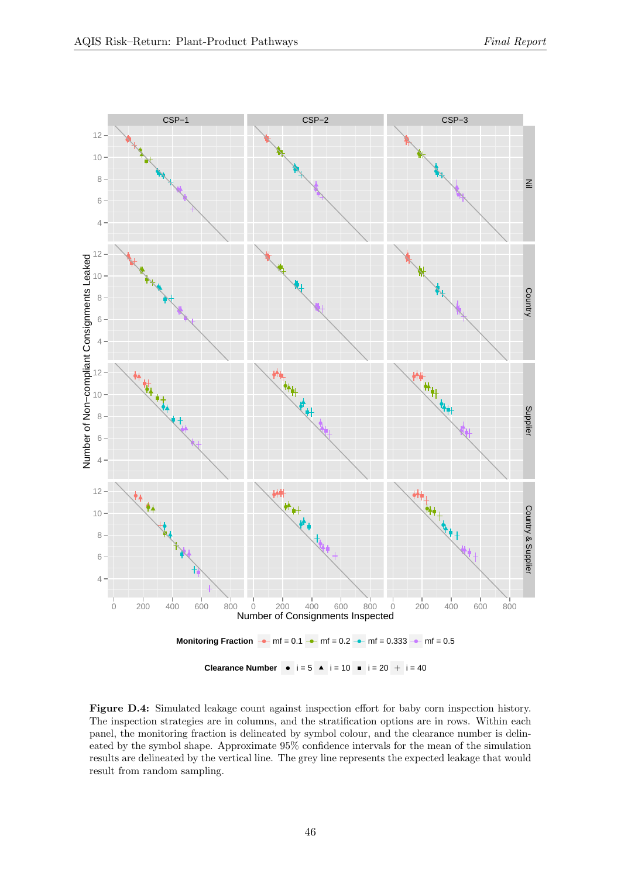<span id="page-45-0"></span>

Figure D.4: Simulated leakage count against inspection effort for baby corn inspection history. The inspection strategies are in columns, and the stratification options are in rows. Within each panel, the monitoring fraction is delineated by symbol colour, and the clearance number is delineated by the symbol shape. Approximate 95% confidence intervals for the mean of the simulation results are delineated by the vertical line. The grey line represents the expected leakage that would result from random sampling.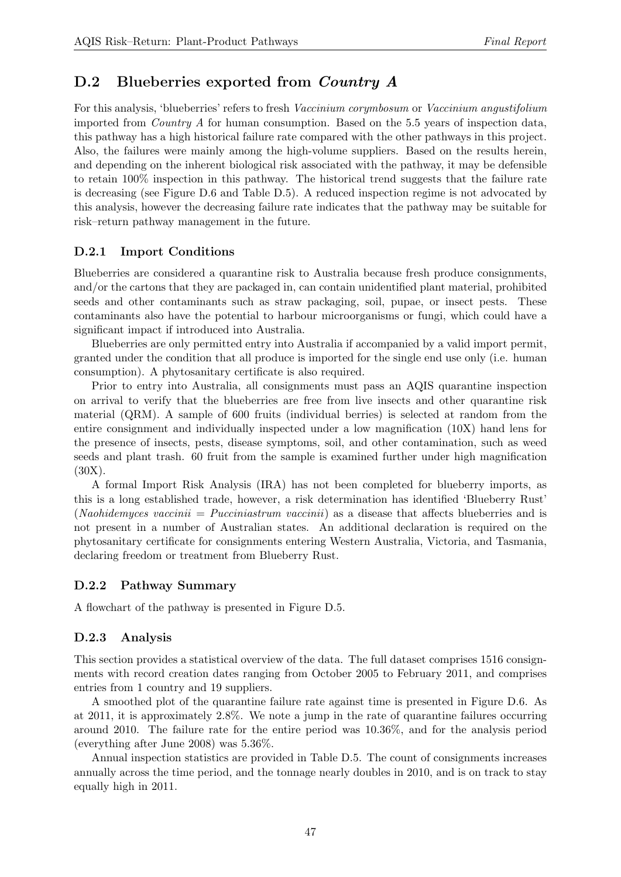## D.2 Blueberries exported from *Country A*

For this analysis, 'blueberries' refers to fresh Vaccinium corymbosum or Vaccinium angustifolium imported from Country A for human consumption. Based on the 5.5 years of inspection data, this pathway has a high historical failure rate compared with the other pathways in this project. Also, the failures were mainly among the high-volume suppliers. Based on the results herein, and depending on the inherent biological risk associated with the pathway, it may be defensible to retain 100% inspection in this pathway. The historical trend suggests that the failure rate is decreasing (see Figure [D.6](#page-47-0) and Table [D.5\)](#page-48-0). A reduced inspection regime is not advocated by this analysis, however the decreasing failure rate indicates that the pathway may be suitable for risk–return pathway management in the future.

#### D.2.1 Import Conditions

Blueberries are considered a quarantine risk to Australia because fresh produce consignments, and/or the cartons that they are packaged in, can contain unidentified plant material, prohibited seeds and other contaminants such as straw packaging, soil, pupae, or insect pests. These contaminants also have the potential to harbour microorganisms or fungi, which could have a significant impact if introduced into Australia.

Blueberries are only permitted entry into Australia if accompanied by a valid import permit, granted under the condition that all produce is imported for the single end use only (i.e. human consumption). A phytosanitary certificate is also required.

Prior to entry into Australia, all consignments must pass an AQIS quarantine inspection on arrival to verify that the blueberries are free from live insects and other quarantine risk material (QRM). A sample of 600 fruits (individual berries) is selected at random from the entire consignment and individually inspected under a low magnification (10X) hand lens for the presence of insects, pests, disease symptoms, soil, and other contamination, such as weed seeds and plant trash. 60 fruit from the sample is examined further under high magnification (30X).

A formal Import Risk Analysis (IRA) has not been completed for blueberry imports, as this is a long established trade, however, a risk determination has identified 'Blueberry Rust' (*Naohidemyces vaccinii* = *Pucciniastrum vaccinii*) as a disease that affects blueberries and is not present in a number of Australian states. An additional declaration is required on the phytosanitary certificate for consignments entering Western Australia, Victoria, and Tasmania, declaring freedom or treatment from Blueberry Rust.

#### D.2.2 Pathway Summary

A flowchart of the pathway is presented in Figure [D.5.](#page-47-1)

#### D.2.3 Analysis

This section provides a statistical overview of the data. The full dataset comprises 1516 consignments with record creation dates ranging from October 2005 to February 2011, and comprises entries from 1 country and 19 suppliers.

A smoothed plot of the quarantine failure rate against time is presented in Figure [D.6.](#page-47-0) As at 2011, it is approximately 2.8%. We note a jump in the rate of quarantine failures occurring around 2010. The failure rate for the entire period was 10.36%, and for the analysis period (everything after June 2008) was 5.36%.

Annual inspection statistics are provided in Table [D.5.](#page-48-0) The count of consignments increases annually across the time period, and the tonnage nearly doubles in 2010, and is on track to stay equally high in 2011.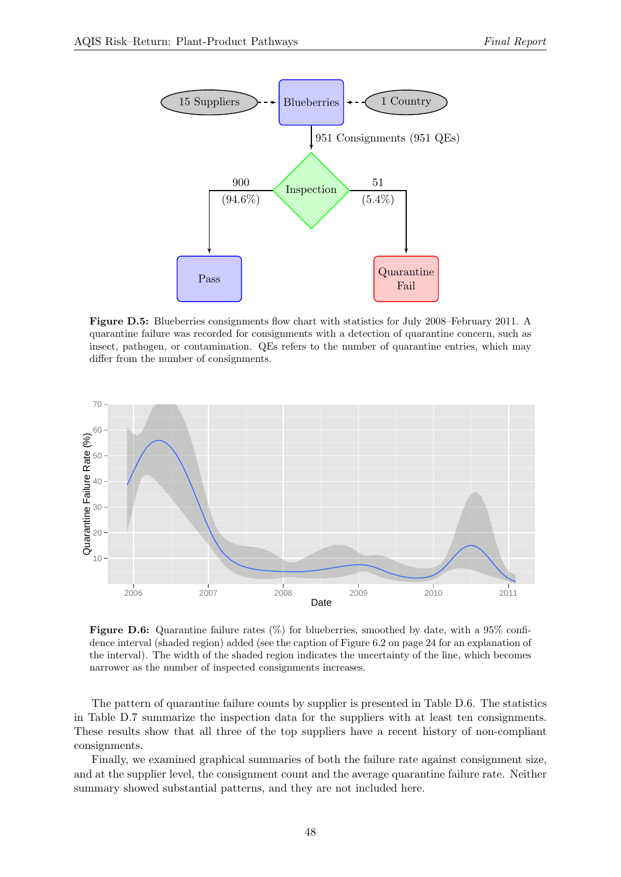<span id="page-47-1"></span>

Figure D.5: Blueberries consignments flow chart with statistics for July 2008–February 2011. A quarantine failure was recorded for consignments with a detection of quarantine concern, such as insect, pathogen, or contamination. QEs refers to the number of quarantine entries, which may differ from the number of consignments.

<span id="page-47-0"></span>

Figure D.6: Quarantine failure rates  $(\%)$  for blueberries, smoothed by date, with a 95% confidence interval (shaded region) added (see the caption of Figure [6.2](#page-23-0) on page [24](#page-23-0) for an explanation of the interval). The width of the shaded region indicates the uncertainty of the line, which becomes narrower as the number of inspected consignments increases.

The pattern of quarantine failure counts by supplier is presented in Table [D.6.](#page-48-1) The statistics in Table [D.7](#page-49-0) summarize the inspection data for the suppliers with at least ten consignments. These results show that all three of the top suppliers have a recent history of non-compliant consignments.

Finally, we examined graphical summaries of both the failure rate against consignment size, and at the supplier level, the consignment count and the average quarantine failure rate. Neither summary showed substantial patterns, and they are not included here.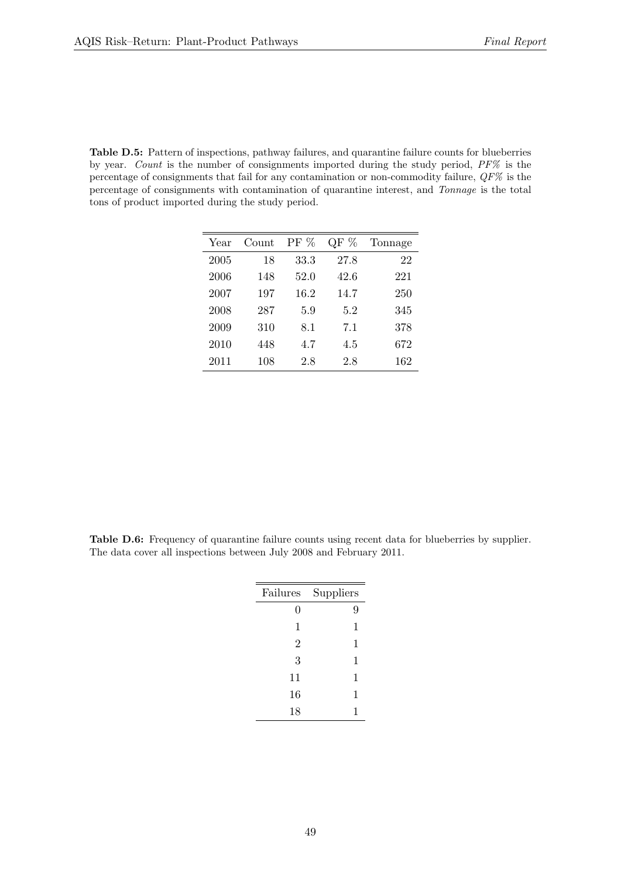<span id="page-48-0"></span>Table D.5: Pattern of inspections, pathway failures, and quarantine failure counts for blueberries by year. Count is the number of consignments imported during the study period, PF% is the percentage of consignments that fail for any contamination or non-commodity failure,  $QF\%$  is the percentage of consignments with contamination of quarantine interest, and Tonnage is the total tons of product imported during the study period.

| Year | Count | $PF\%$ | $\mathrm{QF} \ \%$ | Tonnage |
|------|-------|--------|--------------------|---------|
| 2005 | 18    | 33.3   | 27.8               | 22      |
| 2006 | 148   | 52.0   | 42.6               | 221     |
| 2007 | 197   | 16.2   | 14.7               | 250     |
| 2008 | 287   | 5.9    | 5.2                | 345     |
| 2009 | 310   | 8.1    | 7.1                | 378     |
| 2010 | 448   | 4.7    | 4.5                | 672     |
| 2011 | 108   | 2.8    | 2.8                | 162     |

<span id="page-48-1"></span>Table D.6: Frequency of quarantine failure counts using recent data for blueberries by supplier. The data cover all inspections between July 2008 and February 2011.

| Failures       | Suppliers |
|----------------|-----------|
| 0              | 9         |
| 1              | 1         |
| $\overline{2}$ | 1         |
| 3              | 1         |
| 11             | 1         |
| 16             | 1         |
| 18             | 1         |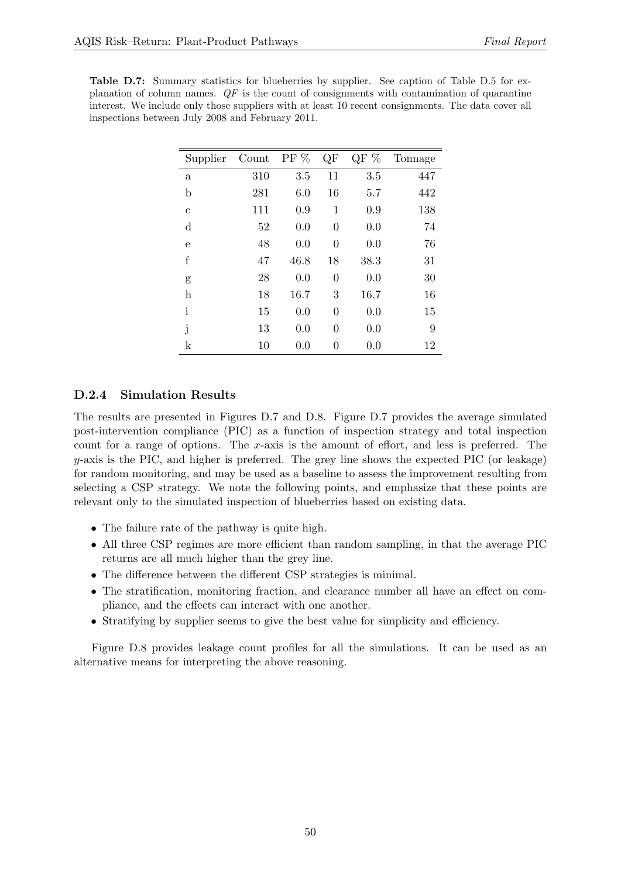<span id="page-49-0"></span>Table D.7: Summary statistics for blueberries by supplier. See caption of Table [D.5](#page-48-0) for explanation of column names.  $QF$  is the count of consignments with contamination of quarantine interest. We include only those suppliers with at least 10 recent consignments. The data cover all inspections between July 2008 and February 2011.

| Supplier     | Count | $PF\%$ | QF               | QF $\%$ | Tonnage |
|--------------|-------|--------|------------------|---------|---------|
| a            | 310   | 3.5    | 11               | 3.5     | 447     |
| $\mathbf b$  | 281   | 6.0    | 16               | 5.7     | 442     |
| $\mathbf c$  | 111   | 0.9    | 1                | 0.9     | 138     |
| $\mathbf d$  | 52    | 0.0    | $\overline{0}$   | 0.0     | 74      |
| e            | 48    | 0.0    | $\overline{0}$   | 0.0     | 76      |
| $\rm f$      | 47    | 46.8   | 18               | 38.3    | 31      |
| g            | 28    | 0.0    | $\overline{0}$   | 0.0     | 30      |
| $\bold{h}$   | 18    | 16.7   | 3                | 16.7    | 16      |
| $\mathbf{i}$ | 15    | 0.0    | $\overline{0}$   | 0.0     | 15      |
| j            | 13    | 0.0    | $\overline{0}$   | 0.0     | 9       |
| $\mathbf k$  | 10    | 0.0    | $\boldsymbol{0}$ | 0.0     | 12      |

#### D.2.4 Simulation Results

The results are presented in Figures [D.7](#page-50-0) and [D.8.](#page-51-0) Figure [D.7](#page-50-0) provides the average simulated post-intervention compliance (PIC) as a function of inspection strategy and total inspection count for a range of options. The x-axis is the amount of effort, and less is preferred. The  $y$ -axis is the PIC, and higher is preferred. The grey line shows the expected PIC (or leakage) for random monitoring, and may be used as a baseline to assess the improvement resulting from selecting a CSP strategy. We note the following points, and emphasize that these points are relevant only to the simulated inspection of blueberries based on existing data.

- The failure rate of the pathway is quite high.
- All three CSP regimes are more efficient than random sampling, in that the average PIC returns are all much higher than the grey line.
- The difference between the different CSP strategies is minimal.
- The stratification, monitoring fraction, and clearance number all have an effect on compliance, and the effects can interact with one another.
- Stratifying by supplier seems to give the best value for simplicity and efficiency.

Figure [D.8](#page-51-0) provides leakage count profiles for all the simulations. It can be used as an alternative means for interpreting the above reasoning.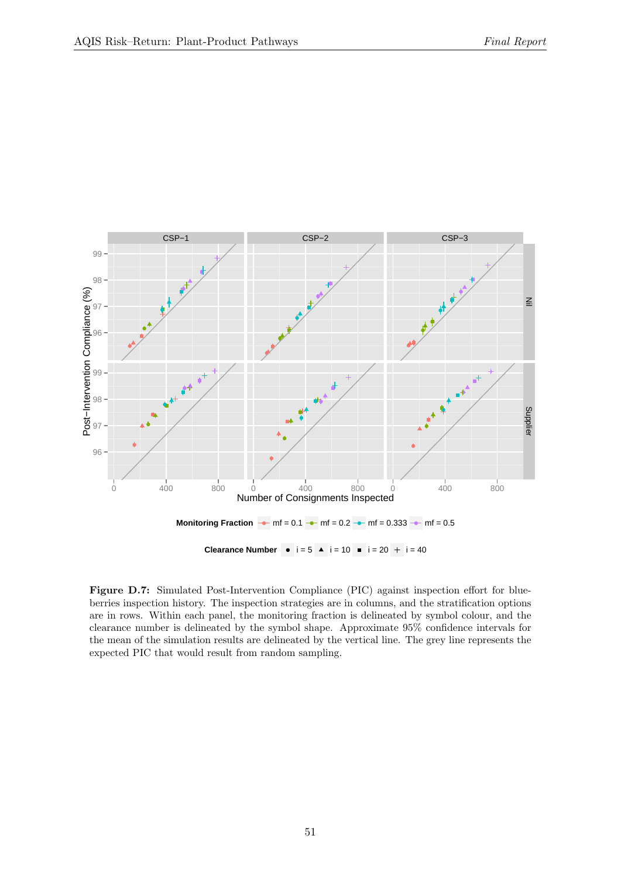<span id="page-50-0"></span>

Figure D.7: Simulated Post-Intervention Compliance (PIC) against inspection effort for blueberries inspection history. The inspection strategies are in columns, and the stratification options are in rows. Within each panel, the monitoring fraction is delineated by symbol colour, and the clearance number is delineated by the symbol shape. Approximate 95% confidence intervals for the mean of the simulation results are delineated by the vertical line. The grey line represents the expected PIC that would result from random sampling.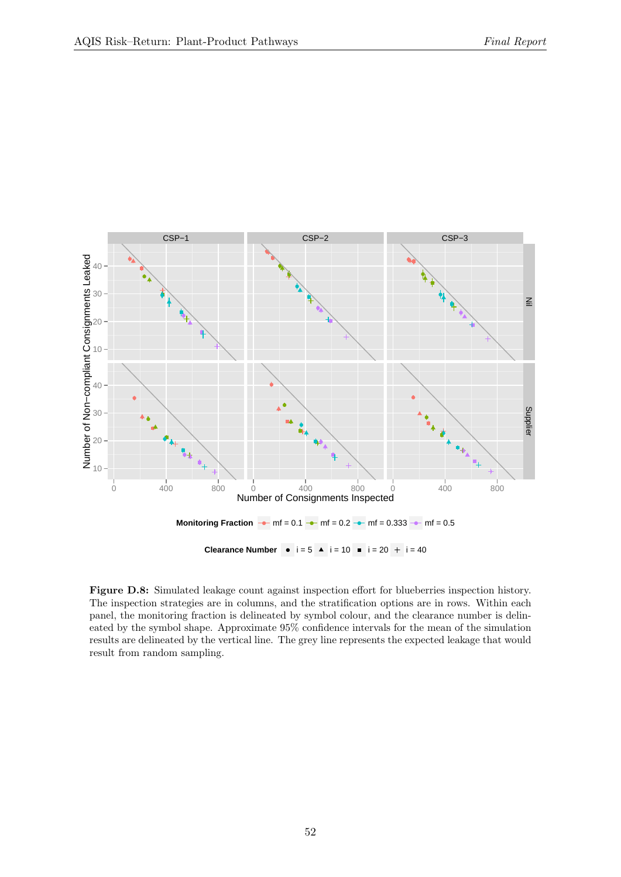<span id="page-51-0"></span>

Figure D.8: Simulated leakage count against inspection effort for blueberries inspection history. The inspection strategies are in columns, and the stratification options are in rows. Within each panel, the monitoring fraction is delineated by symbol colour, and the clearance number is delineated by the symbol shape. Approximate 95% confidence intervals for the mean of the simulation results are delineated by the vertical line. The grey line represents the expected leakage that would result from random sampling.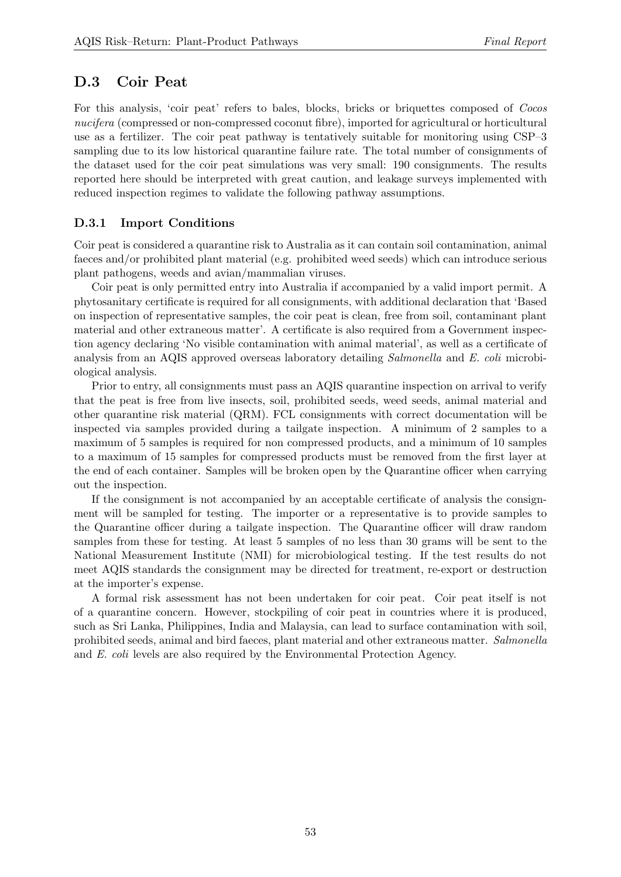## D.3 Coir Peat

For this analysis, 'coir peat' refers to bales, blocks, bricks or briquettes composed of Cocos nucifera (compressed or non-compressed coconut fibre), imported for agricultural or horticultural use as a fertilizer. The coir peat pathway is tentatively suitable for monitoring using CSP–3 sampling due to its low historical quarantine failure rate. The total number of consignments of the dataset used for the coir peat simulations was very small: 190 consignments. The results reported here should be interpreted with great caution, and leakage surveys implemented with reduced inspection regimes to validate the following pathway assumptions.

#### D.3.1 Import Conditions

Coir peat is considered a quarantine risk to Australia as it can contain soil contamination, animal faeces and/or prohibited plant material (e.g. prohibited weed seeds) which can introduce serious plant pathogens, weeds and avian/mammalian viruses.

Coir peat is only permitted entry into Australia if accompanied by a valid import permit. A phytosanitary certificate is required for all consignments, with additional declaration that 'Based on inspection of representative samples, the coir peat is clean, free from soil, contaminant plant material and other extraneous matter'. A certificate is also required from a Government inspection agency declaring 'No visible contamination with animal material', as well as a certificate of analysis from an AQIS approved overseas laboratory detailing Salmonella and E. coli microbiological analysis.

Prior to entry, all consignments must pass an AQIS quarantine inspection on arrival to verify that the peat is free from live insects, soil, prohibited seeds, weed seeds, animal material and other quarantine risk material (QRM). FCL consignments with correct documentation will be inspected via samples provided during a tailgate inspection. A minimum of 2 samples to a maximum of 5 samples is required for non compressed products, and a minimum of 10 samples to a maximum of 15 samples for compressed products must be removed from the first layer at the end of each container. Samples will be broken open by the Quarantine officer when carrying out the inspection.

If the consignment is not accompanied by an acceptable certificate of analysis the consignment will be sampled for testing. The importer or a representative is to provide samples to the Quarantine officer during a tailgate inspection. The Quarantine officer will draw random samples from these for testing. At least 5 samples of no less than 30 grams will be sent to the National Measurement Institute (NMI) for microbiological testing. If the test results do not meet AQIS standards the consignment may be directed for treatment, re-export or destruction at the importer's expense.

A formal risk assessment has not been undertaken for coir peat. Coir peat itself is not of a quarantine concern. However, stockpiling of coir peat in countries where it is produced, such as Sri Lanka, Philippines, India and Malaysia, can lead to surface contamination with soil, prohibited seeds, animal and bird faeces, plant material and other extraneous matter. Salmonella and E. coli levels are also required by the Environmental Protection Agency.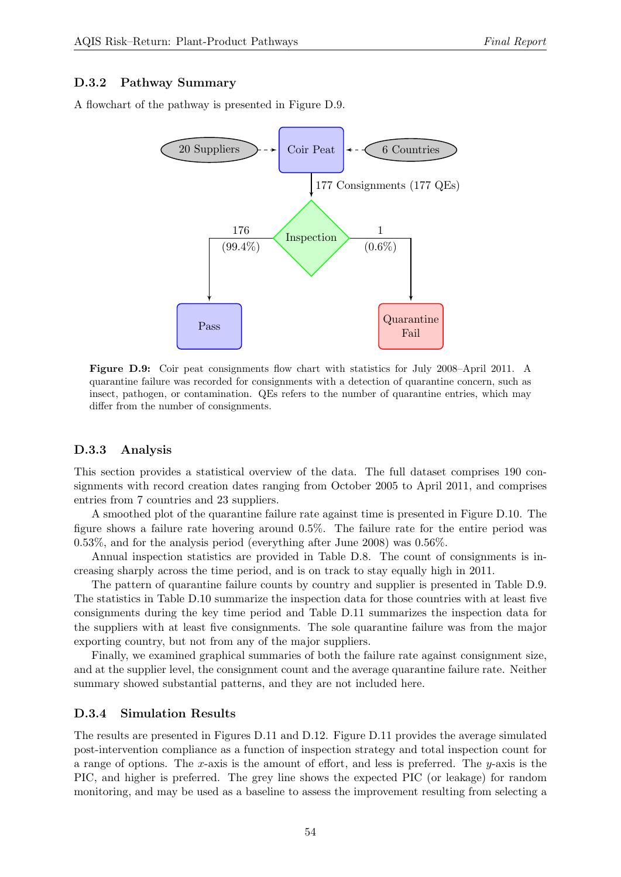#### D.3.2 Pathway Summary

<span id="page-53-0"></span>A flowchart of the pathway is presented in Figure [D.9.](#page-53-0)



Figure D.9: Coir peat consignments flow chart with statistics for July 2008–April 2011. A quarantine failure was recorded for consignments with a detection of quarantine concern, such as insect, pathogen, or contamination. QEs refers to the number of quarantine entries, which may differ from the number of consignments.

#### D.3.3 Analysis

This section provides a statistical overview of the data. The full dataset comprises 190 consignments with record creation dates ranging from October 2005 to April 2011, and comprises entries from 7 countries and 23 suppliers.

A smoothed plot of the quarantine failure rate against time is presented in Figure [D.10.](#page-54-0) The figure shows a failure rate hovering around 0.5%. The failure rate for the entire period was 0.53%, and for the analysis period (everything after June 2008) was 0.56%.

Annual inspection statistics are provided in Table [D.8.](#page-54-1) The count of consignments is increasing sharply across the time period, and is on track to stay equally high in 2011.

The pattern of quarantine failure counts by country and supplier is presented in Table [D.9.](#page-54-2) The statistics in Table [D.10](#page-55-0) summarize the inspection data for those countries with at least five consignments during the key time period and Table [D.11](#page-55-1) summarizes the inspection data for the suppliers with at least five consignments. The sole quarantine failure was from the major exporting country, but not from any of the major suppliers.

Finally, we examined graphical summaries of both the failure rate against consignment size, and at the supplier level, the consignment count and the average quarantine failure rate. Neither summary showed substantial patterns, and they are not included here.

#### D.3.4 Simulation Results

The results are presented in Figures [D.11](#page-56-0) and [D.12.](#page-57-0) Figure [D.11](#page-56-0) provides the average simulated post-intervention compliance as a function of inspection strategy and total inspection count for a range of options. The x-axis is the amount of effort, and less is preferred. The y-axis is the PIC, and higher is preferred. The grey line shows the expected PIC (or leakage) for random monitoring, and may be used as a baseline to assess the improvement resulting from selecting a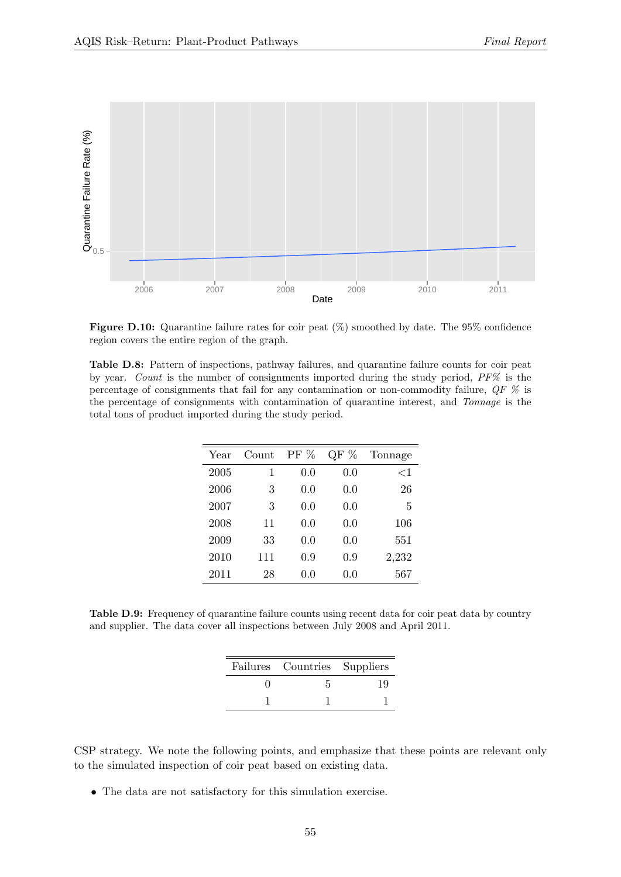<span id="page-54-0"></span>

Figure D.10: Quarantine failure rates for coir peat  $(\%)$  smoothed by date. The 95% confidence region covers the entire region of the graph.

<span id="page-54-1"></span>Table D.8: Pattern of inspections, pathway failures, and quarantine failure counts for coir peat by year. Count is the number of consignments imported during the study period,  $PF\%$  is the percentage of consignments that fail for any contamination or non-commodity failure, QF % is the percentage of consignments with contamination of quarantine interest, and Tonnage is the total tons of product imported during the study period.

| Year | Count | PF % | QF $%$ | Tonnage |
|------|-------|------|--------|---------|
| 2005 | 1     | 0.0  | 0.0    | $<$ 1   |
| 2006 | 3     | 0.0  | 0.0    | 26      |
| 2007 | 3     | 0.0  | 0.0    | 5       |
| 2008 | 11    | 0.0  | 0.0    | 106     |
| 2009 | 33    | 0.0  | 0.0    | 551     |
| 2010 | 111   | 0.9  | 0.9    | 2,232   |
| 2011 | 28    | 0.0  | 0.0    | 567     |

<span id="page-54-2"></span>Table D.9: Frequency of quarantine failure counts using recent data for coir peat data by country and supplier. The data cover all inspections between July 2008 and April 2011.

| Failures Countries Suppliers |  |
|------------------------------|--|
|                              |  |
|                              |  |

CSP strategy. We note the following points, and emphasize that these points are relevant only to the simulated inspection of coir peat based on existing data.

• The data are not satisfactory for this simulation exercise.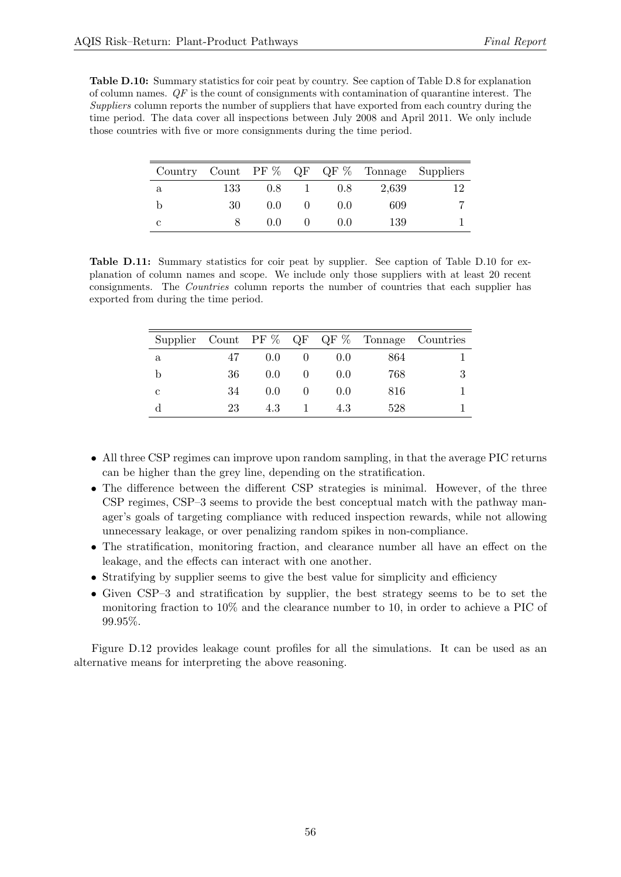<span id="page-55-0"></span>Table D.10: Summary statistics for coir peat by country. See caption of Table [D.8](#page-54-1) for explanation of column names.  $QF$  is the count of consignments with contamination of quarantine interest. The Suppliers column reports the number of suppliers that have exported from each country during the time period. The data cover all inspections between July 2008 and April 2011. We only include those countries with five or more consignments during the time period.

|   |     |               |       |       | Country Count PF $\%$ QF QF $\%$ Tonnage Suppliers |
|---|-----|---------------|-------|-------|----------------------------------------------------|
| a | 133 | $0.8^{\circ}$ | 0.8   | 2,639 |                                                    |
|   | 30  | 0.0           | (1.0) | 609   |                                                    |
| С |     | 0.0           | (1.0) | 139   |                                                    |

<span id="page-55-1"></span>Table D.11: Summary statistics for coir peat by supplier. See caption of Table [D.10](#page-55-0) for explanation of column names and scope. We include only those suppliers with at least 20 recent consignments. The Countries column reports the number of countries that each supplier has exported from during the time period.

|   |    |               |       |     | Supplier Count PF $\%$ QF QF $\%$ Tonnage Countries |
|---|----|---------------|-------|-----|-----------------------------------------------------|
| a | 47 | $0.0^{\circ}$ | (0.0) | 864 |                                                     |
| b | 36 | $0.0^{\circ}$ | (0.0) | 768 |                                                     |
| С | 34 | (0.0)         | (0.0) | 816 |                                                     |
|   | 23 | 4.3           | 4.3   | 528 |                                                     |

- All three CSP regimes can improve upon random sampling, in that the average PIC returns can be higher than the grey line, depending on the stratification.
- The difference between the different CSP strategies is minimal. However, of the three CSP regimes, CSP–3 seems to provide the best conceptual match with the pathway manager's goals of targeting compliance with reduced inspection rewards, while not allowing unnecessary leakage, or over penalizing random spikes in non-compliance.
- The stratification, monitoring fraction, and clearance number all have an effect on the leakage, and the effects can interact with one another.
- Stratifying by supplier seems to give the best value for simplicity and efficiency
- Given CSP–3 and stratification by supplier, the best strategy seems to be to set the monitoring fraction to 10% and the clearance number to 10, in order to achieve a PIC of 99.95%.

Figure [D.12](#page-57-0) provides leakage count profiles for all the simulations. It can be used as an alternative means for interpreting the above reasoning.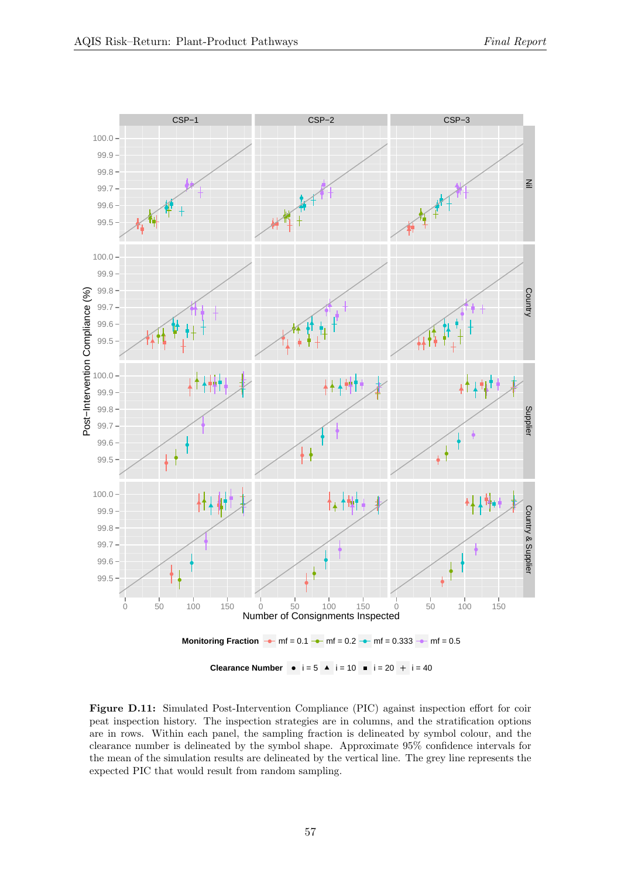<span id="page-56-0"></span>

Figure D.11: Simulated Post-Intervention Compliance (PIC) against inspection effort for coir peat inspection history. The inspection strategies are in columns, and the stratification options are in rows. Within each panel, the sampling fraction is delineated by symbol colour, and the clearance number is delineated by the symbol shape. Approximate 95% confidence intervals for the mean of the simulation results are delineated by the vertical line. The grey line represents the expected PIC that would result from random sampling.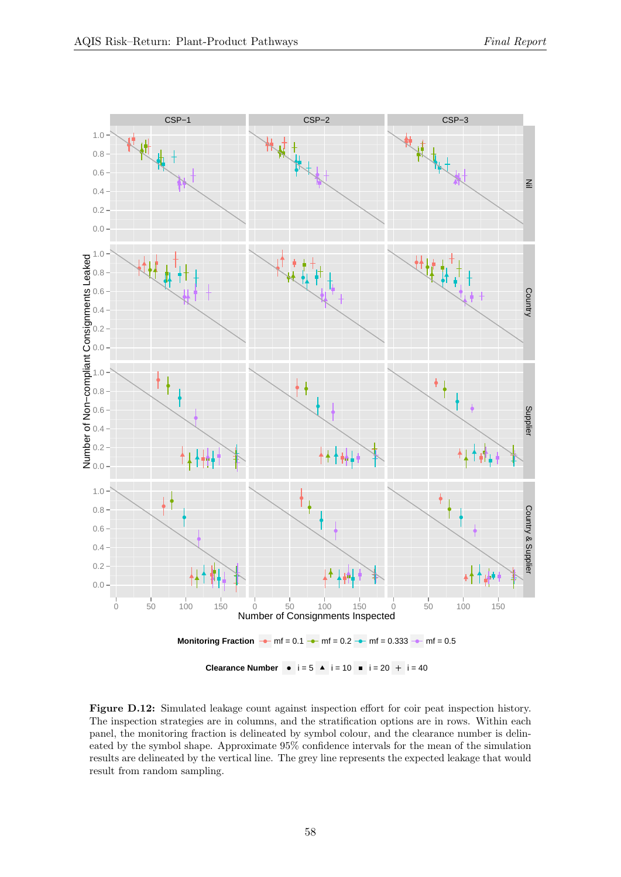<span id="page-57-0"></span>

Figure D.12: Simulated leakage count against inspection effort for coir peat inspection history. The inspection strategies are in columns, and the stratification options are in rows. Within each panel, the monitoring fraction is delineated by symbol colour, and the clearance number is delineated by the symbol shape. Approximate 95% confidence intervals for the mean of the simulation results are delineated by the vertical line. The grey line represents the expected leakage that would result from random sampling.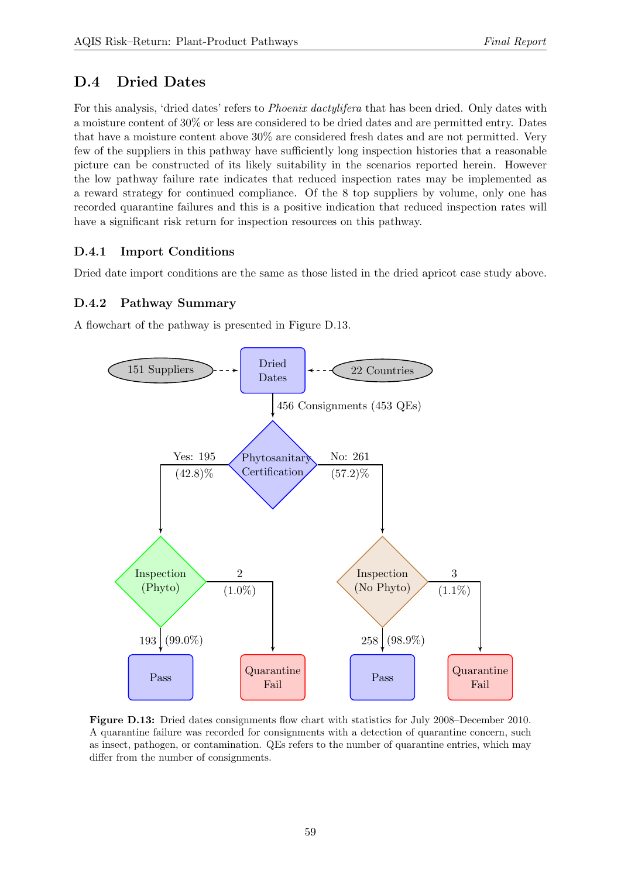## D.4 Dried Dates

For this analysis, 'dried dates' refers to *Phoenix dactylifera* that has been dried. Only dates with a moisture content of 30% or less are considered to be dried dates and are permitted entry. Dates that have a moisture content above 30% are considered fresh dates and are not permitted. Very few of the suppliers in this pathway have sufficiently long inspection histories that a reasonable picture can be constructed of its likely suitability in the scenarios reported herein. However the low pathway failure rate indicates that reduced inspection rates may be implemented as a reward strategy for continued compliance. Of the 8 top suppliers by volume, only one has recorded quarantine failures and this is a positive indication that reduced inspection rates will have a significant risk return for inspection resources on this pathway.

## D.4.1 Import Conditions

Dried date import conditions are the same as those listed in the dried apricot case study above.

## D.4.2 Pathway Summary

<span id="page-58-0"></span>A flowchart of the pathway is presented in Figure [D.13.](#page-58-0)



Figure D.13: Dried dates consignments flow chart with statistics for July 2008–December 2010. A quarantine failure was recorded for consignments with a detection of quarantine concern, such as insect, pathogen, or contamination. QEs refers to the number of quarantine entries, which may differ from the number of consignments.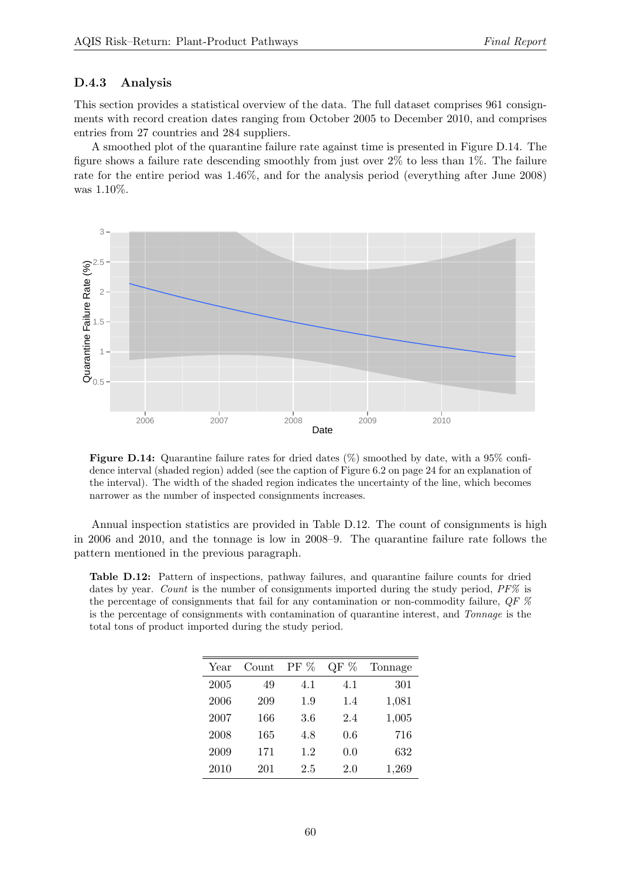#### D.4.3 Analysis

This section provides a statistical overview of the data. The full dataset comprises 961 consignments with record creation dates ranging from October 2005 to December 2010, and comprises entries from 27 countries and 284 suppliers.

A smoothed plot of the quarantine failure rate against time is presented in Figure [D.14.](#page-59-0) The figure shows a failure rate descending smoothly from just over 2% to less than 1%. The failure rate for the entire period was 1.46%, and for the analysis period (everything after June 2008) was 1.10%.

<span id="page-59-0"></span>

Figure D.14: Quarantine failure rates for dried dates  $(\%)$  smoothed by date, with a 95% confi-dence interval (shaded region) added (see the caption of Figure [6.2](#page-23-0) on page [24](#page-23-0) for an explanation of the interval). The width of the shaded region indicates the uncertainty of the line, which becomes narrower as the number of inspected consignments increases.

Annual inspection statistics are provided in Table [D.12.](#page-59-1) The count of consignments is high in 2006 and 2010, and the tonnage is low in 2008–9. The quarantine failure rate follows the pattern mentioned in the previous paragraph.

<span id="page-59-1"></span>Table D.12: Pattern of inspections, pathway failures, and quarantine failure counts for dried dates by year. Count is the number of consignments imported during the study period, PF% is the percentage of consignments that fail for any contamination or non-commodity failure,  $QF$  % is the percentage of consignments with contamination of quarantine interest, and Tonnage is the total tons of product imported during the study period.

| Year | Count | $PF\%$ | %<br>QF | Tonnage |
|------|-------|--------|---------|---------|
| 2005 | 49    | 4.1    | 4.1     | 301     |
| 2006 | 209   | 1.9    | 1.4     | 1,081   |
| 2007 | 166   | 3.6    | 2.4     | 1,005   |
| 2008 | 165   | 4.8    | 0.6     | 716     |
| 2009 | 171   | 1.2    | 0.0     | 632     |
| 2010 | 201   | 2.5    | 2.0     | 1,269   |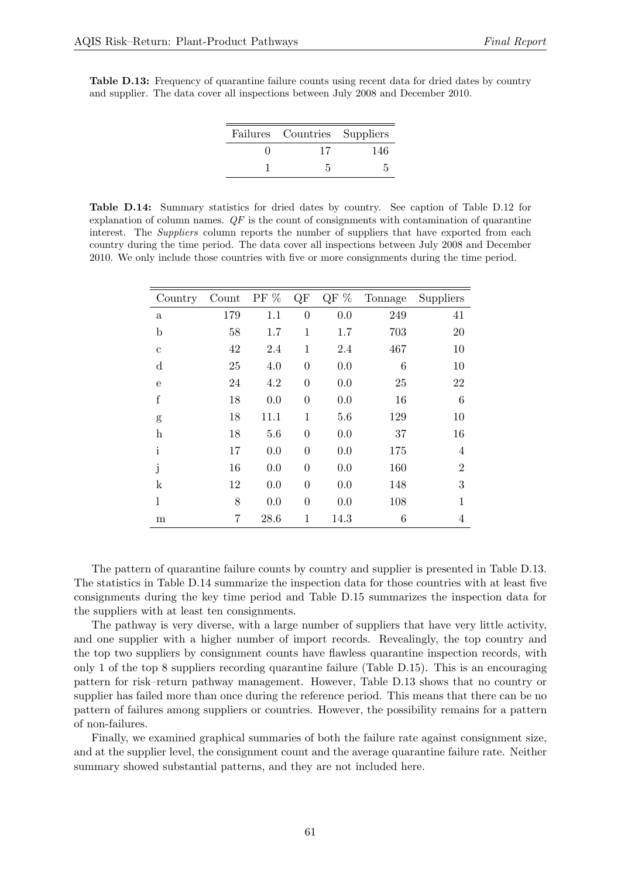<span id="page-60-0"></span>Table D.13: Frequency of quarantine failure counts using recent data for dried dates by country and supplier. The data cover all inspections between July 2008 and December 2010.

| Failures Countries Suppliers |     |  |
|------------------------------|-----|--|
| 17                           | 146 |  |
|                              |     |  |

<span id="page-60-1"></span>Table D.14: Summary statistics for dried dates by country. See caption of Table [D.12](#page-59-1) for explanation of column names.  $QF$  is the count of consignments with contamination of quarantine interest. The *Suppliers* column reports the number of suppliers that have exported from each country during the time period. The data cover all inspections between July 2008 and December 2010. We only include those countries with five or more consignments during the time period.

| Country                   | Count          | PF $%$ | $\rm QF$       | QF $\%$ | Tonnage | Suppliers      |
|---------------------------|----------------|--------|----------------|---------|---------|----------------|
| $\mathbf{a}$              | 179            | 1.1    | $\overline{0}$ | 0.0     | 249     | 41             |
| $\mathbf b$               | 58             | 1.7    | $\mathbf{1}$   | 1.7     | 703     | 20             |
| $\mathbf c$               | 42             | 2.4    | $\mathbf{1}$   | 2.4     | 467     | 10             |
| $\mathbf d$               | 25             | 4.0    | $\theta$       | 0.0     | 6       | 10             |
| e                         | 24             | 4.2    | $\overline{0}$ | 0.0     | 25      | 22             |
| $\mathbf f$               | 18             | 0.0    | $\overline{0}$ | 0.0     | 16      | 6              |
| g                         | 18             | 11.1   | 1              | 5.6     | 129     | 10             |
| $\boldsymbol{\mathrm{h}}$ | 18             | 5.6    | $\overline{0}$ | 0.0     | 37      | 16             |
| $\mathbf{i}$              | 17             | 0.0    | $\theta$       | 0.0     | 175     | 4              |
| j                         | 16             | 0.0    | $\theta$       | 0.0     | 160     | $\overline{2}$ |
| $\mathbf k$               | 12             | 0.0    | $\theta$       | 0.0     | 148     | 3              |
| l                         | 8              | 0.0    | $\theta$       | 0.0     | 108     | 1              |
| m                         | $\overline{7}$ | 28.6   | 1              | 14.3    | 6       | 4              |

The pattern of quarantine failure counts by country and supplier is presented in Table [D.13.](#page-60-0) The statistics in Table [D.14](#page-60-1) summarize the inspection data for those countries with at least five consignments during the key time period and Table [D.15](#page-61-0) summarizes the inspection data for the suppliers with at least ten consignments.

The pathway is very diverse, with a large number of suppliers that have very little activity, and one supplier with a higher number of import records. Revealingly, the top country and the top two suppliers by consignment counts have flawless quarantine inspection records, with only 1 of the top 8 suppliers recording quarantine failure (Table [D.15\)](#page-61-0). This is an encouraging pattern for risk–return pathway management. However, Table [D.13](#page-60-0) shows that no country or supplier has failed more than once during the reference period. This means that there can be no pattern of failures among suppliers or countries. However, the possibility remains for a pattern of non-failures.

Finally, we examined graphical summaries of both the failure rate against consignment size, and at the supplier level, the consignment count and the average quarantine failure rate. Neither summary showed substantial patterns, and they are not included here.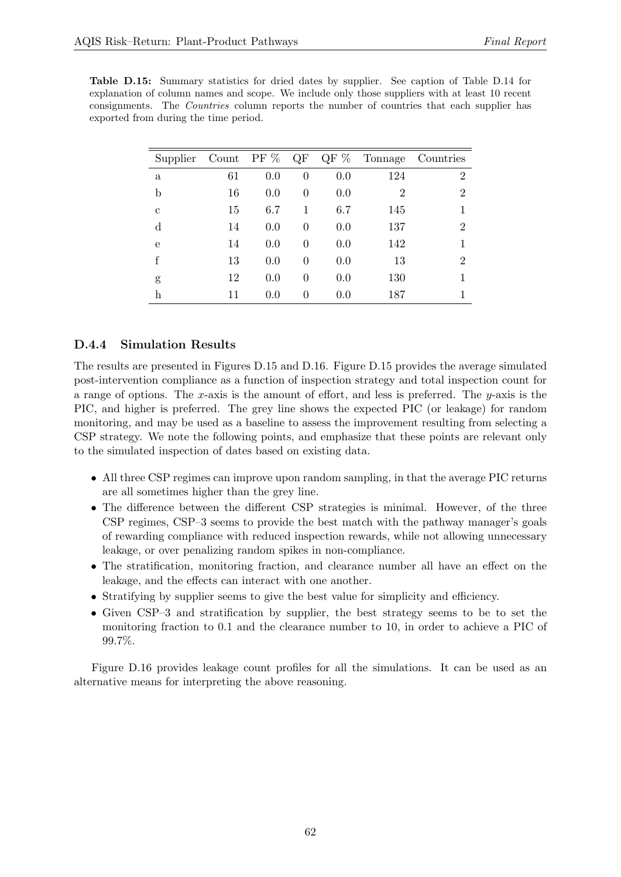<span id="page-61-0"></span>Table D.15: Summary statistics for dried dates by supplier. See caption of Table [D.14](#page-60-1) for explanation of column names and scope. We include only those suppliers with at least 10 recent consignments. The Countries column reports the number of countries that each supplier has exported from during the time period.

| Supplier    | Count PF $%$ |     | QF       |     | $QF\%$ Tonnage | Countries      |
|-------------|--------------|-----|----------|-----|----------------|----------------|
| a           | 61           | 0.0 | $\theta$ | 0.0 | 124            | 2              |
| b           | 16           | 0.0 | $\theta$ | 0.0 | $\overline{2}$ | $\overline{2}$ |
| $\mathbf c$ | 15           | 6.7 | 1        | 6.7 | 145            |                |
| $\mathbf d$ | 14           | 0.0 | $\theta$ | 0.0 | 137            | 2              |
| e           | 14           | 0.0 | $\theta$ | 0.0 | 142            |                |
| f           | 13           | 0.0 | $\theta$ | 0.0 | 13             | 2              |
| g           | 12           | 0.0 | $\theta$ | 0.0 | 130            |                |
| h           | 11           | 0.0 | 0        | 0.0 | 187            |                |

#### D.4.4 Simulation Results

The results are presented in Figures [D.15](#page-62-0) and [D.16.](#page-63-0) Figure [D.15](#page-62-0) provides the average simulated post-intervention compliance as a function of inspection strategy and total inspection count for a range of options. The x-axis is the amount of effort, and less is preferred. The  $y$ -axis is the PIC, and higher is preferred. The grey line shows the expected PIC (or leakage) for random monitoring, and may be used as a baseline to assess the improvement resulting from selecting a CSP strategy. We note the following points, and emphasize that these points are relevant only to the simulated inspection of dates based on existing data.

- All three CSP regimes can improve upon random sampling, in that the average PIC returns are all sometimes higher than the grey line.
- The difference between the different CSP strategies is minimal. However, of the three CSP regimes, CSP–3 seems to provide the best match with the pathway manager's goals of rewarding compliance with reduced inspection rewards, while not allowing unnecessary leakage, or over penalizing random spikes in non-compliance.
- The stratification, monitoring fraction, and clearance number all have an effect on the leakage, and the effects can interact with one another.
- Stratifying by supplier seems to give the best value for simplicity and efficiency.
- Given CSP–3 and stratification by supplier, the best strategy seems to be to set the monitoring fraction to 0.1 and the clearance number to 10, in order to achieve a PIC of 99.7%.

Figure [D.16](#page-63-0) provides leakage count profiles for all the simulations. It can be used as an alternative means for interpreting the above reasoning.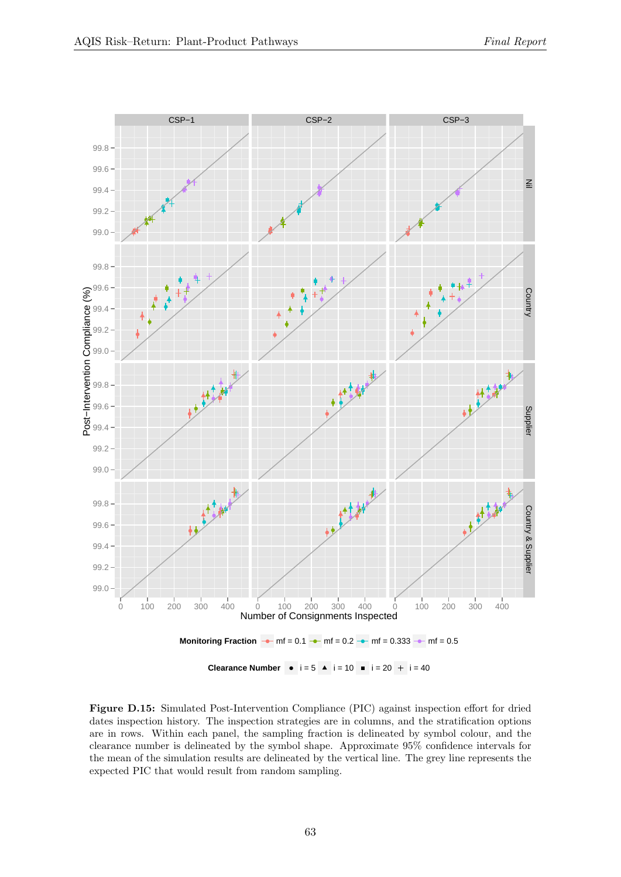<span id="page-62-0"></span>

Figure D.15: Simulated Post-Intervention Compliance (PIC) against inspection effort for dried dates inspection history. The inspection strategies are in columns, and the stratification options are in rows. Within each panel, the sampling fraction is delineated by symbol colour, and the clearance number is delineated by the symbol shape. Approximate 95% confidence intervals for the mean of the simulation results are delineated by the vertical line. The grey line represents the expected PIC that would result from random sampling.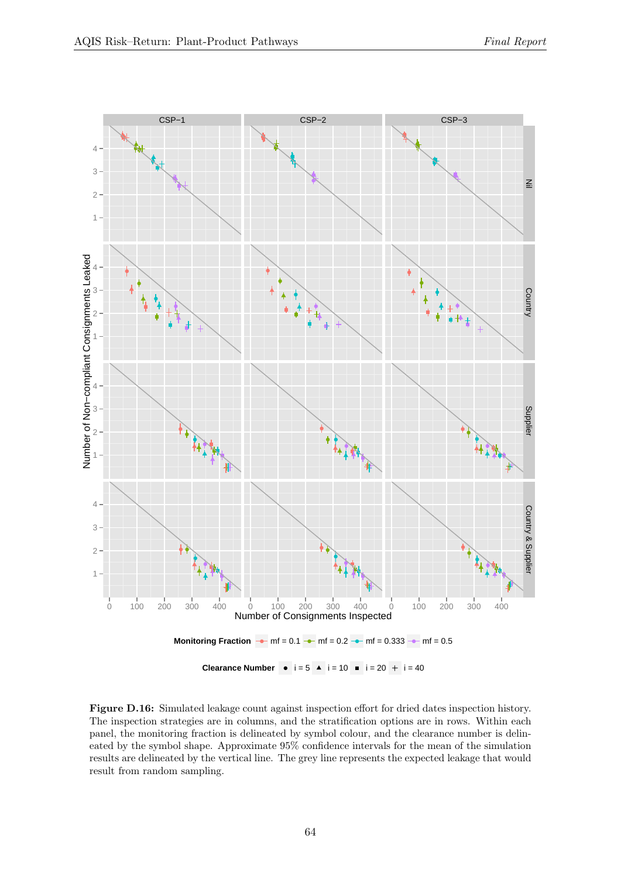<span id="page-63-0"></span>

Figure D.16: Simulated leakage count against inspection effort for dried dates inspection history. The inspection strategies are in columns, and the stratification options are in rows. Within each panel, the monitoring fraction is delineated by symbol colour, and the clearance number is delineated by the symbol shape. Approximate 95% confidence intervals for the mean of the simulation results are delineated by the vertical line. The grey line represents the expected leakage that would result from random sampling.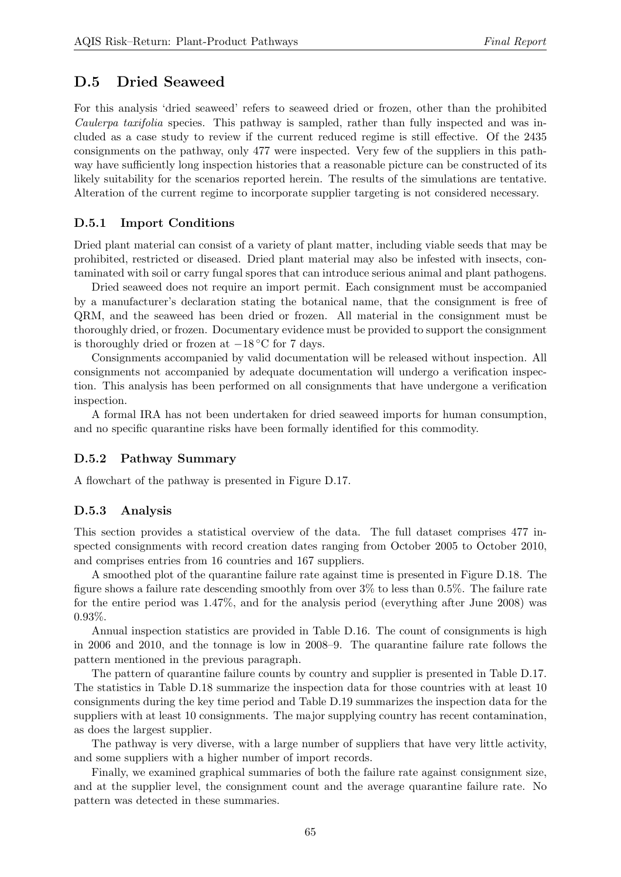## D.5 Dried Seaweed

For this analysis 'dried seaweed' refers to seaweed dried or frozen, other than the prohibited Caulerpa taxifolia species. This pathway is sampled, rather than fully inspected and was included as a case study to review if the current reduced regime is still effective. Of the 2435 consignments on the pathway, only 477 were inspected. Very few of the suppliers in this pathway have sufficiently long inspection histories that a reasonable picture can be constructed of its likely suitability for the scenarios reported herein. The results of the simulations are tentative. Alteration of the current regime to incorporate supplier targeting is not considered necessary.

#### D.5.1 Import Conditions

Dried plant material can consist of a variety of plant matter, including viable seeds that may be prohibited, restricted or diseased. Dried plant material may also be infested with insects, contaminated with soil or carry fungal spores that can introduce serious animal and plant pathogens.

Dried seaweed does not require an import permit. Each consignment must be accompanied by a manufacturer's declaration stating the botanical name, that the consignment is free of QRM, and the seaweed has been dried or frozen. All material in the consignment must be thoroughly dried, or frozen. Documentary evidence must be provided to support the consignment is thoroughly dried or frozen at  $-18\degree\text{C}$  for 7 days.

Consignments accompanied by valid documentation will be released without inspection. All consignments not accompanied by adequate documentation will undergo a verification inspection. This analysis has been performed on all consignments that have undergone a verification inspection.

A formal IRA has not been undertaken for dried seaweed imports for human consumption, and no specific quarantine risks have been formally identified for this commodity.

#### D.5.2 Pathway Summary

A flowchart of the pathway is presented in Figure [D.17.](#page-65-0)

#### D.5.3 Analysis

This section provides a statistical overview of the data. The full dataset comprises 477 inspected consignments with record creation dates ranging from October 2005 to October 2010, and comprises entries from 16 countries and 167 suppliers.

A smoothed plot of the quarantine failure rate against time is presented in Figure [D.18.](#page-66-0) The figure shows a failure rate descending smoothly from over 3% to less than 0.5%. The failure rate for the entire period was 1.47%, and for the analysis period (everything after June 2008) was 0.93%.

Annual inspection statistics are provided in Table [D.16.](#page-65-1) The count of consignments is high in 2006 and 2010, and the tonnage is low in 2008–9. The quarantine failure rate follows the pattern mentioned in the previous paragraph.

The pattern of quarantine failure counts by country and supplier is presented in Table [D.17.](#page-66-1) The statistics in Table [D.18](#page-66-2) summarize the inspection data for those countries with at least 10 consignments during the key time period and Table [D.19](#page-67-0) summarizes the inspection data for the suppliers with at least 10 consignments. The major supplying country has recent contamination, as does the largest supplier.

The pathway is very diverse, with a large number of suppliers that have very little activity, and some suppliers with a higher number of import records.

Finally, we examined graphical summaries of both the failure rate against consignment size, and at the supplier level, the consignment count and the average quarantine failure rate. No pattern was detected in these summaries.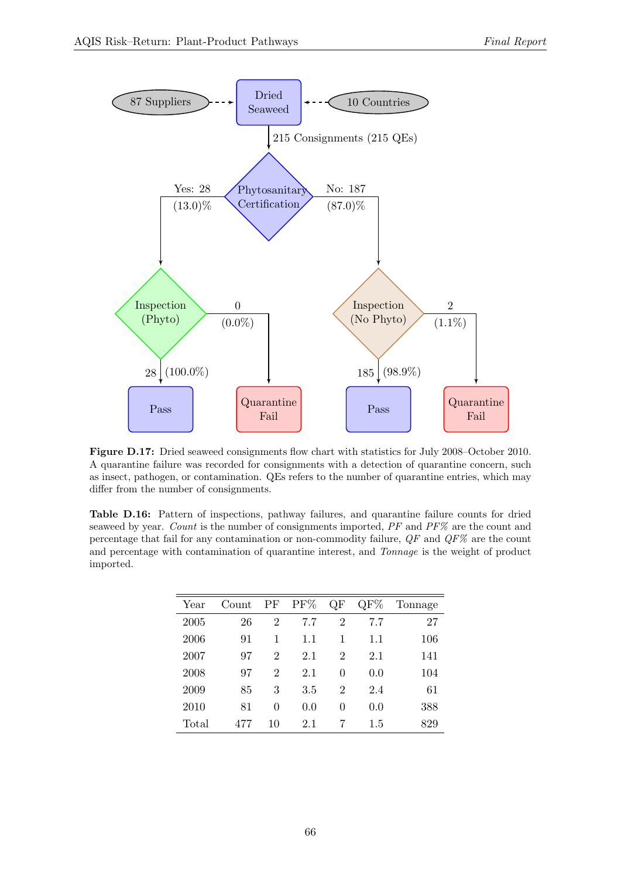<span id="page-65-0"></span>

Figure D.17: Dried seaweed consignments flow chart with statistics for July 2008–October 2010. A quarantine failure was recorded for consignments with a detection of quarantine concern, such as insect, pathogen, or contamination. QEs refers to the number of quarantine entries, which may differ from the number of consignments.

<span id="page-65-1"></span>Table D.16: Pattern of inspections, pathway failures, and quarantine failure counts for dried seaweed by year. Count is the number of consignments imported, PF and PF% are the count and percentage that fail for any contamination or non-commodity failure,  $QF$  and  $QF\%$  are the count and percentage with contamination of quarantine interest, and Tonnage is the weight of product imported.

| Year  | Count | PF             | PF%     | QF             | QF% | Tonnage |
|-------|-------|----------------|---------|----------------|-----|---------|
| 2005  | 26    | $\overline{2}$ | 7.7     | $\overline{2}$ | 7.7 | 27      |
| 2006  | 91    | 1              | 1.1     | 1              | 1.1 | 106     |
| 2007  | 97    | $\overline{2}$ | 2.1     | $\overline{2}$ | 2.1 | 141     |
| 2008  | 97    | $\overline{2}$ | 2.1     | 0              | 0.0 | 104     |
| 2009  | 85    | 3              | $3.5\,$ | 2              | 2.4 | 61      |
| 2010  | 81    | 0              | 0.0     | 0              | 0.0 | 388     |
| Total | 477   | 10             | 2.1     | 7              | 1.5 | 829     |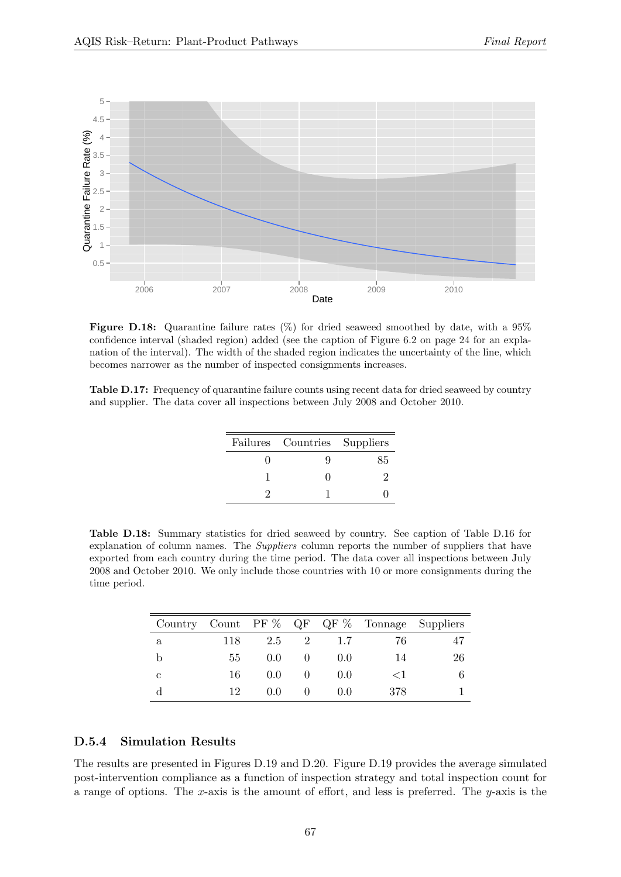<span id="page-66-0"></span>

Figure D.18: Quarantine failure rates  $(\%)$  for dried seaweed smoothed by date, with a 95% confidence interval (shaded region) added (see the caption of Figure [6.2](#page-23-0) on page [24](#page-23-0) for an explanation of the interval). The width of the shaded region indicates the uncertainty of the line, which becomes narrower as the number of inspected consignments increases.

<span id="page-66-1"></span>Table D.17: Frequency of quarantine failure counts using recent data for dried seaweed by country and supplier. The data cover all inspections between July 2008 and October 2010.

| Failures Countries Suppliers |    |
|------------------------------|----|
|                              | 85 |
|                              |    |
|                              |    |

<span id="page-66-2"></span>Table D.18: Summary statistics for dried seaweed by country. See caption of Table [D.16](#page-65-1) for explanation of column names. The Suppliers column reports the number of suppliers that have exported from each country during the time period. The data cover all inspections between July 2008 and October 2010. We only include those countries with 10 or more consignments during the time period.

|              |     |               |                |       | Country Count PF $\%$ QF QF $\%$ Tonnage Suppliers |    |
|--------------|-----|---------------|----------------|-------|----------------------------------------------------|----|
| $\mathbf{a}$ | 118 | 2.5           | $\overline{2}$ | 1.7   | 76                                                 | 47 |
| b            | 55  | 0.0           |                | 0.0   | 14                                                 | 26 |
| C            | 16  | $0.0^{\circ}$ |                | (0.0) | $<$ 1                                              |    |
|              | 19. | (0.0)         |                | (1.0) | 378                                                |    |

#### D.5.4 Simulation Results

The results are presented in Figures [D.19](#page-68-0) and [D.20.](#page-69-0) Figure [D.19](#page-68-0) provides the average simulated post-intervention compliance as a function of inspection strategy and total inspection count for a range of options. The x-axis is the amount of effort, and less is preferred. The y-axis is the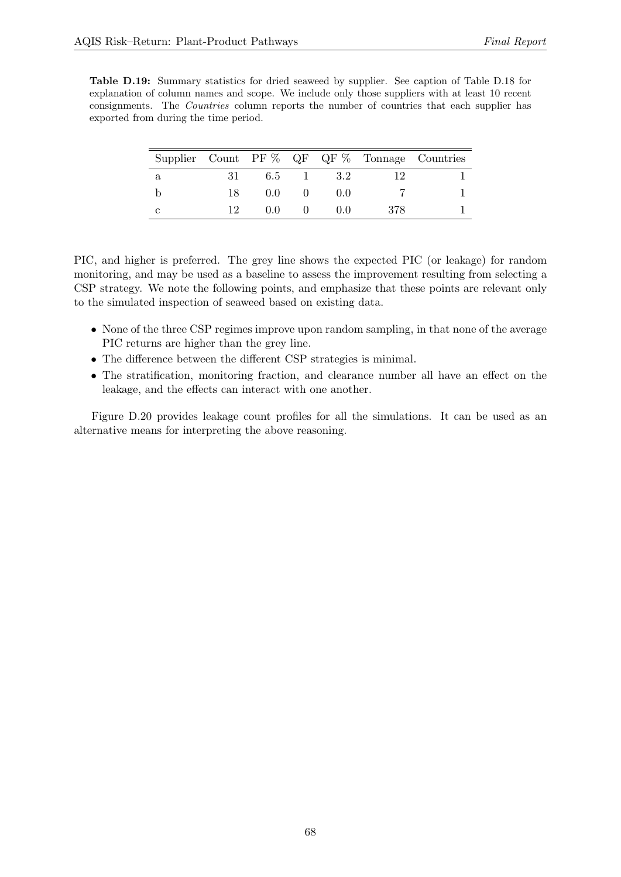<span id="page-67-0"></span>Table D.19: Summary statistics for dried seaweed by supplier. See caption of Table [D.18](#page-66-2) for explanation of column names and scope. We include only those suppliers with at least 10 recent consignments. The Countries column reports the number of countries that each supplier has exported from during the time period.

|   |     |     |       |       |     | Supplier Count PF $\%$ QF QF $\%$ Tonnage Countries |
|---|-----|-----|-------|-------|-----|-----------------------------------------------------|
| a | 31- |     | 6.5 1 | - 3.2 |     |                                                     |
|   | 18. | 0.0 |       | (1)   |     |                                                     |
| С | 19. | 0.0 |       | (1)   | 378 |                                                     |

PIC, and higher is preferred. The grey line shows the expected PIC (or leakage) for random monitoring, and may be used as a baseline to assess the improvement resulting from selecting a CSP strategy. We note the following points, and emphasize that these points are relevant only to the simulated inspection of seaweed based on existing data.

- None of the three CSP regimes improve upon random sampling, in that none of the average PIC returns are higher than the grey line.
- The difference between the different CSP strategies is minimal.
- The stratification, monitoring fraction, and clearance number all have an effect on the leakage, and the effects can interact with one another.

Figure [D.20](#page-69-0) provides leakage count profiles for all the simulations. It can be used as an alternative means for interpreting the above reasoning.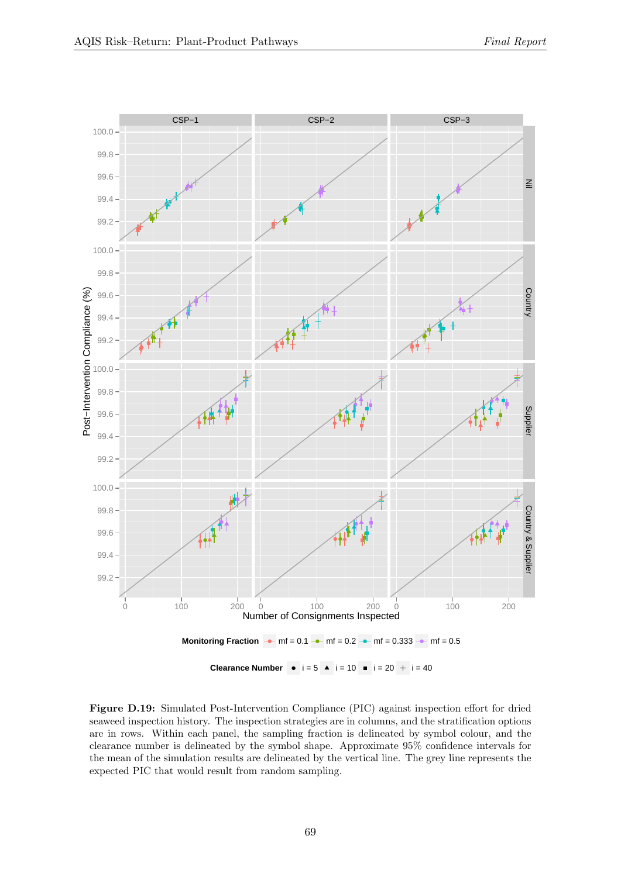<span id="page-68-0"></span>

Figure D.19: Simulated Post-Intervention Compliance (PIC) against inspection effort for dried seaweed inspection history. The inspection strategies are in columns, and the stratification options are in rows. Within each panel, the sampling fraction is delineated by symbol colour, and the clearance number is delineated by the symbol shape. Approximate 95% confidence intervals for the mean of the simulation results are delineated by the vertical line. The grey line represents the expected PIC that would result from random sampling.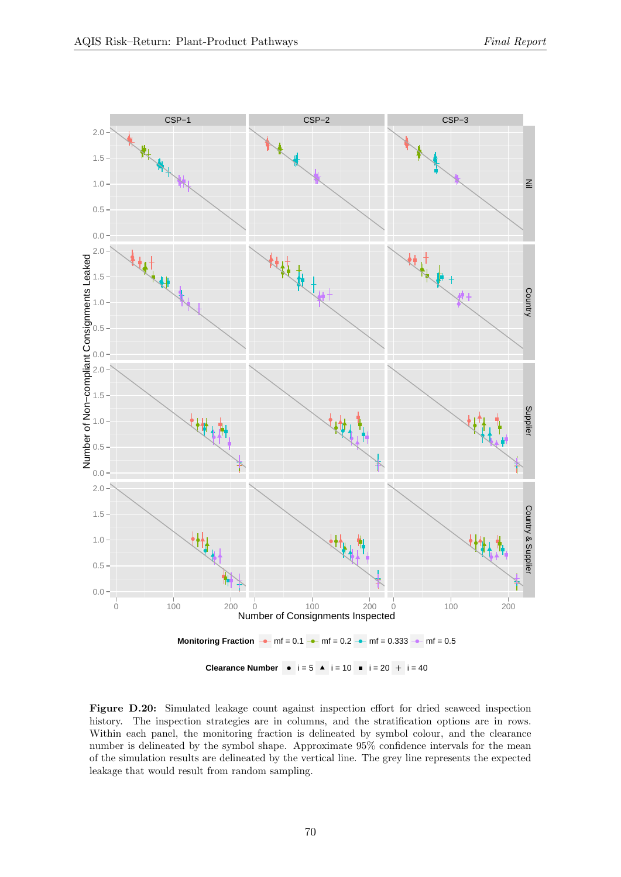<span id="page-69-0"></span>

Figure D.20: Simulated leakage count against inspection effort for dried seaweed inspection history. The inspection strategies are in columns, and the stratification options are in rows. Within each panel, the monitoring fraction is delineated by symbol colour, and the clearance number is delineated by the symbol shape. Approximate 95% confidence intervals for the mean of the simulation results are delineated by the vertical line. The grey line represents the expected leakage that would result from random sampling.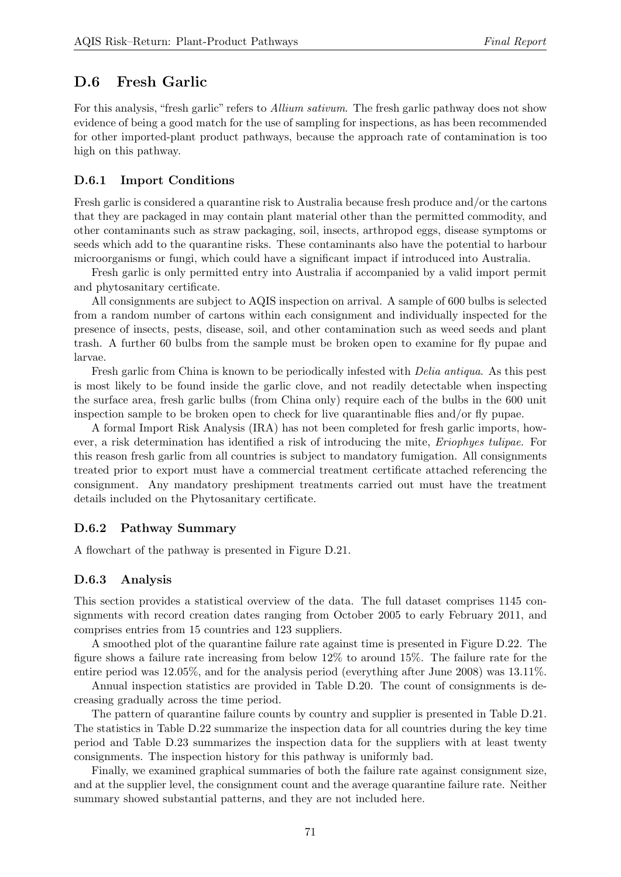## D.6 Fresh Garlic

For this analysis, "fresh garlic" refers to *Allium sativum*. The fresh garlic pathway does not show evidence of being a good match for the use of sampling for inspections, as has been recommended for other imported-plant product pathways, because the approach rate of contamination is too high on this pathway.

#### D.6.1 Import Conditions

Fresh garlic is considered a quarantine risk to Australia because fresh produce and/or the cartons that they are packaged in may contain plant material other than the permitted commodity, and other contaminants such as straw packaging, soil, insects, arthropod eggs, disease symptoms or seeds which add to the quarantine risks. These contaminants also have the potential to harbour microorganisms or fungi, which could have a significant impact if introduced into Australia.

Fresh garlic is only permitted entry into Australia if accompanied by a valid import permit and phytosanitary certificate.

All consignments are subject to AQIS inspection on arrival. A sample of 600 bulbs is selected from a random number of cartons within each consignment and individually inspected for the presence of insects, pests, disease, soil, and other contamination such as weed seeds and plant trash. A further 60 bulbs from the sample must be broken open to examine for fly pupae and larvae.

Fresh garlic from China is known to be periodically infested with Delia antiqua. As this pest is most likely to be found inside the garlic clove, and not readily detectable when inspecting the surface area, fresh garlic bulbs (from China only) require each of the bulbs in the 600 unit inspection sample to be broken open to check for live quarantinable flies and/or fly pupae.

A formal Import Risk Analysis (IRA) has not been completed for fresh garlic imports, however, a risk determination has identified a risk of introducing the mite, Eriophyes tulipae. For this reason fresh garlic from all countries is subject to mandatory fumigation. All consignments treated prior to export must have a commercial treatment certificate attached referencing the consignment. Any mandatory preshipment treatments carried out must have the treatment details included on the Phytosanitary certificate.

#### D.6.2 Pathway Summary

A flowchart of the pathway is presented in Figure [D.21.](#page-71-0)

#### D.6.3 Analysis

This section provides a statistical overview of the data. The full dataset comprises 1145 consignments with record creation dates ranging from October 2005 to early February 2011, and comprises entries from 15 countries and 123 suppliers.

A smoothed plot of the quarantine failure rate against time is presented in Figure [D.22.](#page-71-1) The figure shows a failure rate increasing from below 12% to around 15%. The failure rate for the entire period was 12.05%, and for the analysis period (everything after June 2008) was 13.11%.

Annual inspection statistics are provided in Table [D.20.](#page-72-0) The count of consignments is decreasing gradually across the time period.

The pattern of quarantine failure counts by country and supplier is presented in Table [D.21.](#page-72-1) The statistics in Table [D.22](#page-73-0) summarize the inspection data for all countries during the key time period and Table [D.23](#page-73-1) summarizes the inspection data for the suppliers with at least twenty consignments. The inspection history for this pathway is uniformly bad.

Finally, we examined graphical summaries of both the failure rate against consignment size, and at the supplier level, the consignment count and the average quarantine failure rate. Neither summary showed substantial patterns, and they are not included here.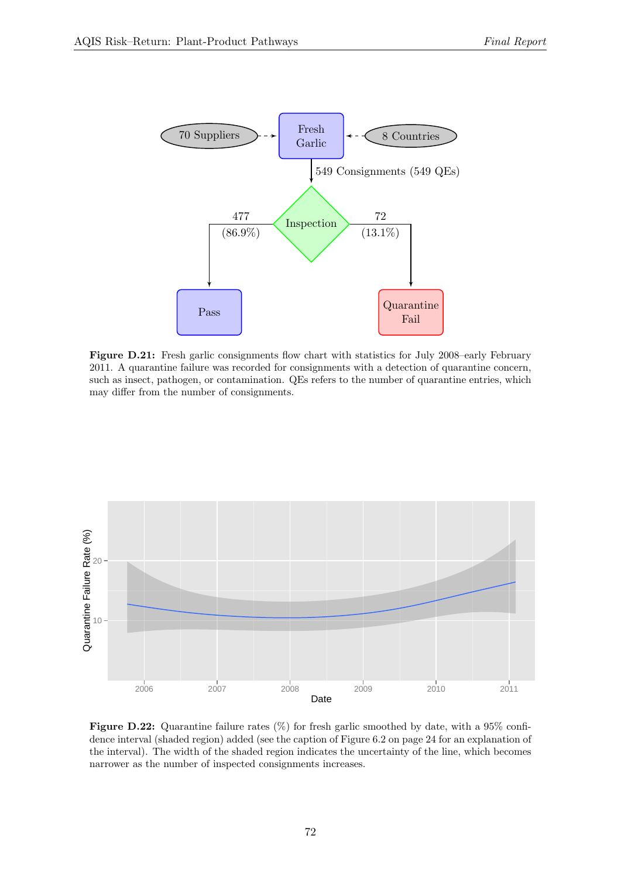<span id="page-71-0"></span>

Figure D.21: Fresh garlic consignments flow chart with statistics for July 2008–early February 2011. A quarantine failure was recorded for consignments with a detection of quarantine concern, such as insect, pathogen, or contamination. QEs refers to the number of quarantine entries, which may differ from the number of consignments.

<span id="page-71-1"></span>

**Figure D.22:** Quarantine failure rates  $(\%)$  for fresh garlic smoothed by date, with a 95% confi-dence interval (shaded region) added (see the caption of Figure [6.2](#page-23-0) on page [24](#page-23-0) for an explanation of the interval). The width of the shaded region indicates the uncertainty of the line, which becomes narrower as the number of inspected consignments increases.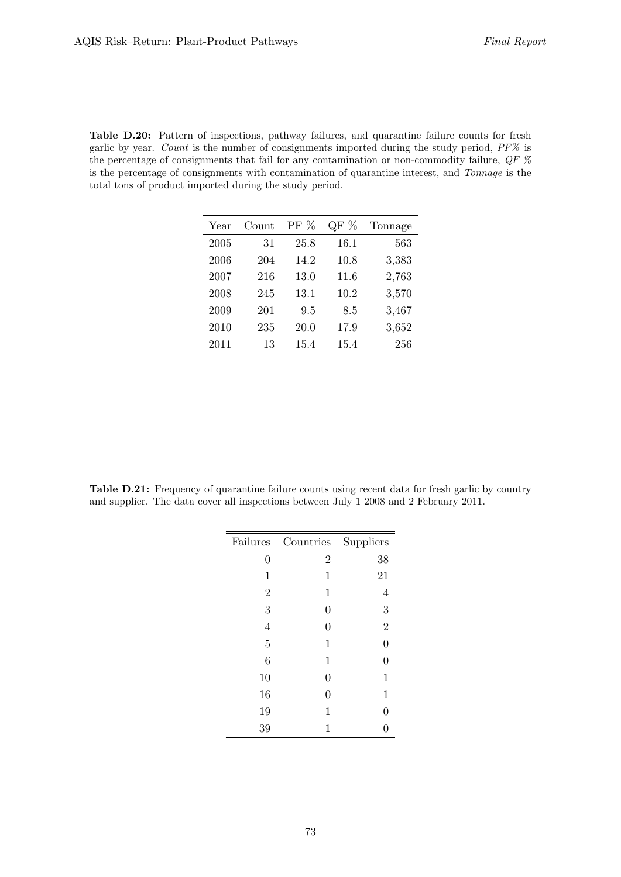<span id="page-72-0"></span>Table D.20: Pattern of inspections, pathway failures, and quarantine failure counts for fresh garlic by year. Count is the number of consignments imported during the study period, PF% is the percentage of consignments that fail for any contamination or non-commodity failure, QF % is the percentage of consignments with contamination of quarantine interest, and Tonnage is the total tons of product imported during the study period.

| Year | Count | PF % | $\mathrm{QF}~\%$ | Tonnage |
|------|-------|------|------------------|---------|
| 2005 | 31    | 25.8 | 16.1             | 563     |
| 2006 | 204   | 14.2 | 10.8             | 3,383   |
| 2007 | 216   | 13.0 | 11.6             | 2,763   |
| 2008 | 245   | 13.1 | 10.2             | 3,570   |
| 2009 | 201   | 9.5  | 8.5              | 3,467   |
| 2010 | 235   | 20.0 | 17.9             | 3,652   |
| 2011 | 13    | 15.4 | 15.4             | 256     |

<span id="page-72-1"></span>Table D.21: Frequency of quarantine failure counts using recent data for fresh garlic by country and supplier. The data cover all inspections between July 1 2008 and 2 February 2011.

| Failures       | Countries      | Suppliers      |
|----------------|----------------|----------------|
| $\overline{0}$ | $\overline{2}$ | 38             |
| 1              | 1              | 21             |
| $\overline{2}$ | 1              | 4              |
| 3              | 0              | 3              |
| 4              | 0              | $\overline{2}$ |
| $\overline{5}$ | 1              | $\overline{0}$ |
| 6              | 1              | $\overline{0}$ |
| 10             | 0              | $\mathbf{1}$   |
| 16             | 0              | 1              |
| 19             | 1              | $\overline{0}$ |
| 39             | 1              |                |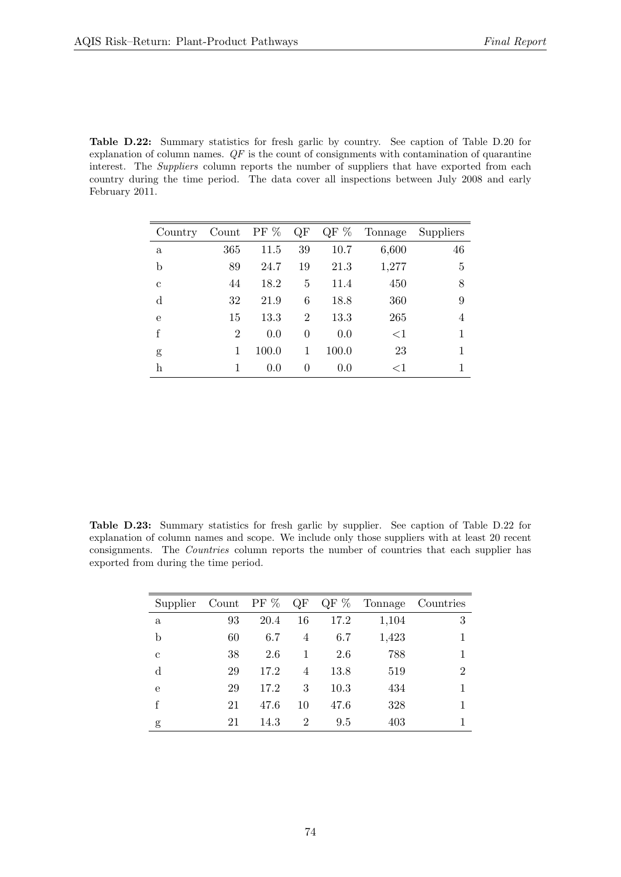<span id="page-73-0"></span>Table D.22: Summary statistics for fresh garlic by country. See caption of Table [D.20](#page-72-0) for explanation of column names.  $QF$  is the count of consignments with contamination of quarantine interest. The Suppliers column reports the number of suppliers that have exported from each country during the time period. The data cover all inspections between July 2008 and early February 2011.

| Country     | Count PF %     |       | QF             | QF $%$ | Tonnage | Suppliers      |
|-------------|----------------|-------|----------------|--------|---------|----------------|
| a           | 365            | 11.5  | 39             | 10.7   | 6,600   | 46             |
| b           | 89             | 24.7  | 19             | 21.3   | 1,277   | $\overline{5}$ |
| $\mathbf c$ | 44             | 18.2  | 5              | 11.4   | 450     | 8              |
| $\rm d$     | 32             | 21.9  | 6              | 18.8   | 360     | 9              |
| e           | 15             | 13.3  | $\overline{2}$ | 13.3   | 265     | 4              |
| f           | $\overline{2}$ | 0.0   | $\theta$       | 0.0    | ${<}1$  |                |
| g           | 1              | 100.0 | 1              | 100.0  | 23      |                |
| h           | 1              | 0.0   | $\theta$       | 0.0    | ${<}1$  |                |

<span id="page-73-1"></span>Table D.23: Summary statistics for fresh garlic by supplier. See caption of Table [D.22](#page-73-0) for explanation of column names and scope. We include only those suppliers with at least 20 recent consignments. The Countries column reports the number of countries that each supplier has exported from during the time period.

| Supplier     | Count PF $%$ |      | QF             | QF $%$ | Tonnage | Countries      |
|--------------|--------------|------|----------------|--------|---------|----------------|
| $\mathbf{a}$ | 93           | 20.4 | 16             | 17.2   | 1,104   | 3              |
| b            | 60           | 6.7  | 4              | 6.7    | 1,423   |                |
| $\mathbf c$  | 38           | 2.6  | 1              | 2.6    | 788     |                |
| $\mathbf d$  | 29           | 17.2 | 4              | 13.8   | 519     | $\overline{2}$ |
| e            | 29           | 17.2 | 3              | 10.3   | 434     |                |
| f            | 21           | 47.6 | 10             | 47.6   | 328     |                |
| g            | 21           | 14.3 | $\overline{2}$ | 9.5    | 403     |                |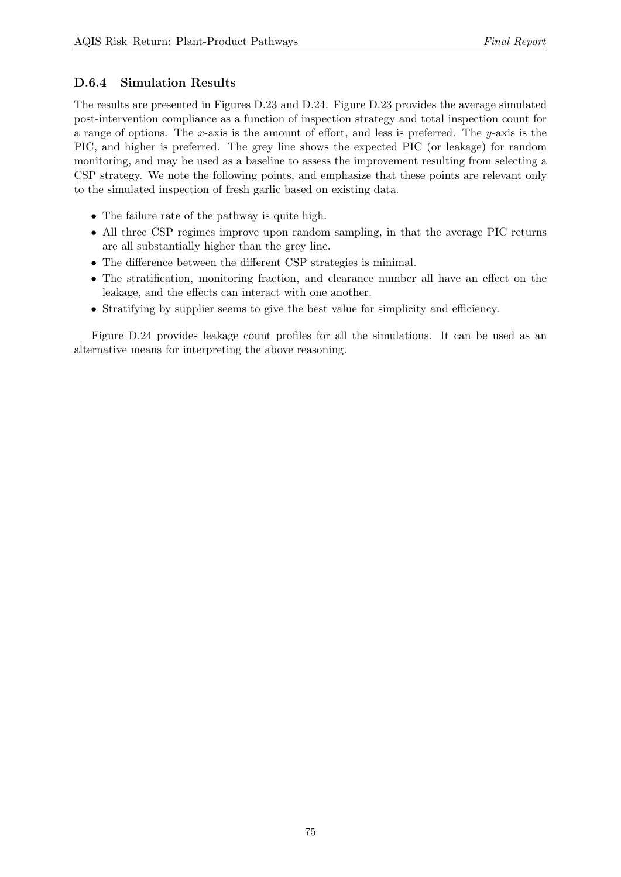### D.6.4 Simulation Results

The results are presented in Figures [D.23](#page-75-0) and [D.24.](#page-76-0) Figure [D.23](#page-75-0) provides the average simulated post-intervention compliance as a function of inspection strategy and total inspection count for a range of options. The x-axis is the amount of effort, and less is preferred. The  $y$ -axis is the PIC, and higher is preferred. The grey line shows the expected PIC (or leakage) for random monitoring, and may be used as a baseline to assess the improvement resulting from selecting a CSP strategy. We note the following points, and emphasize that these points are relevant only to the simulated inspection of fresh garlic based on existing data.

- The failure rate of the pathway is quite high.
- All three CSP regimes improve upon random sampling, in that the average PIC returns are all substantially higher than the grey line.
- The difference between the different CSP strategies is minimal.
- The stratification, monitoring fraction, and clearance number all have an effect on the leakage, and the effects can interact with one another.
- Stratifying by supplier seems to give the best value for simplicity and efficiency.

Figure [D.24](#page-76-0) provides leakage count profiles for all the simulations. It can be used as an alternative means for interpreting the above reasoning.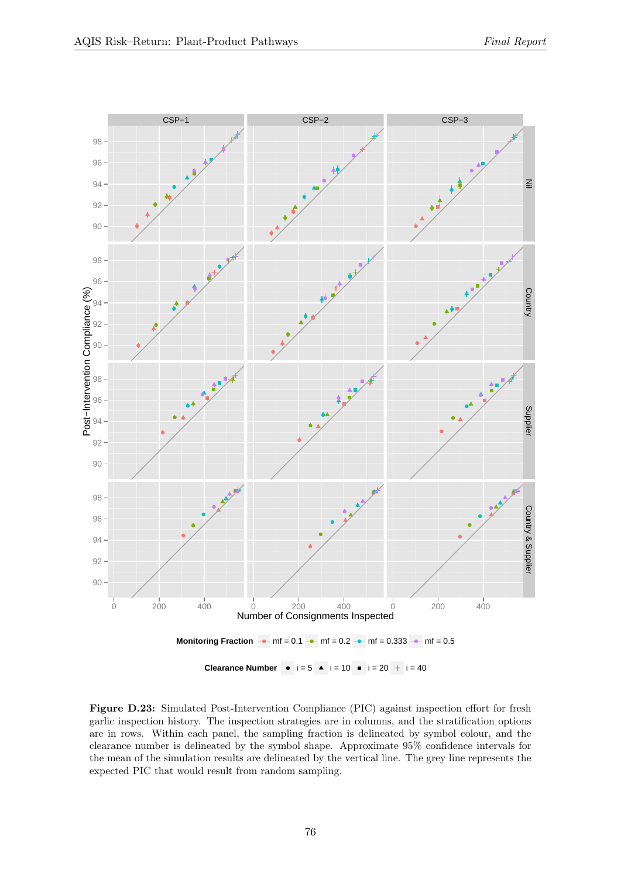<span id="page-75-0"></span>

Figure D.23: Simulated Post-Intervention Compliance (PIC) against inspection effort for fresh garlic inspection history. The inspection strategies are in columns, and the stratification options are in rows. Within each panel, the sampling fraction is delineated by symbol colour, and the clearance number is delineated by the symbol shape. Approximate 95% confidence intervals for the mean of the simulation results are delineated by the vertical line. The grey line represents the expected PIC that would result from random sampling.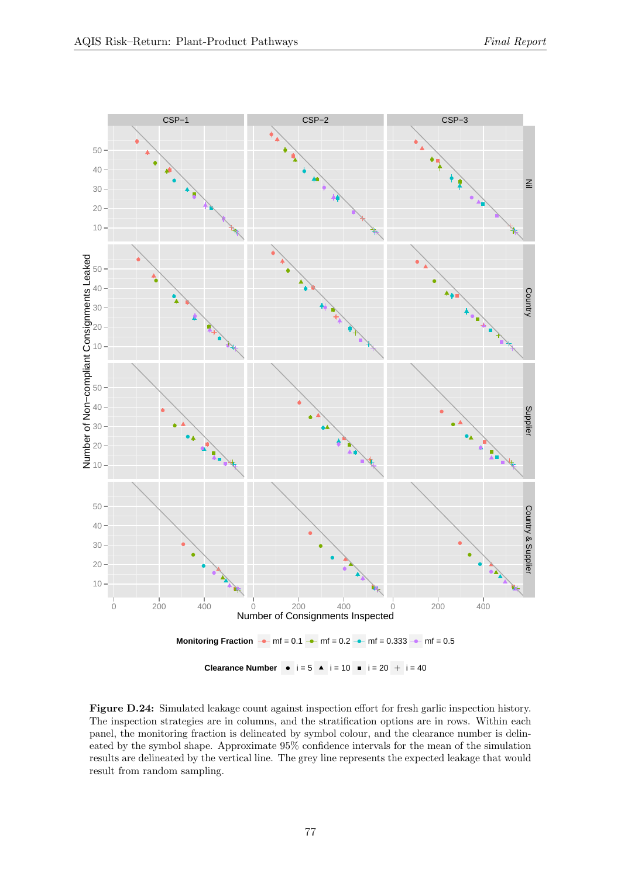<span id="page-76-0"></span>![](_page_76_Figure_2.jpeg)

Figure D.24: Simulated leakage count against inspection effort for fresh garlic inspection history. The inspection strategies are in columns, and the stratification options are in rows. Within each panel, the monitoring fraction is delineated by symbol colour, and the clearance number is delineated by the symbol shape. Approximate 95% confidence intervals for the mean of the simulation results are delineated by the vertical line. The grey line represents the expected leakage that would result from random sampling.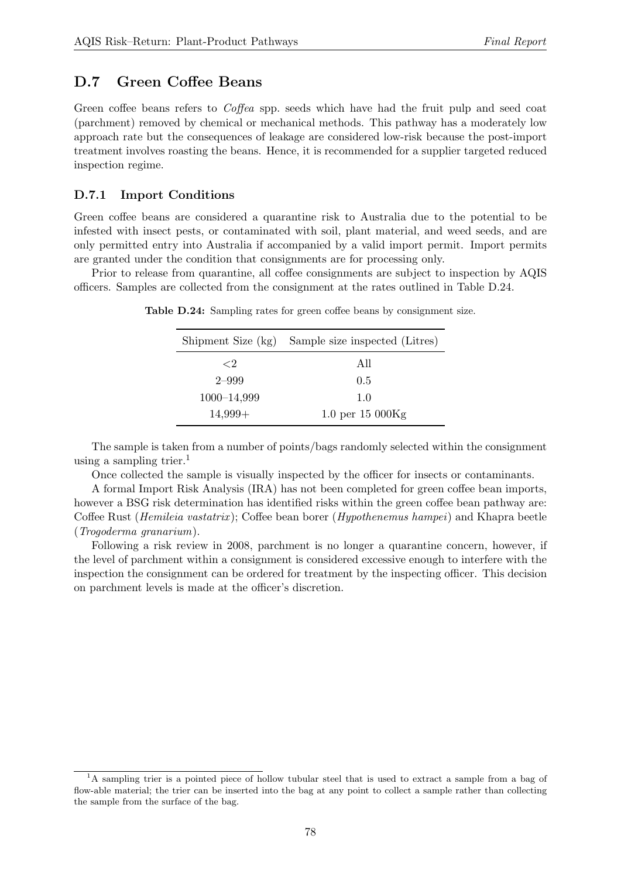## D.7 Green Coffee Beans

Green coffee beans refers to *Coffea* spp. seeds which have had the fruit pulp and seed coat (parchment) removed by chemical or mechanical methods. This pathway has a moderately low approach rate but the consequences of leakage are considered low-risk because the post-import treatment involves roasting the beans. Hence, it is recommended for a supplier targeted reduced inspection regime.

#### D.7.1 Import Conditions

Green coffee beans are considered a quarantine risk to Australia due to the potential to be infested with insect pests, or contaminated with soil, plant material, and weed seeds, and are only permitted entry into Australia if accompanied by a valid import permit. Import permits are granted under the condition that consignments are for processing only.

<span id="page-77-0"></span>Prior to release from quarantine, all coffee consignments are subject to inspection by AQIS officers. Samples are collected from the consignment at the rates outlined in Table [D.24.](#page-77-0)

|             | Shipment Size (kg) Sample size inspected (Litres) |
|-------------|---------------------------------------------------|
| ${<}2$      | All                                               |
| $2 - 999$   | 0.5                                               |
| 1000-14,999 | 1.0                                               |
| $14,999+$   | 1.0 per $15000$ Kg                                |

Table D.24: Sampling rates for green coffee beans by consignment size.

The sample is taken from a number of points/bags randomly selected within the consignment using a sampling trier.<sup>[1](#page-77-1)</sup>

Once collected the sample is visually inspected by the officer for insects or contaminants.

A formal Import Risk Analysis (IRA) has not been completed for green coffee bean imports, however a BSG risk determination has identified risks within the green coffee bean pathway are: Coffee Rust (Hemileia vastatrix ); Coffee bean borer (Hypothenemus hampei) and Khapra beetle (Trogoderma granarium).

Following a risk review in 2008, parchment is no longer a quarantine concern, however, if the level of parchment within a consignment is considered excessive enough to interfere with the inspection the consignment can be ordered for treatment by the inspecting officer. This decision on parchment levels is made at the officer's discretion.

<span id="page-77-1"></span><sup>&</sup>lt;sup>1</sup>A sampling trier is a pointed piece of hollow tubular steel that is used to extract a sample from a bag of flow-able material; the trier can be inserted into the bag at any point to collect a sample rather than collecting the sample from the surface of the bag.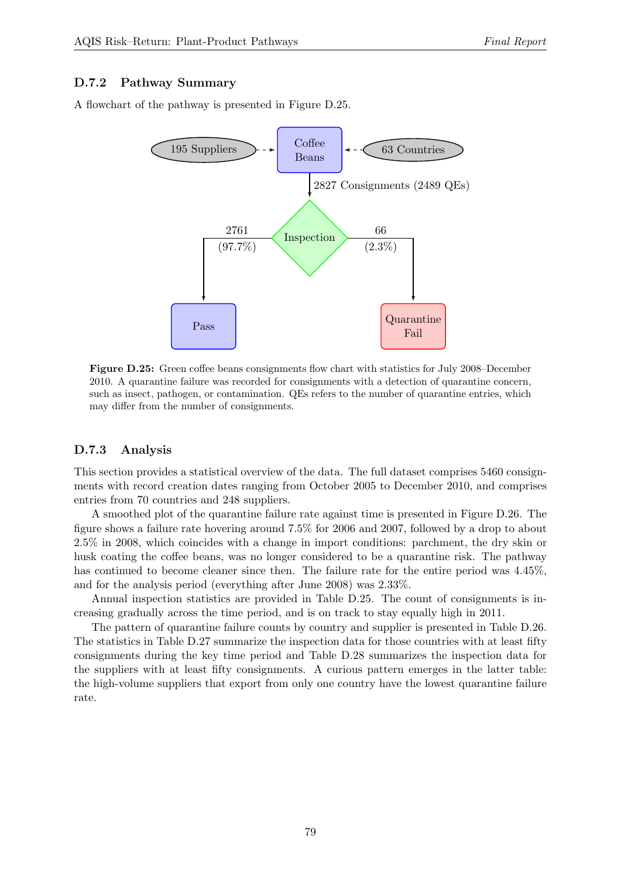#### D.7.2 Pathway Summary

<span id="page-78-0"></span>A flowchart of the pathway is presented in Figure [D.25.](#page-78-0)

![](_page_78_Figure_4.jpeg)

Figure D.25: Green coffee beans consignments flow chart with statistics for July 2008–December 2010. A quarantine failure was recorded for consignments with a detection of quarantine concern, such as insect, pathogen, or contamination. QEs refers to the number of quarantine entries, which may differ from the number of consignments.

#### D.7.3 Analysis

This section provides a statistical overview of the data. The full dataset comprises 5460 consignments with record creation dates ranging from October 2005 to December 2010, and comprises entries from 70 countries and 248 suppliers.

A smoothed plot of the quarantine failure rate against time is presented in Figure [D.26.](#page-79-0) The figure shows a failure rate hovering around 7.5% for 2006 and 2007, followed by a drop to about 2.5% in 2008, which coincides with a change in import conditions: parchment, the dry skin or husk coating the coffee beans, was no longer considered to be a quarantine risk. The pathway has continued to become cleaner since then. The failure rate for the entire period was  $4.45\%$ , and for the analysis period (everything after June 2008) was 2.33%.

Annual inspection statistics are provided in Table [D.25.](#page-79-1) The count of consignments is increasing gradually across the time period, and is on track to stay equally high in 2011.

The pattern of quarantine failure counts by country and supplier is presented in Table [D.26.](#page-80-0) The statistics in Table [D.27](#page-80-1) summarize the inspection data for those countries with at least fifty consignments during the key time period and Table [D.28](#page-81-0) summarizes the inspection data for the suppliers with at least fifty consignments. A curious pattern emerges in the latter table: the high-volume suppliers that export from only one country have the lowest quarantine failure rate.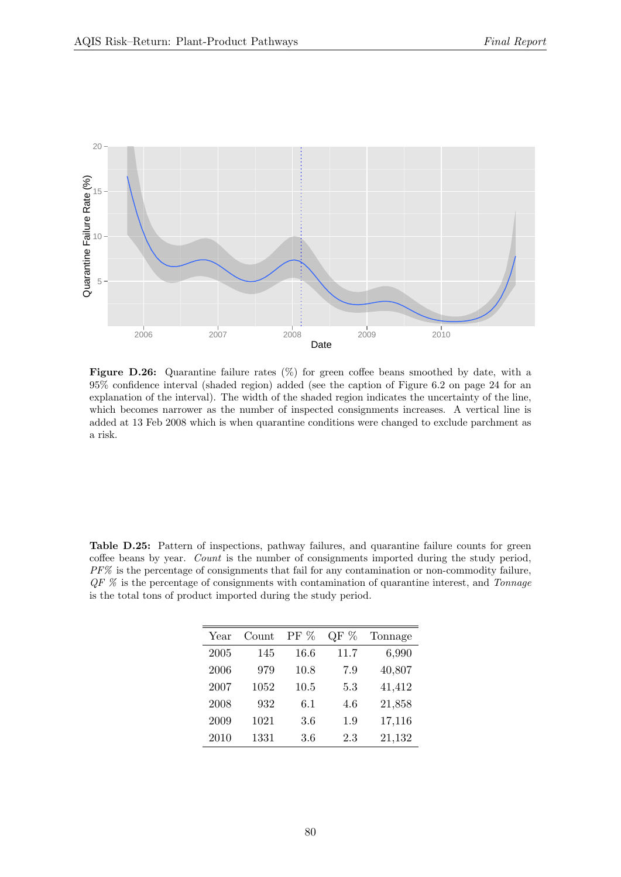<span id="page-79-0"></span>![](_page_79_Figure_2.jpeg)

Figure D.26: Quarantine failure rates  $(\%)$  for green coffee beans smoothed by date, with a 95% confidence interval (shaded region) added (see the caption of Figure [6.2](#page-23-0) on page [24](#page-23-0) for an explanation of the interval). The width of the shaded region indicates the uncertainty of the line, which becomes narrower as the number of inspected consignments increases. A vertical line is added at 13 Feb 2008 which is when quarantine conditions were changed to exclude parchment as a risk.

<span id="page-79-1"></span>Table D.25: Pattern of inspections, pathway failures, and quarantine failure counts for green coffee beans by year. Count is the number of consignments imported during the study period, PF% is the percentage of consignments that fail for any contamination or non-commodity failure,  $QF\%$  is the percentage of consignments with contamination of quarantine interest, and Tonnage is the total tons of product imported during the study period.

| Year | Count | $PF\%$ | %<br>QF | Tonnage |
|------|-------|--------|---------|---------|
| 2005 | 145   | 16.6   | 11.7    | 6,990   |
| 2006 | 979   | 10.8   | 7.9     | 40,807  |
| 2007 | 1052  | 10.5   | 5.3     | 41,412  |
| 2008 | 932   | 6.1    | 4.6     | 21,858  |
| 2009 | 1021  | 3.6    | 1.9     | 17,116  |
| 2010 | 1331  | 3.6    | 2.3     | 21,132  |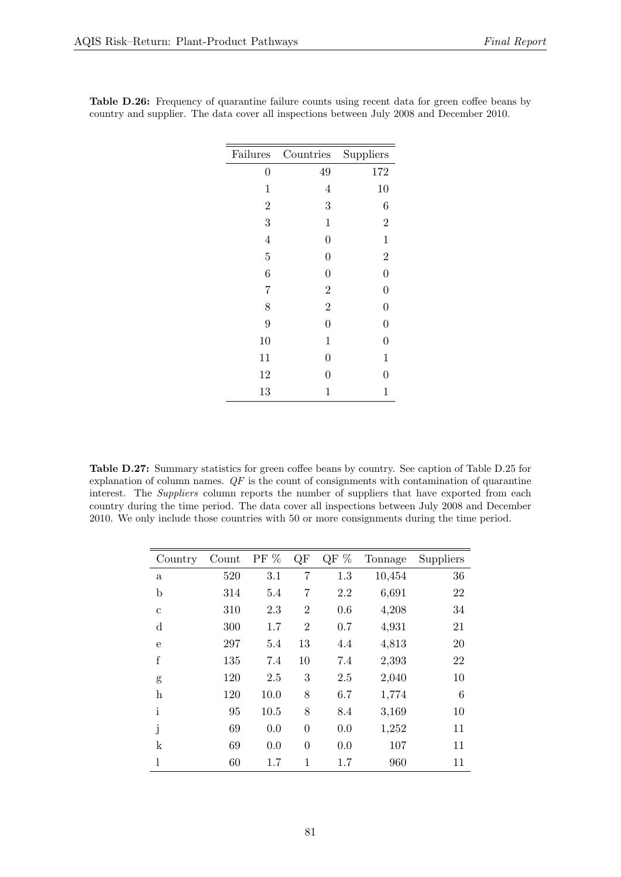| Failures         | Countries        | Suppliers        |
|------------------|------------------|------------------|
| $\boldsymbol{0}$ | 49               | 172              |
| $\mathbf{1}$     | $\overline{4}$   | 10               |
| $\overline{2}$   | 3                | 6                |
| 3                | $\mathbf 1$      | $\overline{2}$   |
| $\overline{4}$   | $\overline{0}$   | $\mathbf{1}$     |
| $\overline{5}$   | $\overline{0}$   | $\overline{2}$   |
| 6                | $\boldsymbol{0}$ | $\overline{0}$   |
| 7                | $\overline{2}$   | $\boldsymbol{0}$ |
| 8                | $\overline{2}$   | $\overline{0}$   |
| 9                | $\overline{0}$   | $\boldsymbol{0}$ |
| 10               | $\mathbf{1}$     | $\overline{0}$   |
| 11               | $\boldsymbol{0}$ | $\mathbf 1$      |
| 12               | 0                | $\overline{0}$   |
| 13               | 1                | $\mathbf 1$      |

<span id="page-80-0"></span>Table D.26: Frequency of quarantine failure counts using recent data for green coffee beans by country and supplier. The data cover all inspections between July 2008 and December 2010.

<span id="page-80-1"></span>Table D.27: Summary statistics for green coffee beans by country. See caption of Table [D.25](#page-79-1) for explanation of column names.  $QF$  is the count of consignments with contamination of quarantine interest. The *Suppliers* column reports the number of suppliers that have exported from each country during the time period. The data cover all inspections between July 2008 and December 2010. We only include those countries with 50 or more consignments during the time period.

| Country      | Count | PF % | QF             | QF % | Tonnage | Suppliers |
|--------------|-------|------|----------------|------|---------|-----------|
| $\mathbf{a}$ | 520   | 3.1  | 7              | 1.3  | 10,454  | 36        |
| $\mathbf b$  | 314   | 5.4  | $\overline{7}$ | 2.2  | 6,691   | 22        |
| $\mathbf c$  | 310   | 2.3  | $\overline{2}$ | 0.6  | 4,208   | 34        |
| $\mathbf d$  | 300   | 1.7  | $\overline{2}$ | 0.7  | 4,931   | 21        |
| $\mathbf e$  | 297   | 5.4  | 13             | 4.4  | 4,813   | 20        |
| $\rm f$      | 135   | 7.4  | 10             | 7.4  | 2,393   | 22        |
| g            | 120   | 2.5  | 3              | 2.5  | 2,040   | 10        |
| h            | 120   | 10.0 | 8              | 6.7  | 1,774   | 6         |
| $\mathbf{i}$ | 95    | 10.5 | 8              | 8.4  | 3,169   | 10        |
| j            | 69    | 0.0  | $\theta$       | 0.0  | 1,252   | 11        |
| k            | 69    | 0.0  | $\theta$       | 0.0  | 107     | 11        |
| 1            | 60    | 1.7  | 1              | 1.7  | 960     | 11        |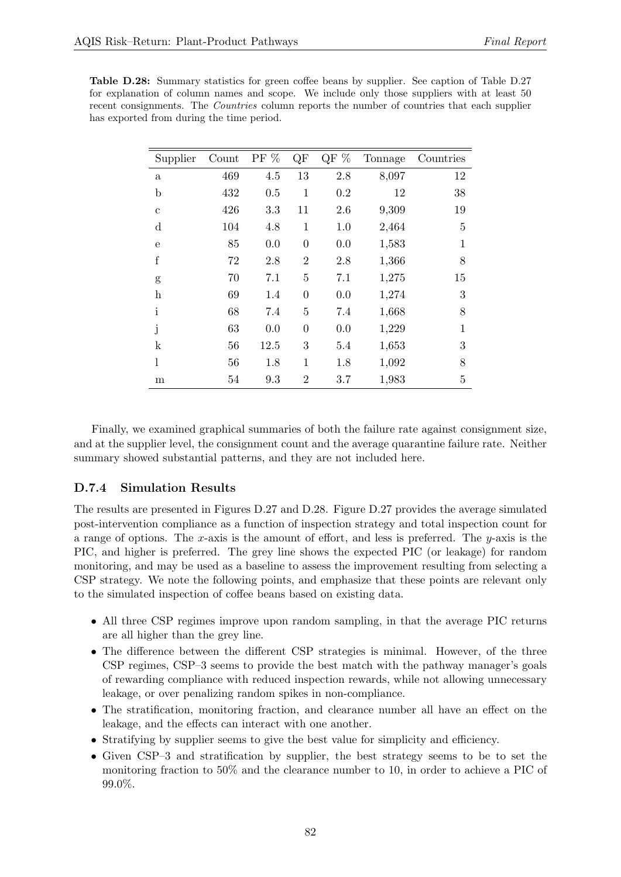<span id="page-81-0"></span>

| <b>Table D.28:</b> Summary statistics for green coffee beans by supplier. See caption of Table D.27 |
|-----------------------------------------------------------------------------------------------------|
| for explanation of column names and scope. We include only those suppliers with at least 50         |
| recent consignments. The <i>Countries</i> column reports the number of countries that each supplier |
| has exported from during the time period.                                                           |

| Supplier                  | Count | PF $\%$ | QF             | QF $%$ | Tonnage | Countries    |
|---------------------------|-------|---------|----------------|--------|---------|--------------|
| $\rm{a}$                  | 469   | 4.5     | 13             | 2.8    | 8,097   | 12           |
| $\mathbf b$               | 432   | 0.5     | $\mathbf{1}$   | 0.2    | 12      | 38           |
| $\mathbf{c}$              | 426   | 3.3     | 11             | 2.6    | 9,309   | 19           |
| d                         | 104   | 4.8     | $\mathbf{1}$   | 1.0    | 2,464   | 5            |
| e                         | 85    | 0.0     | $\overline{0}$ | 0.0    | 1,583   | $\mathbf{1}$ |
| $\mathbf f$               | 72    | 2.8     | $\overline{2}$ | 2.8    | 1,366   | 8            |
| g                         | 70    | 7.1     | 5              | 7.1    | 1,275   | 15           |
| $\boldsymbol{\mathrm{h}}$ | 69    | 1.4     | $\overline{0}$ | 0.0    | 1,274   | 3            |
| $\mathbf{i}$              | 68    | 7.4     | $\overline{5}$ | 7.4    | 1,668   | 8            |
| j                         | 63    | 0.0     | $\overline{0}$ | 0.0    | 1,229   | 1            |
| $\mathbf k$               | 56    | 12.5    | 3              | 5.4    | 1,653   | 3            |
| l                         | 56    | 1.8     | 1              | 1.8    | 1,092   | 8            |
| $_{\rm m}$                | 54    | 9.3     | 2              | 3.7    | 1,983   | 5            |

Finally, we examined graphical summaries of both the failure rate against consignment size, and at the supplier level, the consignment count and the average quarantine failure rate. Neither summary showed substantial patterns, and they are not included here.

#### D.7.4 Simulation Results

The results are presented in Figures [D.27](#page-82-0) and [D.28.](#page-83-0) Figure [D.27](#page-82-0) provides the average simulated post-intervention compliance as a function of inspection strategy and total inspection count for a range of options. The x-axis is the amount of effort, and less is preferred. The  $y$ -axis is the PIC, and higher is preferred. The grey line shows the expected PIC (or leakage) for random monitoring, and may be used as a baseline to assess the improvement resulting from selecting a CSP strategy. We note the following points, and emphasize that these points are relevant only to the simulated inspection of coffee beans based on existing data.

- All three CSP regimes improve upon random sampling, in that the average PIC returns are all higher than the grey line.
- The difference between the different CSP strategies is minimal. However, of the three CSP regimes, CSP–3 seems to provide the best match with the pathway manager's goals of rewarding compliance with reduced inspection rewards, while not allowing unnecessary leakage, or over penalizing random spikes in non-compliance.
- The stratification, monitoring fraction, and clearance number all have an effect on the leakage, and the effects can interact with one another.
- Stratifying by supplier seems to give the best value for simplicity and efficiency.
- Given CSP–3 and stratification by supplier, the best strategy seems to be to set the monitoring fraction to 50% and the clearance number to 10, in order to achieve a PIC of 99.0%.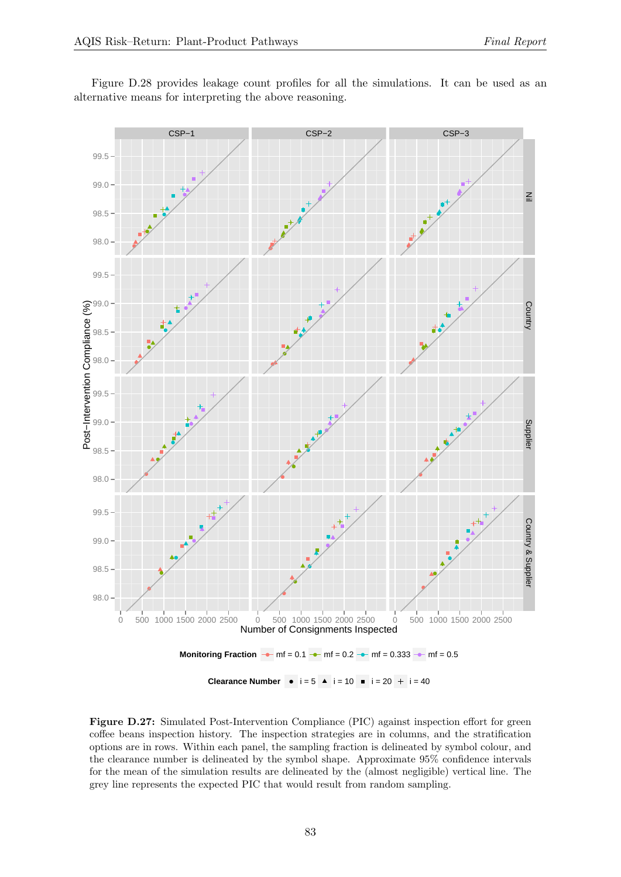<span id="page-82-0"></span>![](_page_82_Figure_2.jpeg)

Figure [D.28](#page-83-0) provides leakage count profiles for all the simulations. It can be used as an alternative means for interpreting the above reasoning.

**Clearance Number**  $\bullet$  i = 5  $\bullet$  i = 10  $\bullet$  i = 20 + i = 40

Figure D.27: Simulated Post-Intervention Compliance (PIC) against inspection effort for green coffee beans inspection history. The inspection strategies are in columns, and the stratification options are in rows. Within each panel, the sampling fraction is delineated by symbol colour, and the clearance number is delineated by the symbol shape. Approximate 95% confidence intervals for the mean of the simulation results are delineated by the (almost negligible) vertical line. The grey line represents the expected PIC that would result from random sampling.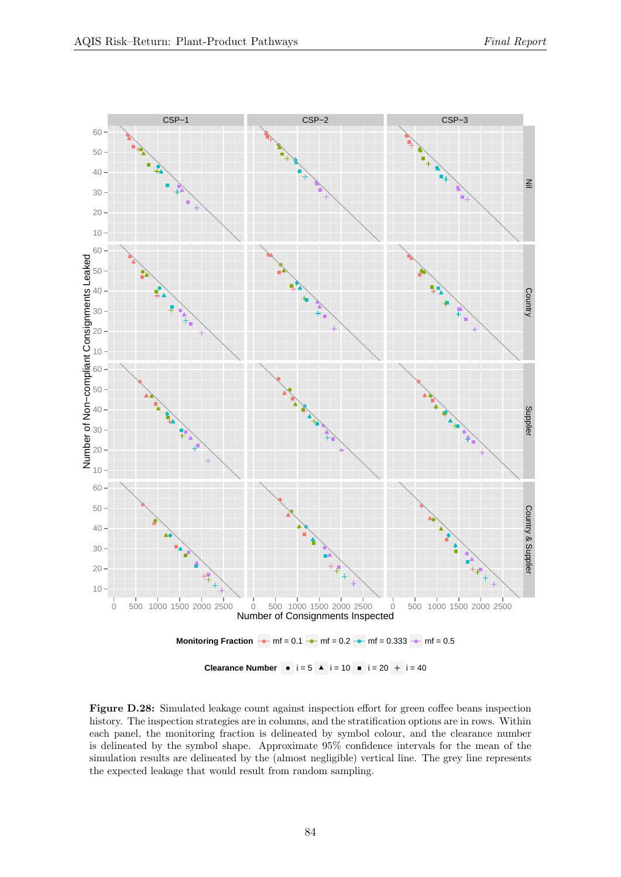<span id="page-83-0"></span>![](_page_83_Figure_2.jpeg)

Figure D.28: Simulated leakage count against inspection effort for green coffee beans inspection history. The inspection strategies are in columns, and the stratification options are in rows. Within each panel, the monitoring fraction is delineated by symbol colour, and the clearance number is delineated by the symbol shape. Approximate 95% confidence intervals for the mean of the simulation results are delineated by the (almost negligible) vertical line. The grey line represents the expected leakage that would result from random sampling.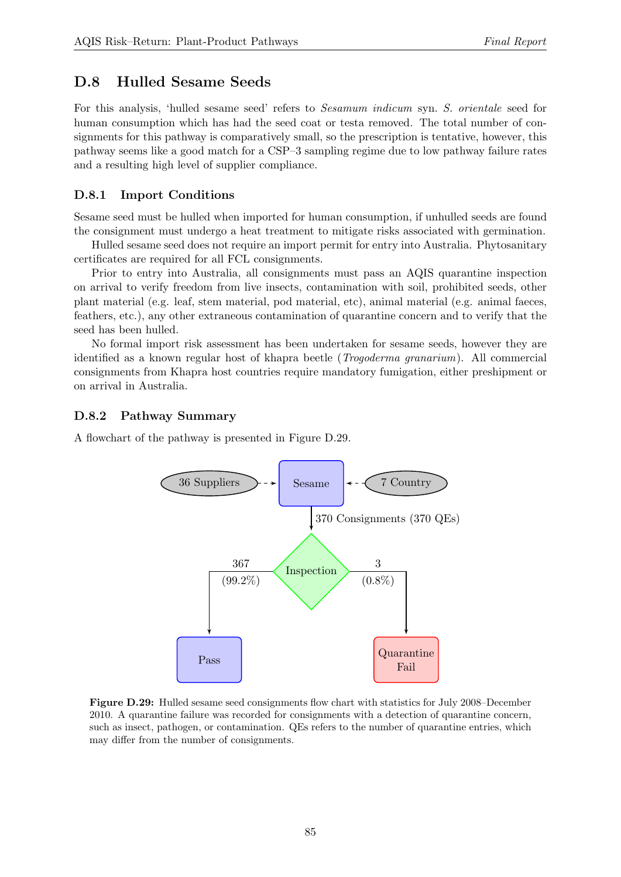### D.8 Hulled Sesame Seeds

For this analysis, 'hulled sesame seed' refers to Sesamum indicum syn. S. orientale seed for human consumption which has had the seed coat or testa removed. The total number of consignments for this pathway is comparatively small, so the prescription is tentative, however, this pathway seems like a good match for a CSP–3 sampling regime due to low pathway failure rates and a resulting high level of supplier compliance.

#### D.8.1 Import Conditions

Sesame seed must be hulled when imported for human consumption, if unhulled seeds are found the consignment must undergo a heat treatment to mitigate risks associated with germination.

Hulled sesame seed does not require an import permit for entry into Australia. Phytosanitary certificates are required for all FCL consignments.

Prior to entry into Australia, all consignments must pass an AQIS quarantine inspection on arrival to verify freedom from live insects, contamination with soil, prohibited seeds, other plant material (e.g. leaf, stem material, pod material, etc), animal material (e.g. animal faeces, feathers, etc.), any other extraneous contamination of quarantine concern and to verify that the seed has been hulled.

No formal import risk assessment has been undertaken for sesame seeds, however they are identified as a known regular host of khapra beetle (Trogoderma granarium). All commercial consignments from Khapra host countries require mandatory fumigation, either preshipment or on arrival in Australia.

#### D.8.2 Pathway Summary

<span id="page-84-0"></span>A flowchart of the pathway is presented in Figure [D.29.](#page-84-0)

![](_page_84_Figure_11.jpeg)

Figure D.29: Hulled sesame seed consignments flow chart with statistics for July 2008–December 2010. A quarantine failure was recorded for consignments with a detection of quarantine concern, such as insect, pathogen, or contamination. QEs refers to the number of quarantine entries, which may differ from the number of consignments.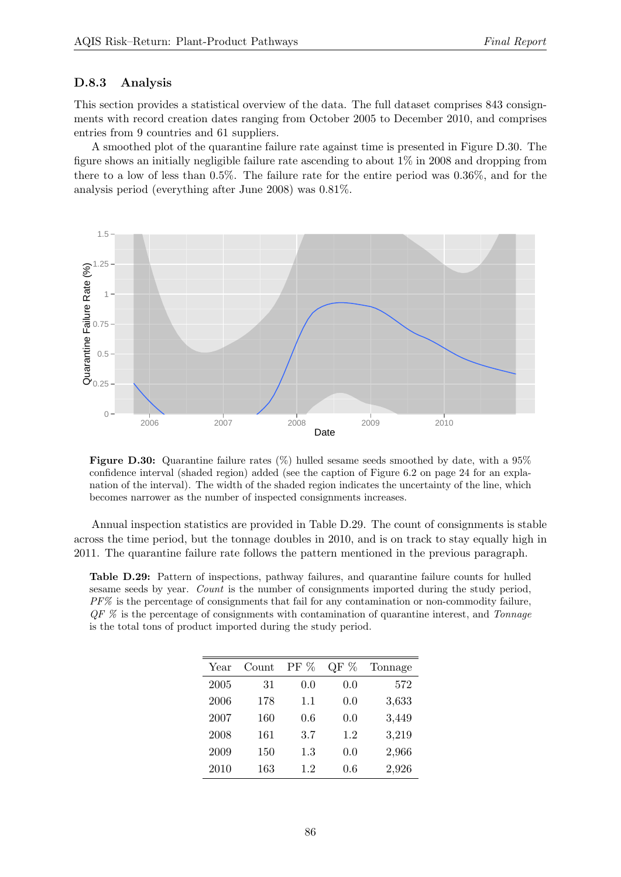#### D.8.3 Analysis

This section provides a statistical overview of the data. The full dataset comprises 843 consignments with record creation dates ranging from October 2005 to December 2010, and comprises entries from 9 countries and 61 suppliers.

A smoothed plot of the quarantine failure rate against time is presented in Figure [D.30.](#page-85-0) The figure shows an initially negligible failure rate ascending to about 1% in 2008 and dropping from there to a low of less than 0.5%. The failure rate for the entire period was 0.36%, and for the analysis period (everything after June 2008) was 0.81%.

<span id="page-85-0"></span>![](_page_85_Figure_5.jpeg)

Figure D.30: Quarantine failure rates  $(\%)$  hulled sesame seeds smoothed by date, with a 95% confidence interval (shaded region) added (see the caption of Figure [6.2](#page-23-0) on page [24](#page-23-0) for an explanation of the interval). The width of the shaded region indicates the uncertainty of the line, which becomes narrower as the number of inspected consignments increases.

Annual inspection statistics are provided in Table [D.29.](#page-85-1) The count of consignments is stable across the time period, but the tonnage doubles in 2010, and is on track to stay equally high in 2011. The quarantine failure rate follows the pattern mentioned in the previous paragraph.

<span id="page-85-1"></span>Table D.29: Pattern of inspections, pathway failures, and quarantine failure counts for hulled sesame seeds by year. Count is the number of consignments imported during the study period,  $PF\%$  is the percentage of consignments that fail for any contamination or non-commodity failure,  $QF\%$  is the percentage of consignments with contamination of quarantine interest, and Tonnage is the total tons of product imported during the study period.

| Year | Count | $PF\%$ | %<br>QF | Tonnage |
|------|-------|--------|---------|---------|
| 2005 | 31    | 0.0    | 0.0     | 572     |
| 2006 | 178   | 1.1    | 0.0     | 3,633   |
| 2007 | 160   | 0.6    | 0.0     | 3,449   |
| 2008 | 161   | 3.7    | 1.2     | 3,219   |
| 2009 | 150   | 1.3    | 0.0     | 2,966   |
| 2010 | 163   | 1.2    | 0.6     | 2,926   |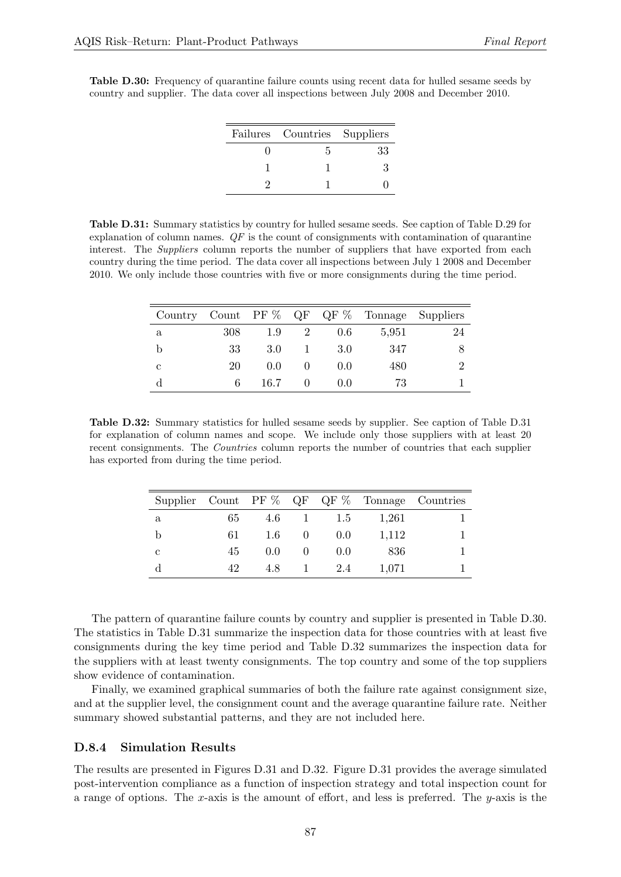<span id="page-86-1"></span>Table D.30: Frequency of quarantine failure counts using recent data for hulled sesame seeds by country and supplier. The data cover all inspections between July 2008 and December 2010.

| Failures Countries Suppliers |    |
|------------------------------|----|
|                              | 33 |
|                              | ų  |
|                              |    |

<span id="page-86-0"></span>Table D.31: Summary statistics by country for hulled sesame seeds. See caption of Table [D.29](#page-85-1) for explanation of column names.  $QF$  is the count of consignments with contamination of quarantine interest. The *Suppliers* column reports the number of suppliers that have exported from each country during the time period. The data cover all inspections between July 1 2008 and December 2010. We only include those countries with five or more consignments during the time period.

|             |     |               |   |       | Country Count PF $\%$ QF QF $\%$ Tonnage Suppliers |    |
|-------------|-----|---------------|---|-------|----------------------------------------------------|----|
| $\mathbf a$ | 308 | 1.9           | 2 | 0.6   | 5,951                                              | 24 |
| b           | 33  | 3.0           |   | 3.0   | 347                                                |    |
| с           | 20  | $0.0^{\circ}$ |   | (0.0) | 480                                                |    |
| d           | 6   | 16.7          |   | (0.0) | 73                                                 |    |

<span id="page-86-2"></span>Table D.32: Summary statistics for hulled sesame seeds by supplier. See caption of Table [D.31](#page-86-0) for explanation of column names and scope. We include only those suppliers with at least 20 recent consignments. The *Countries* column reports the number of countries that each supplier has exported from during the time period.

|   |    |     |       |       | Supplier Count PF $\%$ QF QF $\%$ Tonnage Countries |
|---|----|-----|-------|-------|-----------------------------------------------------|
| a | 65 | 4.6 | 1.5   | 1,261 |                                                     |
|   | 61 | 1.6 | 0.0   | 1.112 |                                                     |
| с | 45 | 0.0 | (0.0) | 836   |                                                     |
|   | 42 | 4.8 | 2.4   | 1,071 |                                                     |

The pattern of quarantine failure counts by country and supplier is presented in Table [D.30.](#page-86-1) The statistics in Table [D.31](#page-86-0) summarize the inspection data for those countries with at least five consignments during the key time period and Table [D.32](#page-86-2) summarizes the inspection data for the suppliers with at least twenty consignments. The top country and some of the top suppliers show evidence of contamination.

Finally, we examined graphical summaries of both the failure rate against consignment size, and at the supplier level, the consignment count and the average quarantine failure rate. Neither summary showed substantial patterns, and they are not included here.

#### D.8.4 Simulation Results

The results are presented in Figures [D.31](#page-88-0) and [D.32.](#page-89-0) Figure [D.31](#page-88-0) provides the average simulated post-intervention compliance as a function of inspection strategy and total inspection count for a range of options. The x-axis is the amount of effort, and less is preferred. The y-axis is the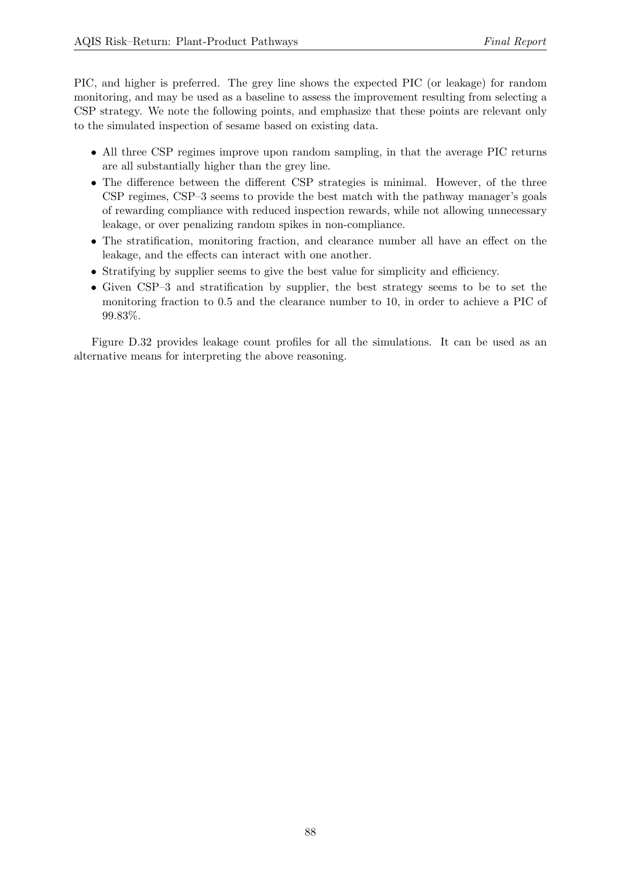PIC, and higher is preferred. The grey line shows the expected PIC (or leakage) for random monitoring, and may be used as a baseline to assess the improvement resulting from selecting a CSP strategy. We note the following points, and emphasize that these points are relevant only to the simulated inspection of sesame based on existing data.

- All three CSP regimes improve upon random sampling, in that the average PIC returns are all substantially higher than the grey line.
- The difference between the different CSP strategies is minimal. However, of the three CSP regimes, CSP–3 seems to provide the best match with the pathway manager's goals of rewarding compliance with reduced inspection rewards, while not allowing unnecessary leakage, or over penalizing random spikes in non-compliance.
- The stratification, monitoring fraction, and clearance number all have an effect on the leakage, and the effects can interact with one another.
- Stratifying by supplier seems to give the best value for simplicity and efficiency.
- Given CSP–3 and stratification by supplier, the best strategy seems to be to set the monitoring fraction to 0.5 and the clearance number to 10, in order to achieve a PIC of 99.83%.

Figure [D.32](#page-89-0) provides leakage count profiles for all the simulations. It can be used as an alternative means for interpreting the above reasoning.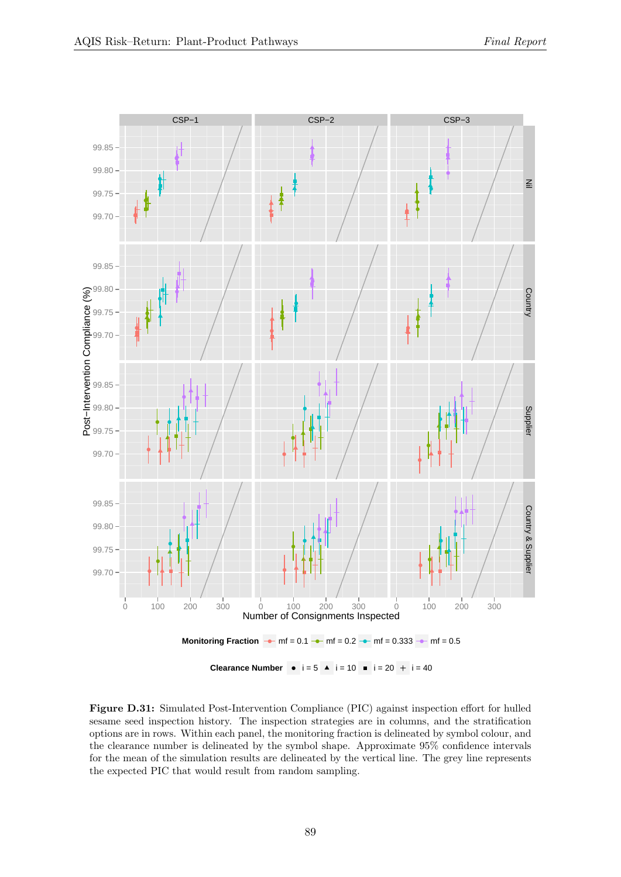<span id="page-88-0"></span>![](_page_88_Figure_2.jpeg)

Figure D.31: Simulated Post-Intervention Compliance (PIC) against inspection effort for hulled sesame seed inspection history. The inspection strategies are in columns, and the stratification options are in rows. Within each panel, the monitoring fraction is delineated by symbol colour, and the clearance number is delineated by the symbol shape. Approximate 95% confidence intervals for the mean of the simulation results are delineated by the vertical line. The grey line represents the expected PIC that would result from random sampling.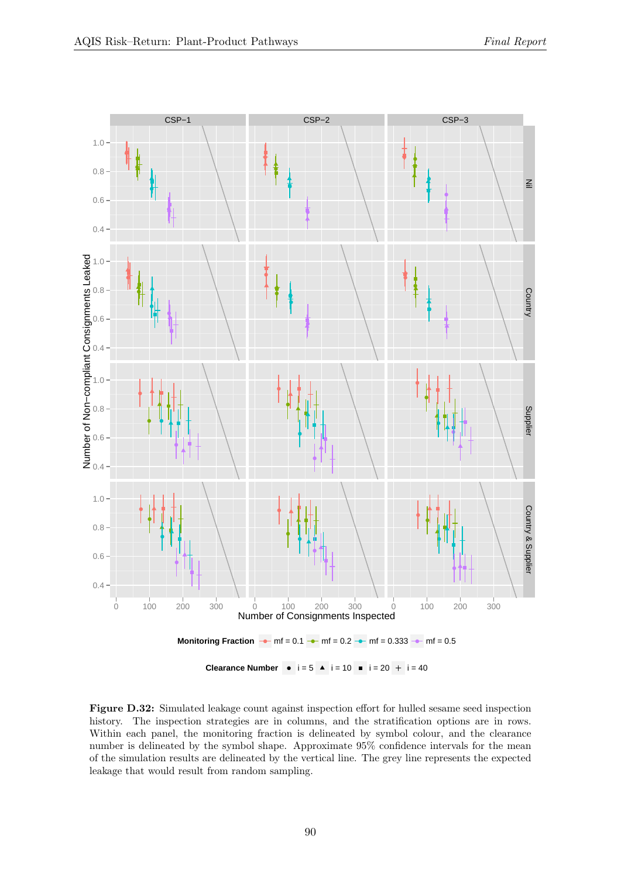<span id="page-89-0"></span>![](_page_89_Figure_2.jpeg)

Figure D.32: Simulated leakage count against inspection effort for hulled sesame seed inspection history. The inspection strategies are in columns, and the stratification options are in rows. Within each panel, the monitoring fraction is delineated by symbol colour, and the clearance number is delineated by the symbol shape. Approximate 95% confidence intervals for the mean of the simulation results are delineated by the vertical line. The grey line represents the expected leakage that would result from random sampling.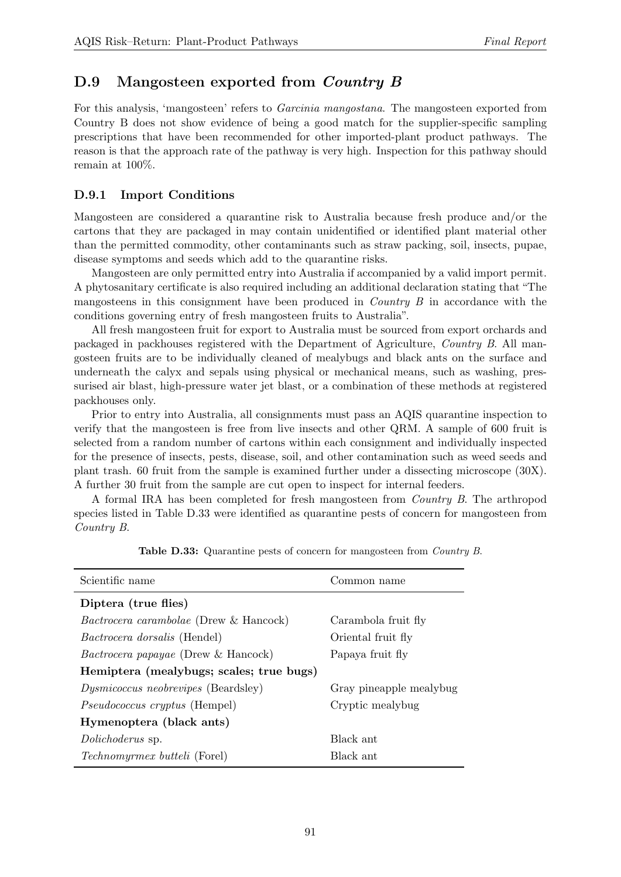## D.9 Mangosteen exported from *Country B*

For this analysis, 'mangosteen' refers to *Garcinia mangostana*. The mangosteen exported from Country B does not show evidence of being a good match for the supplier-specific sampling prescriptions that have been recommended for other imported-plant product pathways. The reason is that the approach rate of the pathway is very high. Inspection for this pathway should remain at 100%.

#### D.9.1 Import Conditions

Mangosteen are considered a quarantine risk to Australia because fresh produce and/or the cartons that they are packaged in may contain unidentified or identified plant material other than the permitted commodity, other contaminants such as straw packing, soil, insects, pupae, disease symptoms and seeds which add to the quarantine risks.

Mangosteen are only permitted entry into Australia if accompanied by a valid import permit. A phytosanitary certificate is also required including an additional declaration stating that "The mangosteens in this consignment have been produced in *Country B* in accordance with the conditions governing entry of fresh mangosteen fruits to Australia".

All fresh mangosteen fruit for export to Australia must be sourced from export orchards and packaged in packhouses registered with the Department of Agriculture, Country B. All mangosteen fruits are to be individually cleaned of mealybugs and black ants on the surface and underneath the calyx and sepals using physical or mechanical means, such as washing, pressurised air blast, high-pressure water jet blast, or a combination of these methods at registered packhouses only.

Prior to entry into Australia, all consignments must pass an AQIS quarantine inspection to verify that the mangosteen is free from live insects and other QRM. A sample of 600 fruit is selected from a random number of cartons within each consignment and individually inspected for the presence of insects, pests, disease, soil, and other contamination such as weed seeds and plant trash. 60 fruit from the sample is examined further under a dissecting microscope (30X). A further 30 fruit from the sample are cut open to inspect for internal feeders.

A formal IRA has been completed for fresh mangosteen from Country B. The arthropod species listed in Table [D.33](#page-90-0) were identified as quarantine pests of concern for mangosteen from Country B.

<span id="page-90-0"></span>

| Scientific name                               | Common name             |  |  |  |  |
|-----------------------------------------------|-------------------------|--|--|--|--|
| Diptera (true flies)                          |                         |  |  |  |  |
| <i>Bactrocera carambolae</i> (Drew & Hancock) | Carambola fruit fly     |  |  |  |  |
| <i>Bactrocera dorsalis</i> (Hendel)           | Oriental fruit fly      |  |  |  |  |
| <i>Bactrocera papayae</i> (Drew & Hancock)    | Papaya fruit fly        |  |  |  |  |
| Hemiptera (mealybugs; scales; true bugs)      |                         |  |  |  |  |
| <i>Dysmicoccus neobrevipes</i> (Beardsley)    | Gray pineapple mealybug |  |  |  |  |
| <i>Pseudococcus cryptus</i> (Hempel)          | Cryptic mealybug        |  |  |  |  |
| Hymenoptera (black ants)                      |                         |  |  |  |  |
| Dolichoderus sp.                              | Black ant               |  |  |  |  |
| <i>Technomyrmex butteli</i> (Forel)           | Black ant               |  |  |  |  |

Table D.33: Quarantine pests of concern for mangosteen from *Country B*.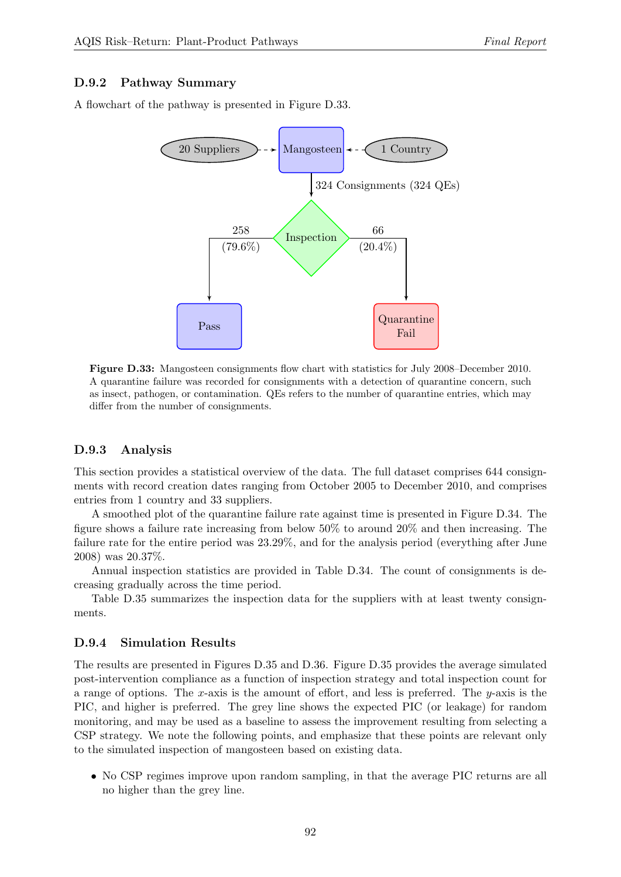#### D.9.2 Pathway Summary

<span id="page-91-0"></span>A flowchart of the pathway is presented in Figure [D.33.](#page-91-0)

![](_page_91_Figure_4.jpeg)

Figure D.33: Mangosteen consignments flow chart with statistics for July 2008–December 2010. A quarantine failure was recorded for consignments with a detection of quarantine concern, such as insect, pathogen, or contamination. QEs refers to the number of quarantine entries, which may differ from the number of consignments.

#### D.9.3 Analysis

This section provides a statistical overview of the data. The full dataset comprises 644 consignments with record creation dates ranging from October 2005 to December 2010, and comprises entries from 1 country and 33 suppliers.

A smoothed plot of the quarantine failure rate against time is presented in Figure [D.34.](#page-92-0) The figure shows a failure rate increasing from below 50% to around 20% and then increasing. The failure rate for the entire period was 23.29%, and for the analysis period (everything after June 2008) was 20.37%.

Annual inspection statistics are provided in Table [D.34.](#page-92-1) The count of consignments is decreasing gradually across the time period.

Table [D.35](#page-93-0) summarizes the inspection data for the suppliers with at least twenty consignments.

#### D.9.4 Simulation Results

The results are presented in Figures [D.35](#page-93-1) and [D.36.](#page-94-0) Figure [D.35](#page-93-1) provides the average simulated post-intervention compliance as a function of inspection strategy and total inspection count for a range of options. The x-axis is the amount of effort, and less is preferred. The  $y$ -axis is the PIC, and higher is preferred. The grey line shows the expected PIC (or leakage) for random monitoring, and may be used as a baseline to assess the improvement resulting from selecting a CSP strategy. We note the following points, and emphasize that these points are relevant only to the simulated inspection of mangosteen based on existing data.

• No CSP regimes improve upon random sampling, in that the average PIC returns are all no higher than the grey line.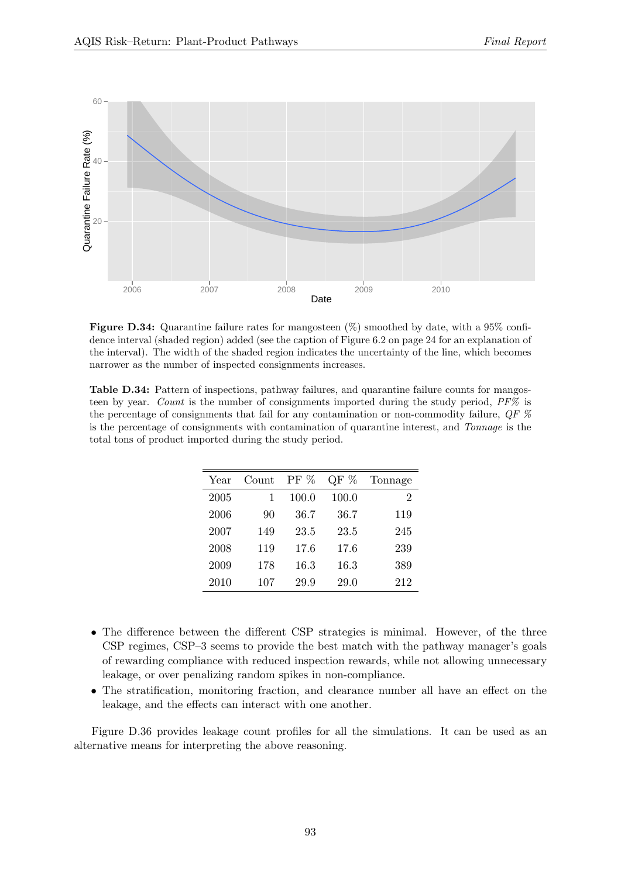<span id="page-92-0"></span>![](_page_92_Figure_2.jpeg)

Figure D.34: Quarantine failure rates for mangosteen  $(\%)$  smoothed by date, with a 95% confidence interval (shaded region) added (see the caption of Figure [6.2](#page-23-0) on page [24](#page-23-0) for an explanation of the interval). The width of the shaded region indicates the uncertainty of the line, which becomes narrower as the number of inspected consignments increases.

<span id="page-92-1"></span>Table D.34: Pattern of inspections, pathway failures, and quarantine failure counts for mangosteen by year. Count is the number of consignments imported during the study period, PF% is the percentage of consignments that fail for any contamination or non-commodity failure,  $QF$  % is the percentage of consignments with contamination of quarantine interest, and Tonnage is the total tons of product imported during the study period.

| Year | Count | $PF\%$ | QF %  | Tonnage |
|------|-------|--------|-------|---------|
| 2005 |       | 100.0  | 100.0 | 2       |
| 2006 | 90    | 36.7   | 36.7  | 119     |
| 2007 | 149   | 23.5   | 23.5  | 245     |
| 2008 | 119   | 17.6   | 17.6  | 239     |
| 2009 | 178   | 16.3   | 16.3  | 389     |
| 2010 | 107   | 29.9   | 29.0  | 212     |

- The difference between the different CSP strategies is minimal. However, of the three CSP regimes, CSP–3 seems to provide the best match with the pathway manager's goals of rewarding compliance with reduced inspection rewards, while not allowing unnecessary leakage, or over penalizing random spikes in non-compliance.
- The stratification, monitoring fraction, and clearance number all have an effect on the leakage, and the effects can interact with one another.

Figure [D.36](#page-94-0) provides leakage count profiles for all the simulations. It can be used as an alternative means for interpreting the above reasoning.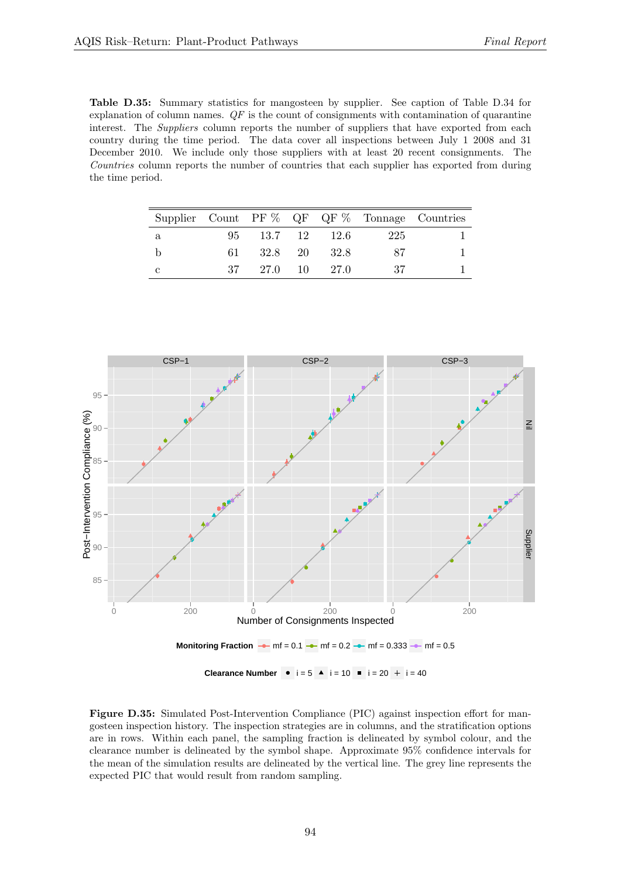<span id="page-93-0"></span>Table D.35: Summary statistics for mangosteen by supplier. See caption of Table [D.34](#page-92-1) for explanation of column names.  $QF$  is the count of consignments with contamination of quarantine interest. The *Suppliers* column reports the number of suppliers that have exported from each country during the time period. The data cover all inspections between July 1 2008 and 31 December 2010. We include only those suppliers with at least 20 recent consignments. The Countries column reports the number of countries that each supplier has exported from during the time period.

|   |      |                 |                 |      | Supplier Count PF $\%$ QF QF $\%$ Tonnage Countries |
|---|------|-----------------|-----------------|------|-----------------------------------------------------|
| a |      |                 | 95 13.7 12 12.6 | -225 |                                                     |
|   | 61 - | 32.8 20         | 32.8            | -87  |                                                     |
| C |      | 37 27.0 10 27.0 |                 | - 37 |                                                     |

<span id="page-93-1"></span>![](_page_93_Figure_4.jpeg)

Figure D.35: Simulated Post-Intervention Compliance (PIC) against inspection effort for mangosteen inspection history. The inspection strategies are in columns, and the stratification options are in rows. Within each panel, the sampling fraction is delineated by symbol colour, and the clearance number is delineated by the symbol shape. Approximate 95% confidence intervals for the mean of the simulation results are delineated by the vertical line. The grey line represents the expected PIC that would result from random sampling.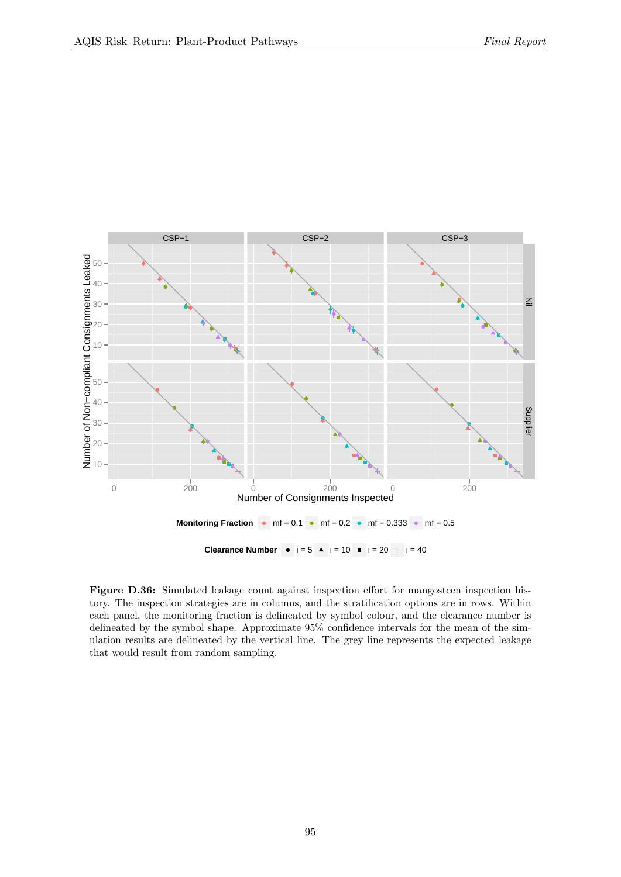<span id="page-94-0"></span>![](_page_94_Figure_2.jpeg)

Figure D.36: Simulated leakage count against inspection effort for mangosteen inspection history. The inspection strategies are in columns, and the stratification options are in rows. Within each panel, the monitoring fraction is delineated by symbol colour, and the clearance number is delineated by the symbol shape. Approximate 95% confidence intervals for the mean of the simulation results are delineated by the vertical line. The grey line represents the expected leakage that would result from random sampling.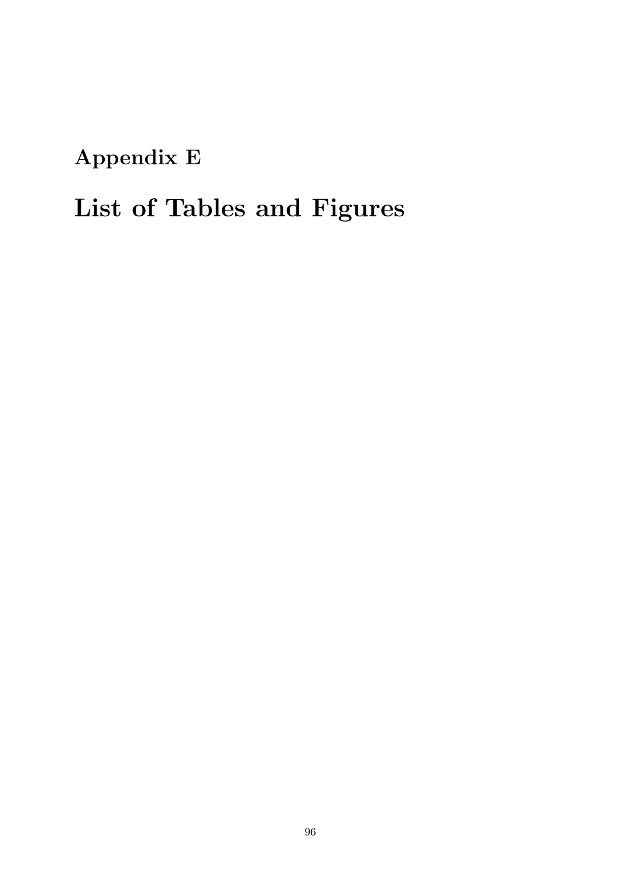Appendix E

## List of Tables and Figures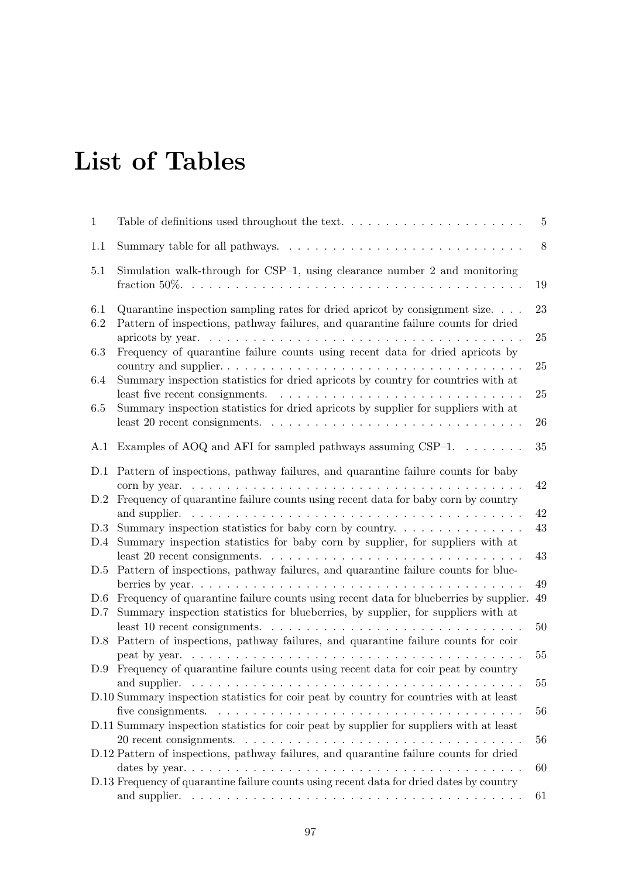## List of Tables

| $\mathbf 1$ |                                                                                                                                                                                                            | 5            |
|-------------|------------------------------------------------------------------------------------------------------------------------------------------------------------------------------------------------------------|--------------|
| 1.1         |                                                                                                                                                                                                            | 8            |
| 5.1         | Simulation walk-through for $CSP-1$ , using clearance number 2 and monitoring                                                                                                                              | 19           |
| 6.1         | Quarantine inspection sampling rates for dried apricot by consignment size.                                                                                                                                | 23           |
| 6.2         | Pattern of inspections, pathway failures, and quarantine failure counts for dried                                                                                                                          | 25           |
| 6.3         | Frequency of quarantine failure counts using recent data for dried apricots by                                                                                                                             | 25           |
| 6.4         | Summary inspection statistics for dried apricots by country for countries with at<br>least five recent consignments.                                                                                       | 25           |
| 6.5         | Summary inspection statistics for dried apricots by supplier for suppliers with at<br>least 20 recent consignments. $\dots \dots \dots \dots \dots \dots \dots \dots \dots \dots \dots \dots \dots$        | 26           |
| A.1         | Examples of AOQ and AFI for sampled pathways assuming CSP $-1$                                                                                                                                             | 35           |
| D.1         | Pattern of inspections, pathway failures, and quarantine failure counts for baby                                                                                                                           |              |
| D.2         | corn by year. $\ldots \ldots \ldots \ldots \ldots \ldots \ldots \ldots$<br>Frequency of quarantine failure counts using recent data for baby corn by country                                               | 42           |
|             |                                                                                                                                                                                                            | 42<br>$43\,$ |
| D.3<br>D.4  | Summary inspection statistics for baby corn by supplier, for suppliers with at                                                                                                                             |              |
| D.5         | least 20 recent consignments.<br>Pattern of inspections, pathway failures, and quarantine failure counts for blue-                                                                                         | 43           |
| D.6         | Frequency of quarantine failure counts using recent data for blueberries by supplier.                                                                                                                      | 49<br>49     |
| D.7         | Summary inspection statistics for blueberries, by supplier, for suppliers with at                                                                                                                          |              |
| D.8         | least 10 recent consignments.<br>Pattern of inspections, pathway failures, and quarantine failure counts for coir                                                                                          | 50           |
|             | peat by year.                                                                                                                                                                                              | 55           |
|             | D.9 Frequency of quarantine failure counts using recent data for coir peat by country                                                                                                                      | $55\,$       |
|             | D.10 Summary inspection statistics for coir peat by country for countries with at least                                                                                                                    |              |
|             | five consignments. $\dots \dots \dots \dots \dots \dots \dots \dots \dots \dots \dots \dots \dots \dots \dots$<br>D.11 Summary inspection statistics for coir peat by supplier for suppliers with at least | 56           |
|             |                                                                                                                                                                                                            | 56           |
|             | D.12 Pattern of inspections, pathway failures, and quarantine failure counts for dried                                                                                                                     | 60           |
|             | D.13 Frequency of quarantine failure counts using recent data for dried dates by country                                                                                                                   | 61           |
|             |                                                                                                                                                                                                            |              |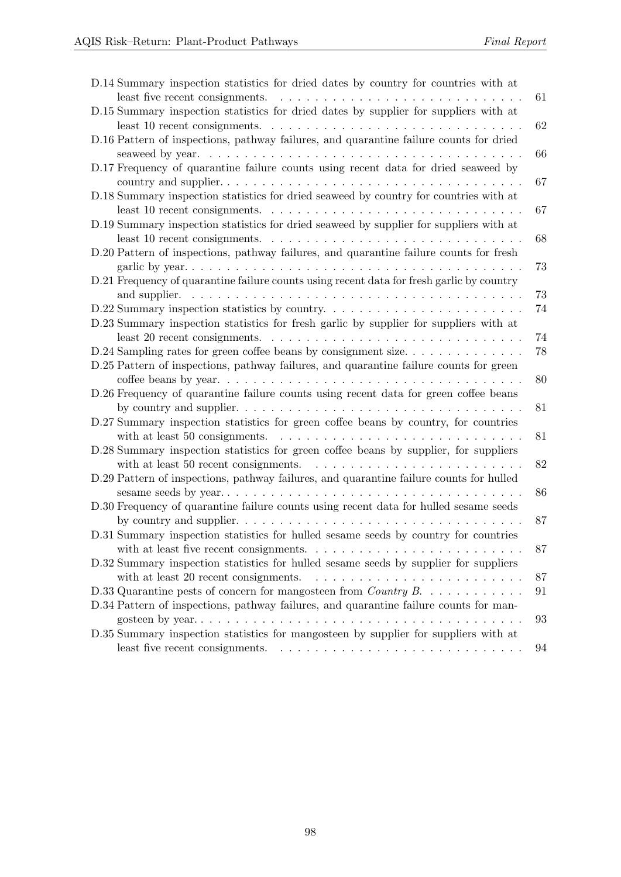| D.14 Summary inspection statistics for dried dates by country for countries with at                                                                                                                    |          |
|--------------------------------------------------------------------------------------------------------------------------------------------------------------------------------------------------------|----------|
| least five recent consignments.                                                                                                                                                                        | 61       |
| D.15 Summary inspection statistics for dried dates by supplier for suppliers with at<br>least 10 recent consignments. $\dots \dots \dots \dots \dots \dots \dots \dots \dots \dots \dots \dots \dots$  | 62       |
| D.16 Pattern of inspections, pathway failures, and quarantine failure counts for dried                                                                                                                 | 66       |
| D.17 Frequency of quarantine failure counts using recent data for dried seaweed by                                                                                                                     |          |
| country and supplier<br>D.18 Summary inspection statistics for dried seaweed by country for countries with at                                                                                          | 67<br>67 |
| D.19 Summary inspection statistics for dried seaweed by supplier for suppliers with at<br>least 10 recent consignments.                                                                                | 68       |
| D.20 Pattern of inspections, pathway failures, and quarantine failure counts for fresh                                                                                                                 | 73       |
| D.21 Frequency of quarantine failure counts using recent data for fresh garlic by country                                                                                                              | 73       |
| D.22 Summary inspection statistics by country                                                                                                                                                          | 74       |
| D.23 Summary inspection statistics for fresh garlic by supplier for suppliers with at<br>least 20 recent consignments. $\dots \dots \dots \dots \dots \dots \dots \dots \dots \dots \dots \dots \dots$ | 74       |
| $D.24$ Sampling rates for green coffee beans by consignment size                                                                                                                                       | 78       |
| D.25 Pattern of inspections, pathway failures, and quarantine failure counts for green                                                                                                                 | 80       |
| D.26 Frequency of quarantine failure counts using recent data for green coffee beans                                                                                                                   | 81       |
| D.27 Summary inspection statistics for green coffee beans by country, for countries<br>with at least 50 consignments. $\ldots \ldots \ldots \ldots \ldots \ldots \ldots \ldots \ldots \ldots$          | 81       |
| D.28 Summary inspection statistics for green coffee beans by supplier, for suppliers<br>with at least 50 recent consignments.                                                                          | 82       |
| D.29 Pattern of inspections, pathway failures, and quarantine failure counts for hulled                                                                                                                | 86       |
| D.30 Frequency of quarantine failure counts using recent data for hulled sesame seeds                                                                                                                  | 87       |
| D.31 Summary inspection statistics for hulled sesame seeds by country for countries<br>with at least five recent consignments. $\ldots \ldots \ldots \ldots \ldots \ldots \ldots \ldots \ldots$        | 87       |
| D.32 Summary inspection statistics for hulled sesame seeds by supplier for suppliers<br>with at least 20 recent consignments.                                                                          | 87       |
| D.33 Quarantine pests of concern for mangosteen from <i>Country B.</i> $\dots \dots \dots$                                                                                                             | 91       |
| D.34 Pattern of inspections, pathway failures, and quarantine failure counts for man-                                                                                                                  | 93       |
| D.35 Summary inspection statistics for mangosteen by supplier for suppliers with at                                                                                                                    | 94       |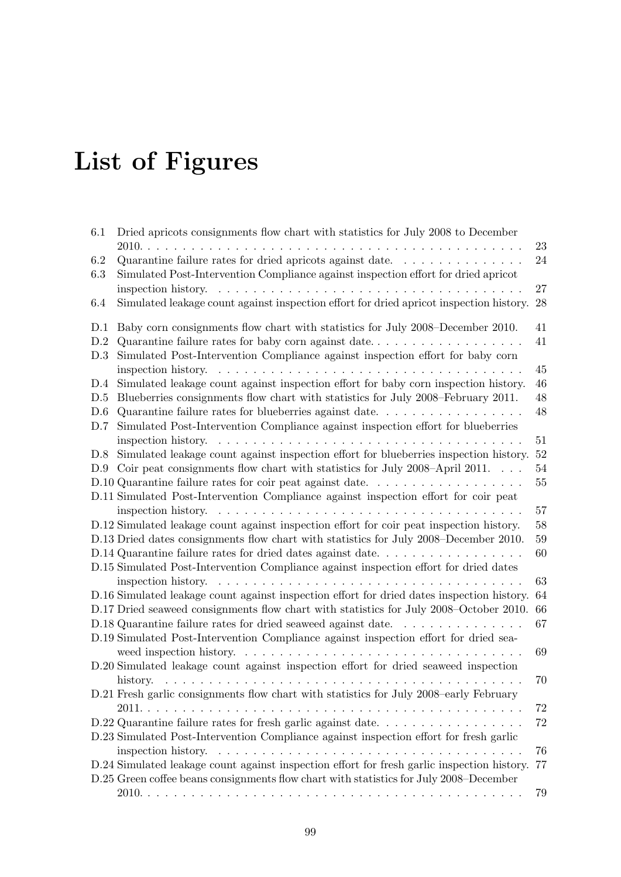# List of Figures

| 6.1 | Dried apricots consignments flow chart with statistics for July 2008 to December                                |        |
|-----|-----------------------------------------------------------------------------------------------------------------|--------|
|     | $2010. \ldots$<br>and a straight                                                                                | 23     |
| 6.2 | Quarantine failure rates for dried apricots against date. $\dots \dots \dots \dots \dots$                       | $24\,$ |
| 6.3 | Simulated Post-Intervention Compliance against inspection effort for dried apricot                              |        |
|     | inspection history. $\dots \dots \dots \dots \dots \dots \dots \dots \dots \dots \dots \dots \dots \dots$       | 27     |
| 6.4 | Simulated leakage count against inspection effort for dried apricot inspection history.                         | 28     |
| D.1 | Baby corn consignments flow chart with statistics for July 2008–December 2010.                                  | 41     |
| D.2 |                                                                                                                 | 41     |
| D.3 | Simulated Post-Intervention Compliance against inspection effort for baby corn                                  |        |
|     | inspection history. $\dots \dots \dots \dots \dots \dots \dots \dots \dots \dots \dots \dots \dots \dots \dots$ | 45     |
| D.4 | Simulated leakage count against inspection effort for baby corn inspection history.                             | 46     |
| D.5 | Blueberries consignments flow chart with statistics for July 2008–February 2011.                                | 48     |
| D.6 |                                                                                                                 | 48     |
| D.7 | Simulated Post-Intervention Compliance against inspection effort for blueberries                                |        |
|     | inspection history. $\dots \dots \dots \dots \dots \dots \dots \dots \dots \dots \dots \dots \dots$             | 51     |
| D.8 | Simulated leakage count against inspection effort for blueberries inspection history.                           | 52     |
| D.9 | Coir peat consignments flow chart with statistics for July 2008–April 2011. $\ldots$                            | 54     |
|     | D.10 Quarantine failure rates for coir peat against date                                                        | 55     |
|     | D.11 Simulated Post-Intervention Compliance against inspection effort for coir peat                             |        |
|     | inspection history. $\dots \dots \dots \dots \dots \dots \dots \dots \dots \dots \dots \dots \dots \dots$       | 57     |
|     | D.12 Simulated leakage count against inspection effort for coir peat inspection history.                        | 58     |
|     | D.13 Dried dates consignments flow chart with statistics for July 2008–December 2010.                           | 59     |
|     | D.14 Quarantine failure rates for dried dates against date                                                      | 60     |
|     | D.15 Simulated Post-Intervention Compliance against inspection effort for dried dates                           |        |
|     | inspection history. $\dots \dots \dots \dots \dots \dots \dots \dots \dots \dots \dots \dots$                   | 63     |
|     | D.16 Simulated leakage count against inspection effort for dried dates inspection history.                      | 64     |
|     | D.17 Dried seaweed consignments flow chart with statistics for July 2008–October 2010.                          | 66     |
|     | D.18 Quarantine failure rates for dried seaweed against date.<br>.                                              | 67     |
|     | D.19 Simulated Post-Intervention Compliance against inspection effort for dried sea-                            |        |
|     |                                                                                                                 | 69     |
|     | D.20 Simulated leakage count against inspection effort for dried seaweed inspection                             |        |
|     | history.                                                                                                        | 70     |
|     | D.21 Fresh garlic consignments flow chart with statistics for July 2008-early February                          |        |
|     |                                                                                                                 | 72     |
|     | $D.22$ Quarantine failure rates for fresh garlic against date                                                   | 72     |
|     | D.23 Simulated Post-Intervention Compliance against inspection effort for fresh garlic                          |        |
|     | inspection history. $\dots \dots \dots \dots \dots \dots \dots \dots \dots \dots \dots \dots \dots \dots$       | 76     |
|     | D.24 Simulated leakage count against inspection effort for fresh garlic inspection history.                     | 77     |
|     | D.25 Green coffee beans consignments flow chart with statistics for July 2008–December                          |        |
|     |                                                                                                                 | 79     |